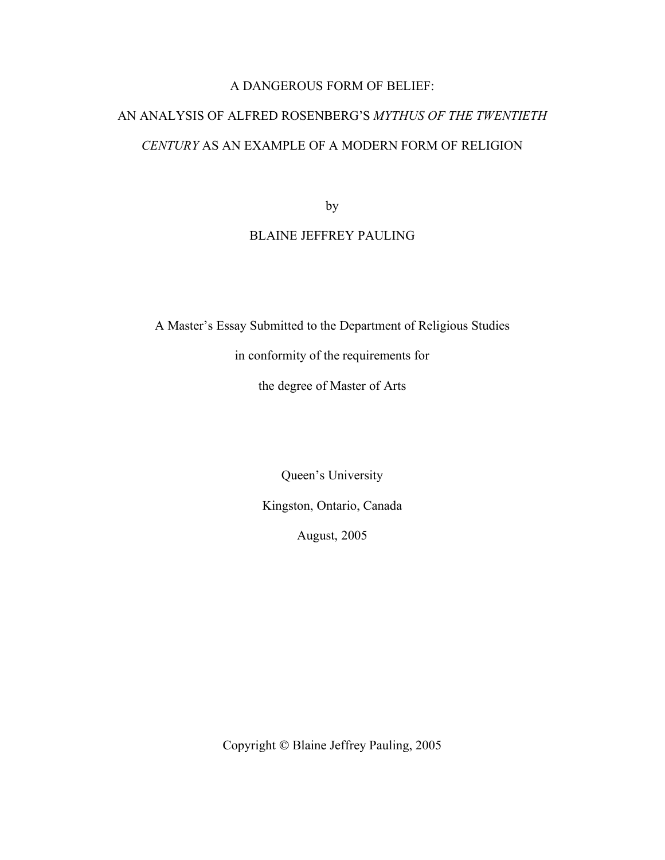# A DANGEROUS FORM OF BELIEF:

# AN ANALYSIS OF ALFRED ROSENBERG'S *MYTHUS OF THE TWENTIETH CENTURY* AS AN EXAMPLE OF A MODERN FORM OF RELIGION

by

# BLAINE JEFFREY PAULING

A Master's Essay Submitted to the Department of Religious Studies

in conformity of the requirements for

the degree of Master of Arts

Queen's University

Kingston, Ontario, Canada

August, 2005

Copyright © Blaine Jeffrey Pauling, 2005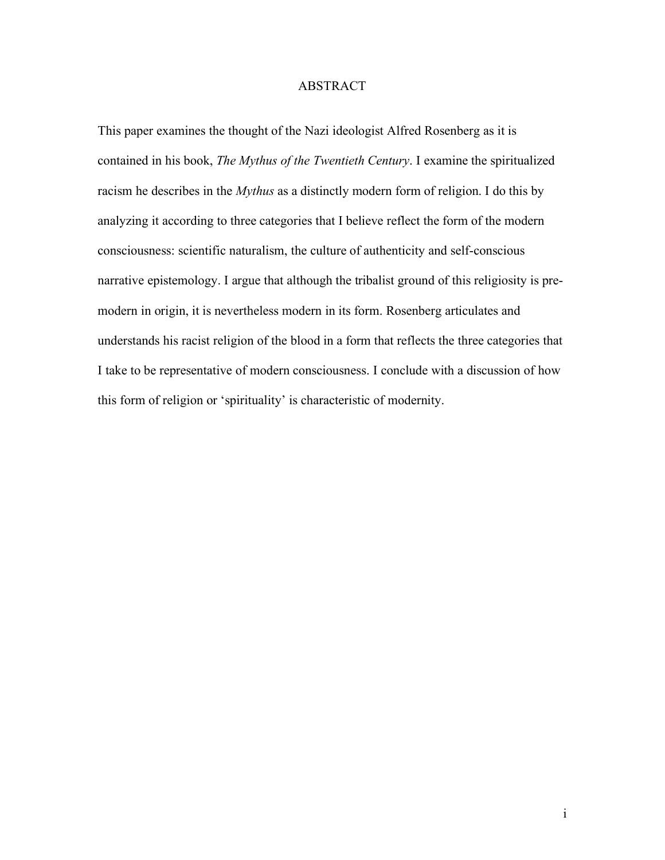## ABSTRACT

This paper examines the thought of the Nazi ideologist Alfred Rosenberg as it is contained in his book, *The Mythus of the Twentieth Century*. I examine the spiritualized racism he describes in the *Mythus* as a distinctly modern form of religion. I do this by analyzing it according to three categories that I believe reflect the form of the modern consciousness: scientific naturalism, the culture of authenticity and self-conscious narrative epistemology. I argue that although the tribalist ground of this religiosity is premodern in origin, it is nevertheless modern in its form. Rosenberg articulates and understands his racist religion of the blood in a form that reflects the three categories that I take to be representative of modern consciousness. I conclude with a discussion of how this form of religion or 'spirituality' is characteristic of modernity.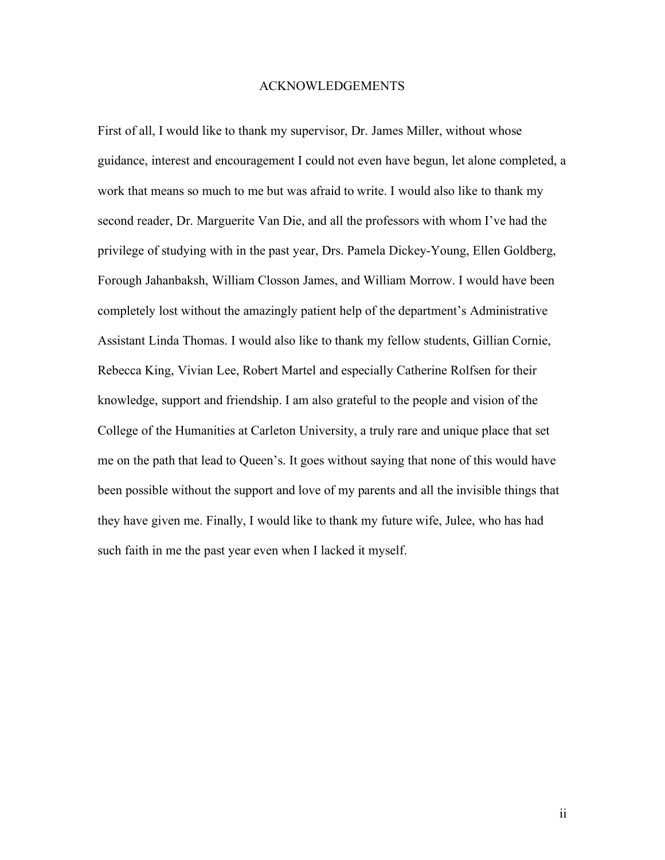#### ACKNOWLEDGEMENTS

First of all, I would like to thank my supervisor, Dr. James Miller, without whose guidance, interest and encouragement I could not even have begun, let alone completed, a work that means so much to me but was afraid to write. I would also like to thank my second reader, Dr. Marguerite Van Die, and all the professors with whom I've had the privilege of studying with in the past year, Drs. Pamela Dickey-Young, Ellen Goldberg, Forough Jahanbaksh, William Closson James, and William Morrow. I would have been completely lost without the amazingly patient help of the department's Administrative Assistant Linda Thomas. I would also like to thank my fellow students, Gillian Cornie, Rebecca King, Vivian Lee, Robert Martel and especially Catherine Rolfsen for their knowledge, support and friendship. I am also grateful to the people and vision of the College of the Humanities at Carleton University, a truly rare and unique place that set me on the path that lead to Queen's. It goes without saying that none of this would have been possible without the support and love of my parents and all the invisible things that they have given me. Finally, I would like to thank my future wife, Julee, who has had such faith in me the past year even when I lacked it myself.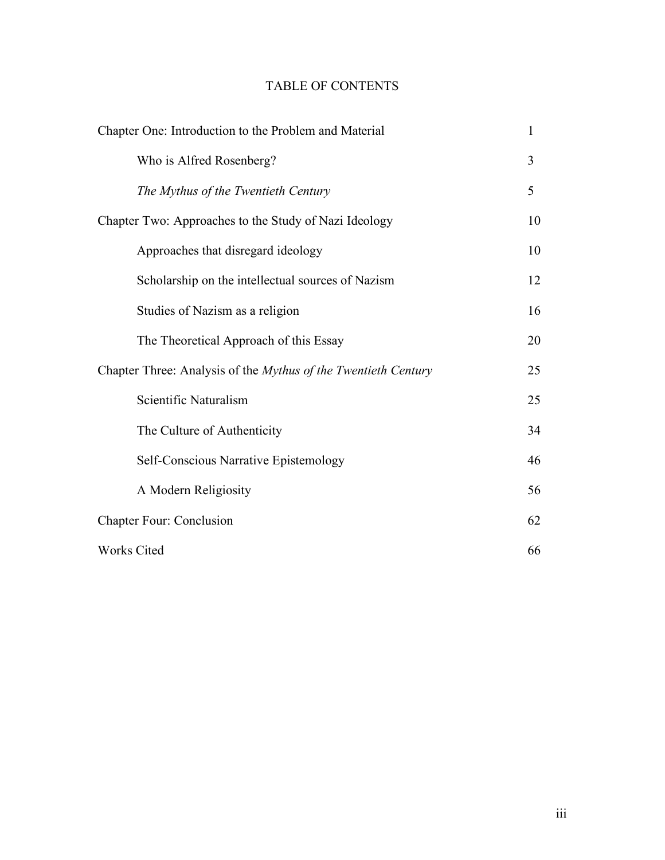# TABLE OF CONTENTS

| Chapter One: Introduction to the Problem and Material          | $\mathbf{1}$ |
|----------------------------------------------------------------|--------------|
| Who is Alfred Rosenberg?                                       | 3            |
| The Mythus of the Twentieth Century                            | 5            |
| Chapter Two: Approaches to the Study of Nazi Ideology          | 10           |
| Approaches that disregard ideology                             | 10           |
| Scholarship on the intellectual sources of Nazism              | 12           |
| Studies of Nazism as a religion                                | 16           |
| The Theoretical Approach of this Essay                         | 20           |
| Chapter Three: Analysis of the Mythus of the Twentieth Century | 25           |
| Scientific Naturalism                                          | 25           |
| The Culture of Authenticity                                    | 34           |
| Self-Conscious Narrative Epistemology                          | 46           |
| A Modern Religiosity                                           | 56           |
| <b>Chapter Four: Conclusion</b>                                | 62           |
| <b>Works Cited</b>                                             | 66           |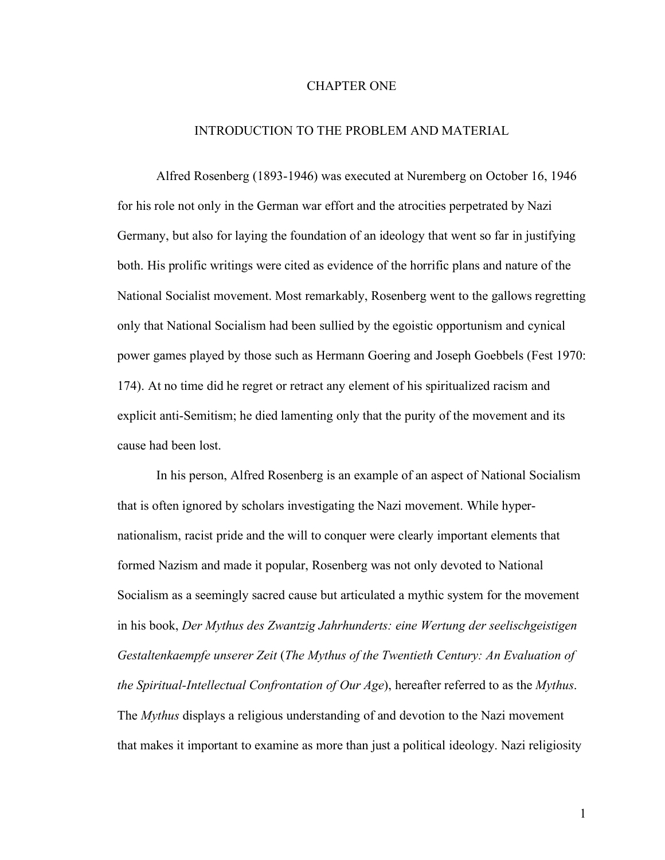#### CHAPTER ONE

### INTRODUCTION TO THE PROBLEM AND MATERIAL

Alfred Rosenberg (1893-1946) was executed at Nuremberg on October 16, 1946 for his role not only in the German war effort and the atrocities perpetrated by Nazi Germany, but also for laying the foundation of an ideology that went so far in justifying both. His prolific writings were cited as evidence of the horrific plans and nature of the National Socialist movement. Most remarkably, Rosenberg went to the gallows regretting only that National Socialism had been sullied by the egoistic opportunism and cynical power games played by those such as Hermann Goering and Joseph Goebbels (Fest 1970: 174). At no time did he regret or retract any element of his spiritualized racism and explicit anti-Semitism; he died lamenting only that the purity of the movement and its cause had been lost.

In his person, Alfred Rosenberg is an example of an aspect of National Socialism that is often ignored by scholars investigating the Nazi movement. While hypernationalism, racist pride and the will to conquer were clearly important elements that formed Nazism and made it popular, Rosenberg was not only devoted to National Socialism as a seemingly sacred cause but articulated a mythic system for the movement in his book, *Der Mythus des Zwantzig Jahrhunderts: eine Wertung der seelischgeistigen Gestaltenkaempfe unserer Zeit* (*The Mythus of the Twentieth Century: An Evaluation of the Spiritual-Intellectual Confrontation of Our Age*), hereafter referred to as the *Mythus*. The *Mythus* displays a religious understanding of and devotion to the Nazi movement that makes it important to examine as more than just a political ideology. Nazi religiosity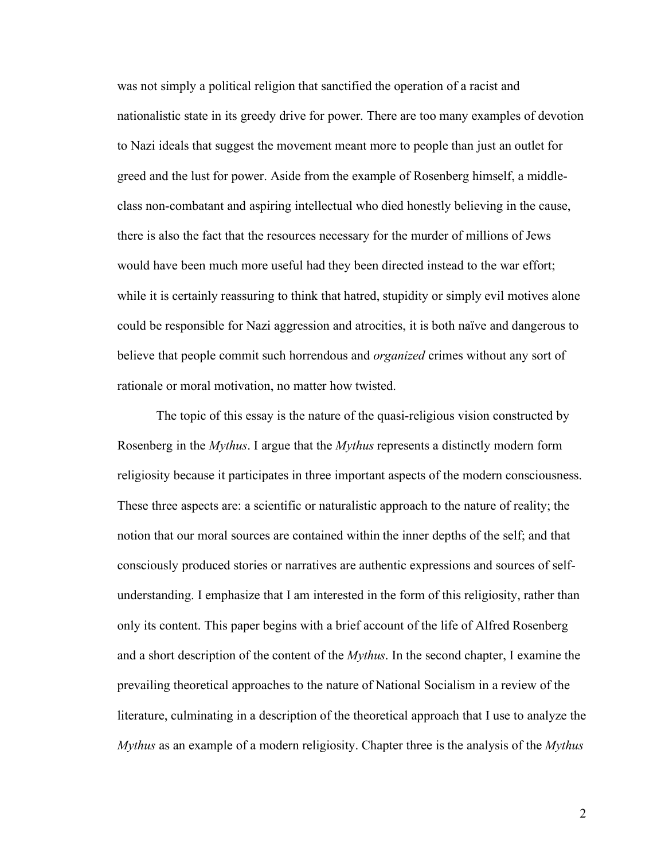was not simply a political religion that sanctified the operation of a racist and nationalistic state in its greedy drive for power. There are too many examples of devotion to Nazi ideals that suggest the movement meant more to people than just an outlet for greed and the lust for power. Aside from the example of Rosenberg himself, a middleclass non-combatant and aspiring intellectual who died honestly believing in the cause, there is also the fact that the resources necessary for the murder of millions of Jews would have been much more useful had they been directed instead to the war effort; while it is certainly reassuring to think that hatred, stupidity or simply evil motives alone could be responsible for Nazi aggression and atrocities, it is both naïve and dangerous to believe that people commit such horrendous and *organized* crimes without any sort of rationale or moral motivation, no matter how twisted.

The topic of this essay is the nature of the quasi-religious vision constructed by Rosenberg in the *Mythus*. I argue that the *Mythus* represents a distinctly modern form religiosity because it participates in three important aspects of the modern consciousness. These three aspects are: a scientific or naturalistic approach to the nature of reality; the notion that our moral sources are contained within the inner depths of the self; and that consciously produced stories or narratives are authentic expressions and sources of selfunderstanding. I emphasize that I am interested in the form of this religiosity, rather than only its content. This paper begins with a brief account of the life of Alfred Rosenberg and a short description of the content of the *Mythus*. In the second chapter, I examine the prevailing theoretical approaches to the nature of National Socialism in a review of the literature, culminating in a description of the theoretical approach that I use to analyze the *Mythus* as an example of a modern religiosity. Chapter three is the analysis of the *Mythus*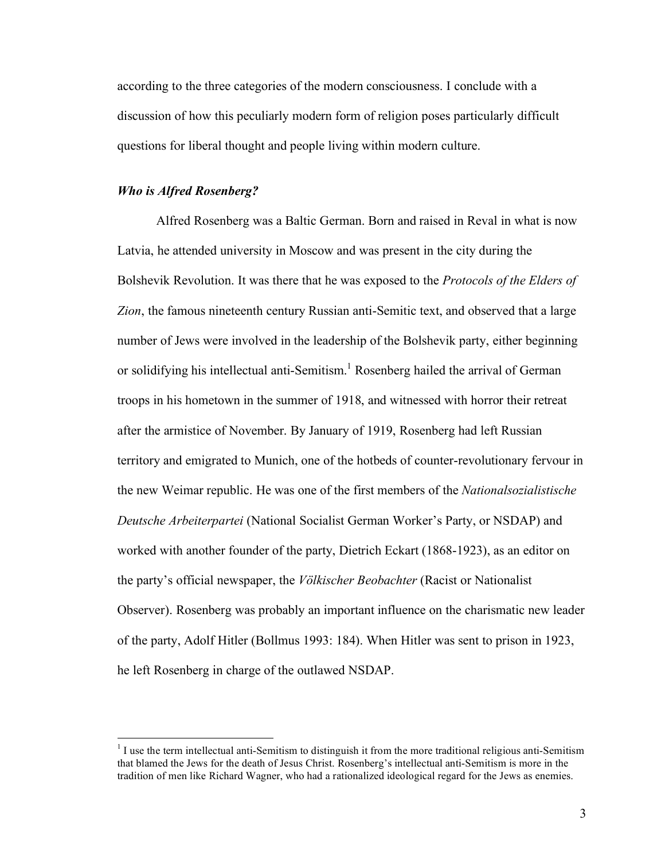according to the three categories of the modern consciousness. I conclude with a discussion of how this peculiarly modern form of religion poses particularly difficult questions for liberal thought and people living within modern culture.

### *Who is Alfred Rosenberg?*

Alfred Rosenberg was a Baltic German. Born and raised in Reval in what is now Latvia, he attended university in Moscow and was present in the city during the Bolshevik Revolution. It was there that he was exposed to the *Protocols of the Elders of Zion*, the famous nineteenth century Russian anti-Semitic text, and observed that a large number of Jews were involved in the leadership of the Bolshevik party, either beginning or solidifying his intellectual anti-Semitism. <sup>1</sup> Rosenberg hailed the arrival of German troops in his hometown in the summer of 1918, and witnessed with horror their retreat after the armistice of November. By January of 1919, Rosenberg had left Russian territory and emigrated to Munich, one of the hotbeds of counter-revolutionary fervour in the new Weimar republic. He was one of the first members of the *Nationalsozialistische Deutsche Arbeiterpartei* (National Socialist German Worker's Party, or NSDAP) and worked with another founder of the party, Dietrich Eckart (1868-1923), as an editor on the party's official newspaper, the *Völkischer Beobachter* (Racist or Nationalist Observer). Rosenberg was probably an important influence on the charismatic new leader of the party, Adolf Hitler (Bollmus 1993: 184). When Hitler was sent to prison in 1923, he left Rosenberg in charge of the outlawed NSDAP.

 $<sup>1</sup>$  I use the term intellectual anti-Semitism to distinguish it from the more traditional religious anti-Semitism</sup> that blamed the Jews for the death of Jesus Christ. Rosenberg's intellectual anti-Semitism is more in the tradition of men like Richard Wagner, who had a rationalized ideological regard for the Jews as enemies.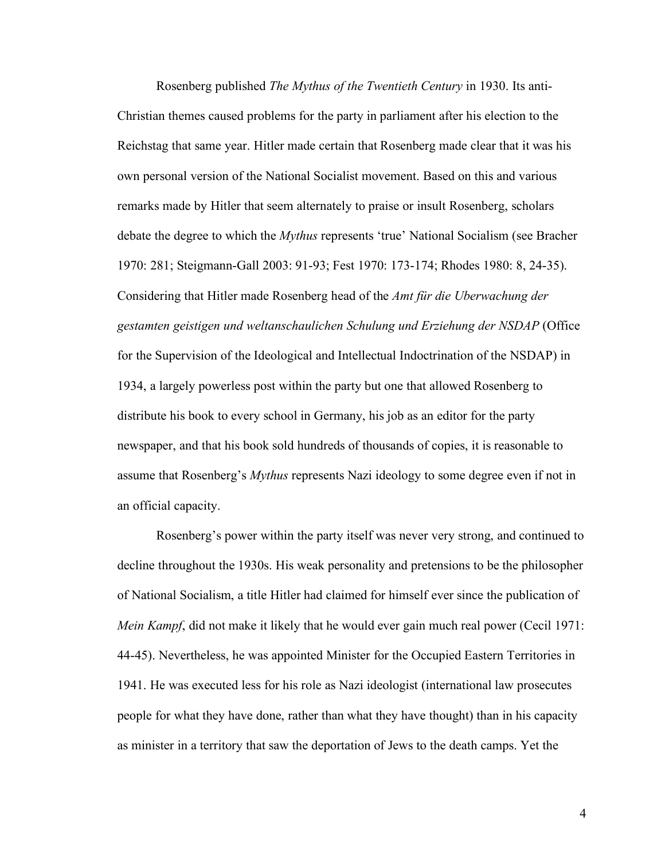Rosenberg published *The Mythus of the Twentieth Century* in 1930. Its anti-Christian themes caused problems for the party in parliament after his election to the Reichstag that same year. Hitler made certain that Rosenberg made clear that it was his own personal version of the National Socialist movement. Based on this and various remarks made by Hitler that seem alternately to praise or insult Rosenberg, scholars debate the degree to which the *Mythus* represents 'true' National Socialism (see Bracher 1970: 281; Steigmann-Gall 2003: 91-93; Fest 1970: 173-174; Rhodes 1980: 8, 24-35). Considering that Hitler made Rosenberg head of the *Amt für die Uberwachung der gestamten geistigen und weltanschaulichen Schulung und Erziehung der NSDAP* (Office for the Supervision of the Ideological and Intellectual Indoctrination of the NSDAP) in 1934, a largely powerless post within the party but one that allowed Rosenberg to distribute his book to every school in Germany, his job as an editor for the party newspaper, and that his book sold hundreds of thousands of copies, it is reasonable to assume that Rosenberg's *Mythus* represents Nazi ideology to some degree even if not in an official capacity.

Rosenberg's power within the party itself was never very strong, and continued to decline throughout the 1930s. His weak personality and pretensions to be the philosopher of National Socialism, a title Hitler had claimed for himself ever since the publication of *Mein Kampf*, did not make it likely that he would ever gain much real power (Cecil 1971: 44-45). Nevertheless, he was appointed Minister for the Occupied Eastern Territories in 1941. He was executed less for his role as Nazi ideologist (international law prosecutes people for what they have done, rather than what they have thought) than in his capacity as minister in a territory that saw the deportation of Jews to the death camps. Yet the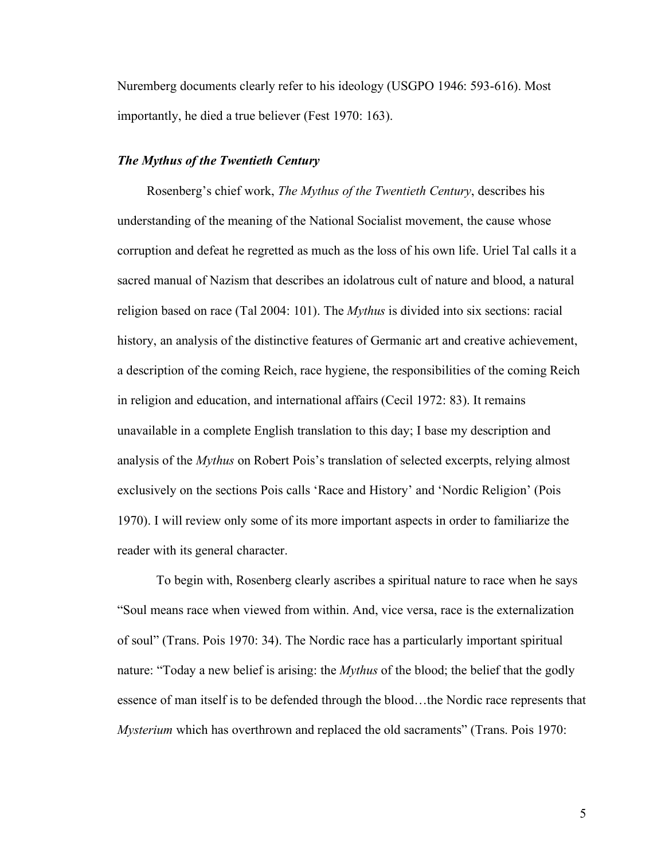Nuremberg documents clearly refer to his ideology (USGPO 1946: 593-616). Most importantly, he died a true believer (Fest 1970: 163).

#### *The Mythus of the Twentieth Century*

Rosenberg's chief work, *The Mythus of the Twentieth Century*, describes his understanding of the meaning of the National Socialist movement, the cause whose corruption and defeat he regretted as much as the loss of his own life. Uriel Tal calls it a sacred manual of Nazism that describes an idolatrous cult of nature and blood, a natural religion based on race (Tal 2004: 101). The *Mythus* is divided into six sections: racial history, an analysis of the distinctive features of Germanic art and creative achievement, a description of the coming Reich, race hygiene, the responsibilities of the coming Reich in religion and education, and international affairs (Cecil 1972: 83). It remains unavailable in a complete English translation to this day; I base my description and analysis of the *Mythus* on Robert Pois's translation of selected excerpts, relying almost exclusively on the sections Pois calls 'Race and History' and 'Nordic Religion' (Pois 1970). I will review only some of its more important aspects in order to familiarize the reader with its general character.

To begin with, Rosenberg clearly ascribes a spiritual nature to race when he says "Soul means race when viewed from within. And, vice versa, race is the externalization of soul" (Trans. Pois 1970: 34). The Nordic race has a particularly important spiritual nature: "Today a new belief is arising: the *Mythus* of the blood; the belief that the godly essence of man itself is to be defended through the blood…the Nordic race represents that *Mysterium* which has overthrown and replaced the old sacraments" (Trans. Pois 1970: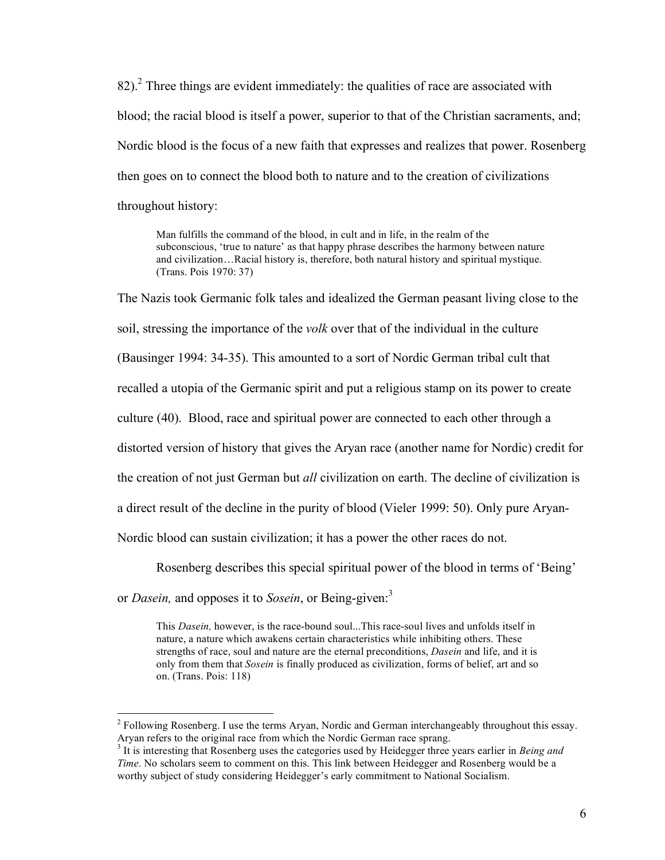$82$ ).<sup>2</sup> Three things are evident immediately: the qualities of race are associated with blood; the racial blood is itself a power, superior to that of the Christian sacraments, and; Nordic blood is the focus of a new faith that expresses and realizes that power. Rosenberg then goes on to connect the blood both to nature and to the creation of civilizations throughout history:

Man fulfills the command of the blood, in cult and in life, in the realm of the subconscious, 'true to nature' as that happy phrase describes the harmony between nature and civilization…Racial history is, therefore, both natural history and spiritual mystique. (Trans. Pois 1970: 37)

The Nazis took Germanic folk tales and idealized the German peasant living close to the soil, stressing the importance of the *volk* over that of the individual in the culture (Bausinger 1994: 34-35). This amounted to a sort of Nordic German tribal cult that recalled a utopia of the Germanic spirit and put a religious stamp on its power to create culture (40). Blood, race and spiritual power are connected to each other through a distorted version of history that gives the Aryan race (another name for Nordic) credit for the creation of not just German but *all* civilization on earth. The decline of civilization is a direct result of the decline in the purity of blood (Vieler 1999: 50). Only pure Aryan-Nordic blood can sustain civilization; it has a power the other races do not.

Rosenberg describes this special spiritual power of the blood in terms of 'Being'

or *Dasein,* and opposes it to *Sosein*, or Being-given:<sup>3</sup>

This *Dasein,* however, is the race-bound soul...This race-soul lives and unfolds itself in nature, a nature which awakens certain characteristics while inhibiting others. These strengths of race, soul and nature are the eternal preconditions, *Dasein* and life, and it is only from them that *Sosein* is finally produced as civilization, forms of belief, art and so on. (Trans. Pois: 118)

<sup>&</sup>lt;sup>2</sup> Following Rosenberg. I use the terms Aryan, Nordic and German interchangeably throughout this essay. Aryan refers to the original race from which the Nordic German race sprang.<br><sup>3</sup> It is interesting that Rosenberg uses the categories used by Heidegger three years earlier in *Being and* 

*Time.* No scholars seem to comment on this. This link between Heidegger and Rosenberg would be a worthy subject of study considering Heidegger's early commitment to National Socialism.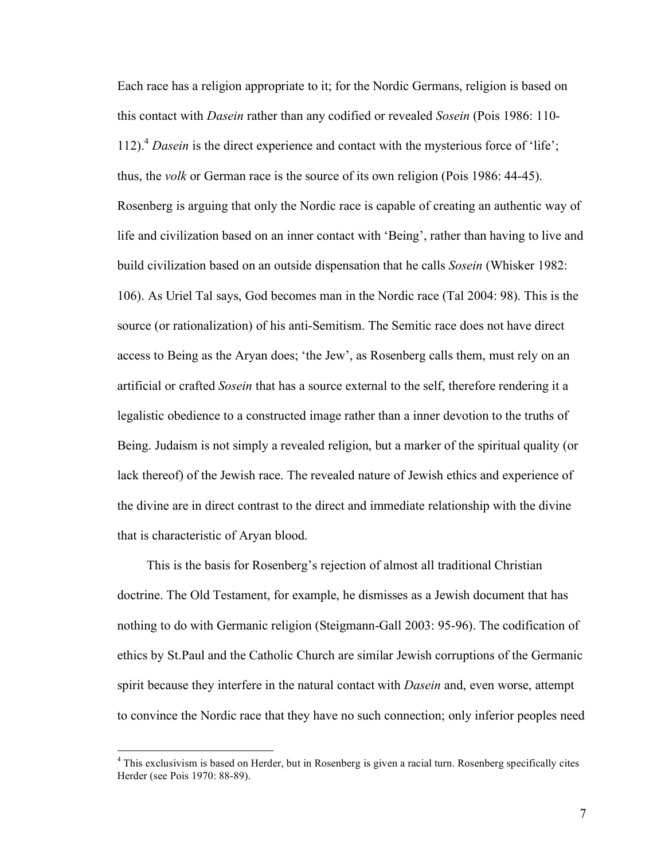Each race has a religion appropriate to it; for the Nordic Germans, religion is based on this contact with *Dasein* rather than any codified or revealed *Sosein* (Pois 1986: 110- 112). <sup>4</sup> *Dasein* is the direct experience and contact with the mysterious force of 'life'; thus, the *volk* or German race is the source of its own religion (Pois 1986: 44-45). Rosenberg is arguing that only the Nordic race is capable of creating an authentic way of life and civilization based on an inner contact with 'Being', rather than having to live and build civilization based on an outside dispensation that he calls *Sosein* (Whisker 1982: 106). As Uriel Tal says, God becomes man in the Nordic race (Tal 2004: 98). This is the source (or rationalization) of his anti-Semitism. The Semitic race does not have direct access to Being as the Aryan does; 'the Jew', as Rosenberg calls them, must rely on an artificial or crafted *Sosein* that has a source external to the self, therefore rendering it a legalistic obedience to a constructed image rather than a inner devotion to the truths of Being. Judaism is not simply a revealed religion, but a marker of the spiritual quality (or lack thereof) of the Jewish race. The revealed nature of Jewish ethics and experience of the divine are in direct contrast to the direct and immediate relationship with the divine that is characteristic of Aryan blood.

This is the basis for Rosenberg's rejection of almost all traditional Christian doctrine. The Old Testament, for example, he dismisses as a Jewish document that has nothing to do with Germanic religion (Steigmann-Gall 2003: 95-96). The codification of ethics by St.Paul and the Catholic Church are similar Jewish corruptions of the Germanic spirit because they interfere in the natural contact with *Dasein* and, even worse, attempt to convince the Nordic race that they have no such connection; only inferior peoples need

<sup>&</sup>lt;sup>4</sup> This exclusivism is based on Herder, but in Rosenberg is given a racial turn. Rosenberg specifically cites Herder (see Pois 1970: 88-89).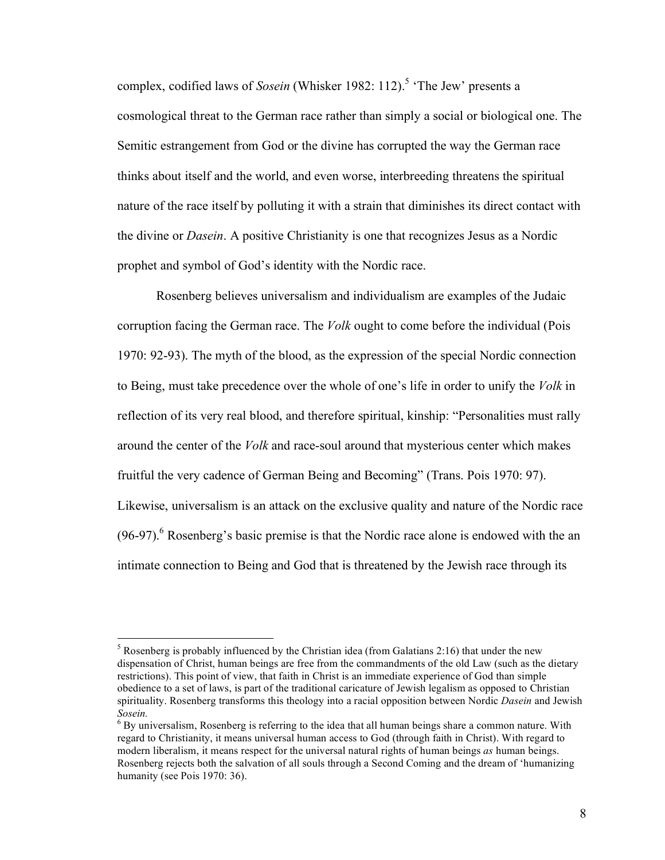complex, codified laws of *Sosein* (Whisker 1982: 112). <sup>5</sup> 'The Jew' presents a cosmological threat to the German race rather than simply a social or biological one. The Semitic estrangement from God or the divine has corrupted the way the German race thinks about itself and the world, and even worse, interbreeding threatens the spiritual nature of the race itself by polluting it with a strain that diminishes its direct contact with the divine or *Dasein*. A positive Christianity is one that recognizes Jesus as a Nordic prophet and symbol of God's identity with the Nordic race.

Rosenberg believes universalism and individualism are examples of the Judaic corruption facing the German race. The *Volk* ought to come before the individual (Pois 1970: 92-93). The myth of the blood, as the expression of the special Nordic connection to Being, must take precedence over the whole of one's life in order to unify the *Volk* in reflection of its very real blood, and therefore spiritual, kinship: "Personalities must rally around the center of the *Volk* and race-soul around that mysterious center which makes fruitful the very cadence of German Being and Becoming" (Trans. Pois 1970: 97). Likewise, universalism is an attack on the exclusive quality and nature of the Nordic race  $(96-97)$ <sup>6</sup> Rosenberg's basic premise is that the Nordic race alone is endowed with the an intimate connection to Being and God that is threatened by the Jewish race through its

 $5$  Rosenberg is probably influenced by the Christian idea (from Galatians 2:16) that under the new dispensation of Christ, human beings are free from the commandments of the old Law (such as the dietary restrictions). This point of view, that faith in Christ is an immediate experience of God than simple obedience to a set of laws, is part of the traditional caricature of Jewish legalism as opposed to Christian spirituality. Rosenberg transforms this theology into a racial opposition between Nordic *Dasein* and Jewish *Sosein.* <sup>6</sup> By universalism, Rosenberg is referring to the idea that all human beings share <sup>a</sup> common nature. With

regard to Christianity, it means universal human access to God (through faith in Christ). With regard to modern liberalism, it means respect for the universal natural rights of human beings *as* human beings. Rosenberg rejects both the salvation of all souls through a Second Coming and the dream of 'humanizing humanity (see Pois 1970: 36).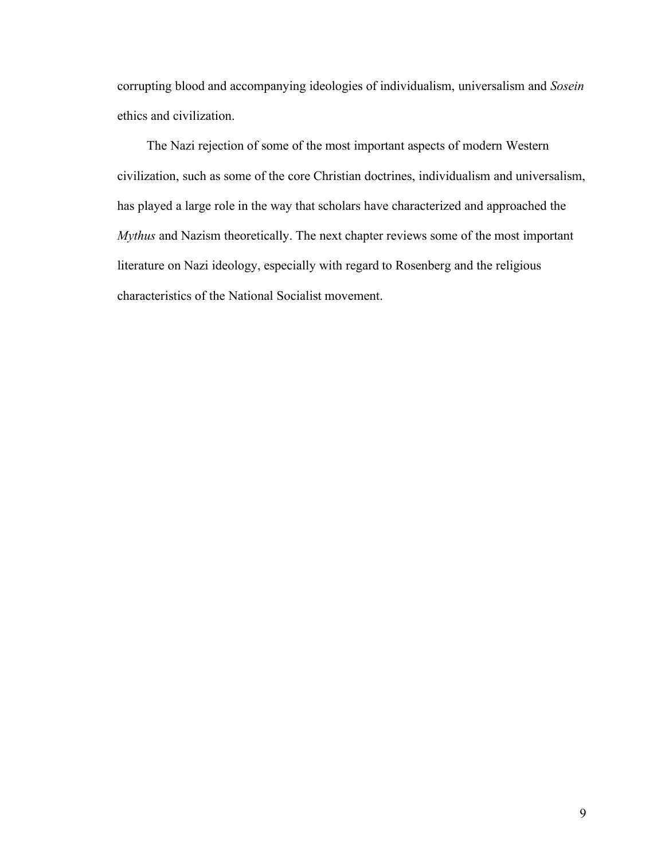corrupting blood and accompanying ideologies of individualism, universalism and *Sosein*  ethics and civilization.

The Nazi rejection of some of the most important aspects of modern Western civilization, such as some of the core Christian doctrines, individualism and universalism, has played a large role in the way that scholars have characterized and approached the *Mythus* and Nazism theoretically. The next chapter reviews some of the most important literature on Nazi ideology, especially with regard to Rosenberg and the religious characteristics of the National Socialist movement.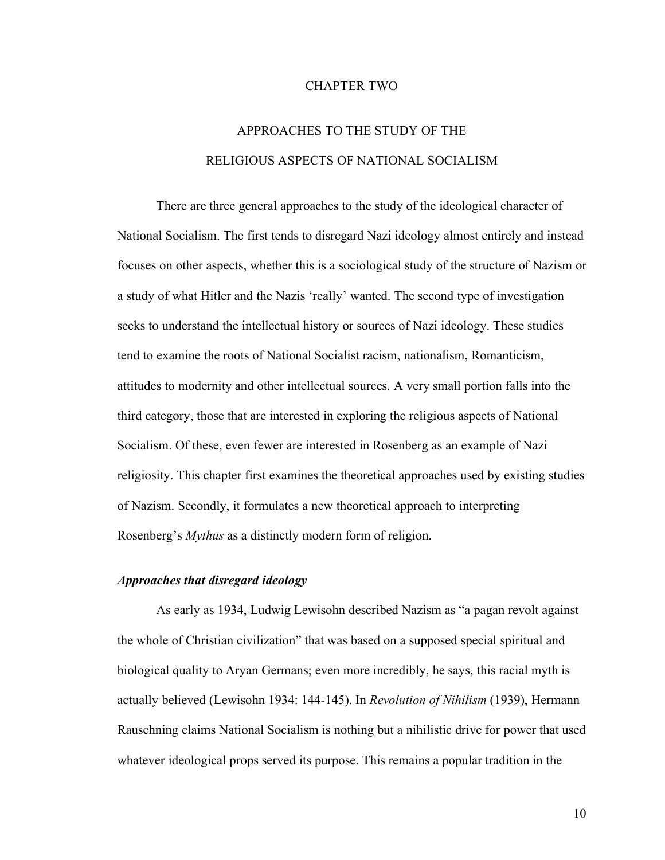#### CHAPTER TWO

# APPROACHES TO THE STUDY OF THE RELIGIOUS ASPECTS OF NATIONAL SOCIALISM

There are three general approaches to the study of the ideological character of National Socialism. The first tends to disregard Nazi ideology almost entirely and instead focuses on other aspects, whether this is a sociological study of the structure of Nazism or a study of what Hitler and the Nazis 'really' wanted. The second type of investigation seeks to understand the intellectual history or sources of Nazi ideology. These studies tend to examine the roots of National Socialist racism, nationalism, Romanticism, attitudes to modernity and other intellectual sources. A very small portion falls into the third category, those that are interested in exploring the religious aspects of National Socialism. Of these, even fewer are interested in Rosenberg as an example of Nazi religiosity. This chapter first examines the theoretical approaches used by existing studies of Nazism. Secondly, it formulates a new theoretical approach to interpreting Rosenberg's *Mythus* as a distinctly modern form of religion.

#### *Approaches that disregard ideology*

As early as 1934, Ludwig Lewisohn described Nazism as "a pagan revolt against the whole of Christian civilization" that was based on a supposed special spiritual and biological quality to Aryan Germans; even more incredibly, he says, this racial myth is actually believed (Lewisohn 1934: 144-145). In *Revolution of Nihilism* (1939), Hermann Rauschning claims National Socialism is nothing but a nihilistic drive for power that used whatever ideological props served its purpose. This remains a popular tradition in the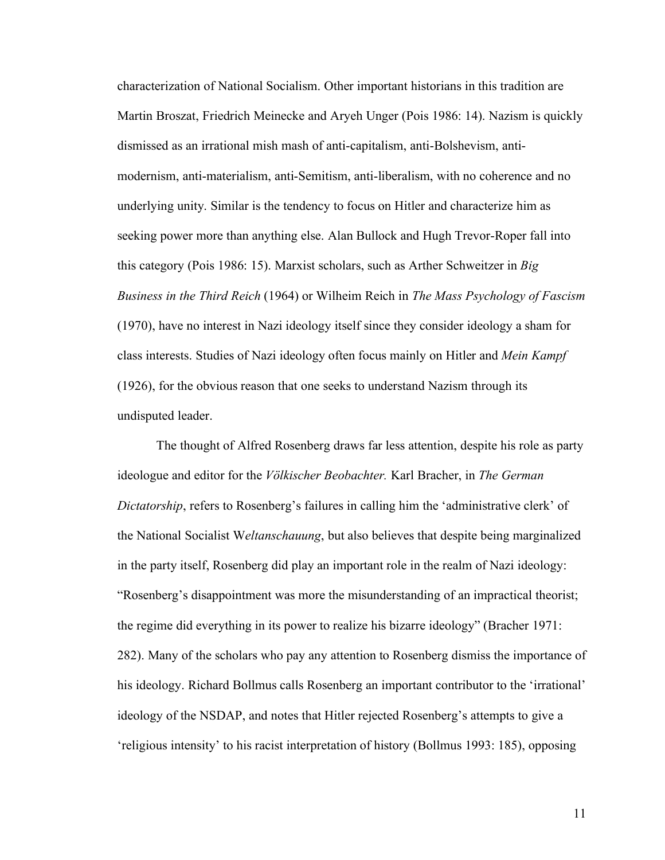characterization of National Socialism. Other important historians in this tradition are Martin Broszat, Friedrich Meinecke and Aryeh Unger (Pois 1986: 14). Nazism is quickly dismissed as an irrational mish mash of anti-capitalism, anti-Bolshevism, antimodernism, anti-materialism, anti-Semitism, anti-liberalism, with no coherence and no underlying unity. Similar is the tendency to focus on Hitler and characterize him as seeking power more than anything else. Alan Bullock and Hugh Trevor-Roper fall into this category (Pois 1986: 15). Marxist scholars, such as Arther Schweitzer in *Big Business in the Third Reich* (1964) or Wilheim Reich in *The Mass Psychology of Fascism* (1970), have no interest in Nazi ideology itself since they consider ideology a sham for class interests. Studies of Nazi ideology often focus mainly on Hitler and *Mein Kampf* (1926), for the obvious reason that one seeks to understand Nazism through its undisputed leader.

The thought of Alfred Rosenberg draws far less attention, despite his role as party ideologue and editor for the *Völkischer Beobachter.* Karl Bracher, in *The German Dictatorship*, refers to Rosenberg's failures in calling him the 'administrative clerk' of the National Socialist W*eltanschauung*, but also believes that despite being marginalized in the party itself, Rosenberg did play an important role in the realm of Nazi ideology: "Rosenberg's disappointment was more the misunderstanding of an impractical theorist; the regime did everything in its power to realize his bizarre ideology" (Bracher 1971: 282). Many of the scholars who pay any attention to Rosenberg dismiss the importance of his ideology. Richard Bollmus calls Rosenberg an important contributor to the 'irrational' ideology of the NSDAP, and notes that Hitler rejected Rosenberg's attempts to give a 'religious intensity' to his racist interpretation of history (Bollmus 1993: 185), opposing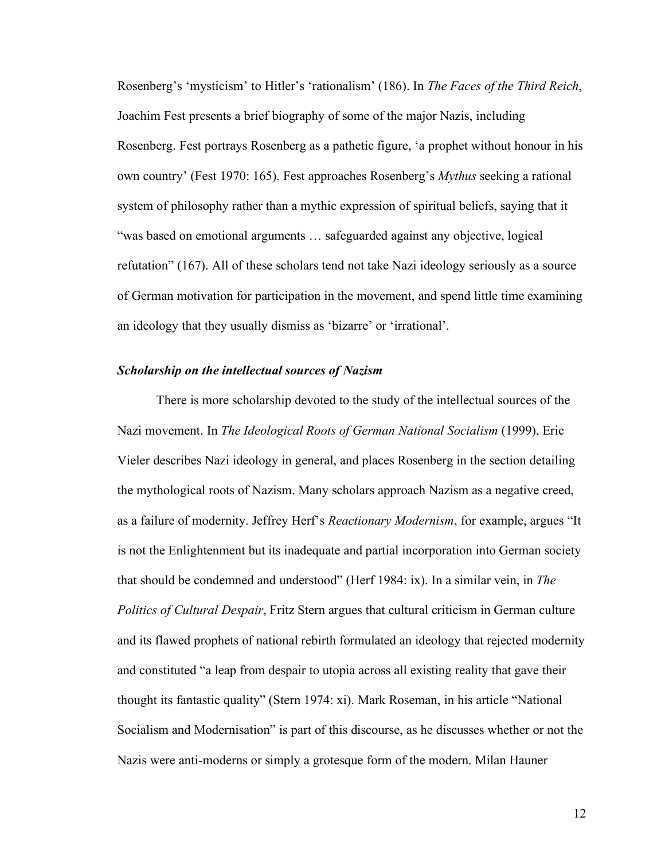Rosenberg's 'mysticism' to Hitler's 'rationalism' (186). In *The Faces of the Third Reich*, Joachim Fest presents a brief biography of some of the major Nazis, including Rosenberg. Fest portrays Rosenberg as a pathetic figure, 'a prophet without honour in his own country' (Fest 1970: 165). Fest approaches Rosenberg's *Mythus* seeking a rational system of philosophy rather than a mythic expression of spiritual beliefs, saying that it "was based on emotional arguments … safeguarded against any objective, logical refutation" (167). All of these scholars tend not take Nazi ideology seriously as a source of German motivation for participation in the movement, and spend little time examining an ideology that they usually dismiss as 'bizarre' or 'irrational'.

#### *Scholarship on the intellectual sources of Nazism*

There is more scholarship devoted to the study of the intellectual sources of the Nazi movement. In *The Ideological Roots of German National Socialism* (1999), Eric Vieler describes Nazi ideology in general, and places Rosenberg in the section detailing the mythological roots of Nazism. Many scholars approach Nazism as a negative creed, as a failure of modernity. Jeffrey Herf's *Reactionary Modernism*, for example, argues "It is not the Enlightenment but its inadequate and partial incorporation into German society that should be condemned and understood" (Herf 1984: ix). In a similar vein, in *The Politics of Cultural Despair*, Fritz Stern argues that cultural criticism in German culture and its flawed prophets of national rebirth formulated an ideology that rejected modernity and constituted "a leap from despair to utopia across all existing reality that gave their thought its fantastic quality" (Stern 1974: xi). Mark Roseman, in his article "National Socialism and Modernisation" is part of this discourse, as he discusses whether or not the Nazis were anti-moderns or simply a grotesque form of the modern. Milan Hauner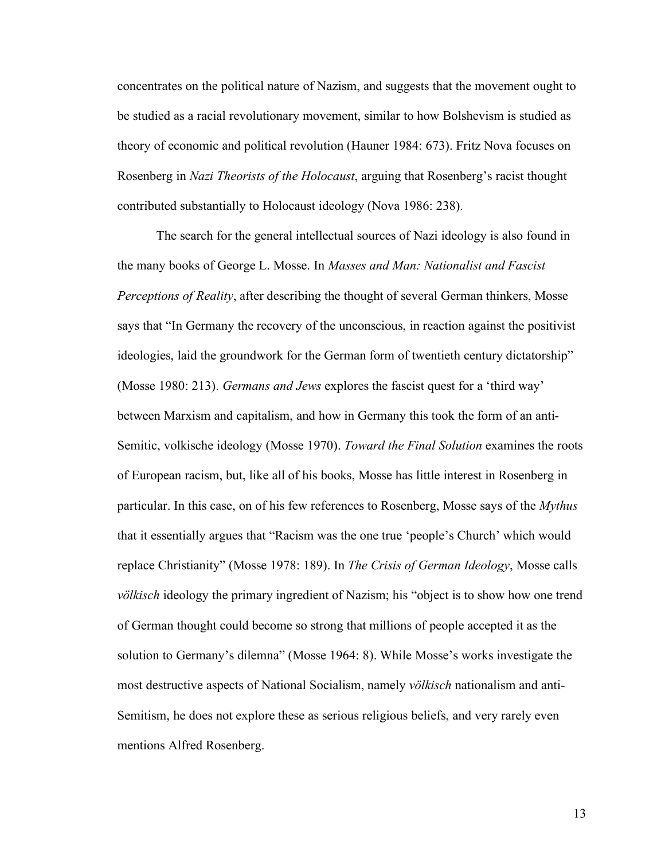concentrates on the political nature of Nazism, and suggests that the movement ought to be studied as a racial revolutionary movement, similar to how Bolshevism is studied as theory of economic and political revolution (Hauner 1984: 673). Fritz Nova focuses on Rosenberg in *Nazi Theorists of the Holocaust*, arguing that Rosenberg's racist thought contributed substantially to Holocaust ideology (Nova 1986: 238).

The search for the general intellectual sources of Nazi ideology is also found in the many books of George L. Mosse. In *Masses and Man: Nationalist and Fascist Perceptions of Reality*, after describing the thought of several German thinkers, Mosse says that "In Germany the recovery of the unconscious, in reaction against the positivist ideologies, laid the groundwork for the German form of twentieth century dictatorship" (Mosse 1980: 213). *Germans and Jews* explores the fascist quest for a 'third way' between Marxism and capitalism, and how in Germany this took the form of an anti-Semitic, volkische ideology (Mosse 1970). *Toward the Final Solution* examines the roots of European racism, but, like all of his books, Mosse has little interest in Rosenberg in particular. In this case, on of his few references to Rosenberg, Mosse says of the *Mythus* that it essentially argues that "Racism was the one true 'people's Church' which would replace Christianity" (Mosse 1978: 189). In *The Crisis of German Ideology*, Mosse calls *völkisch* ideology the primary ingredient of Nazism; his "object is to show how one trend of German thought could become so strong that millions of people accepted it as the solution to Germany's dilemna" (Mosse 1964: 8). While Mosse's works investigate the most destructive aspects of National Socialism, namely *völkisch* nationalism and anti-Semitism, he does not explore these as serious religious beliefs, and very rarely even mentions Alfred Rosenberg.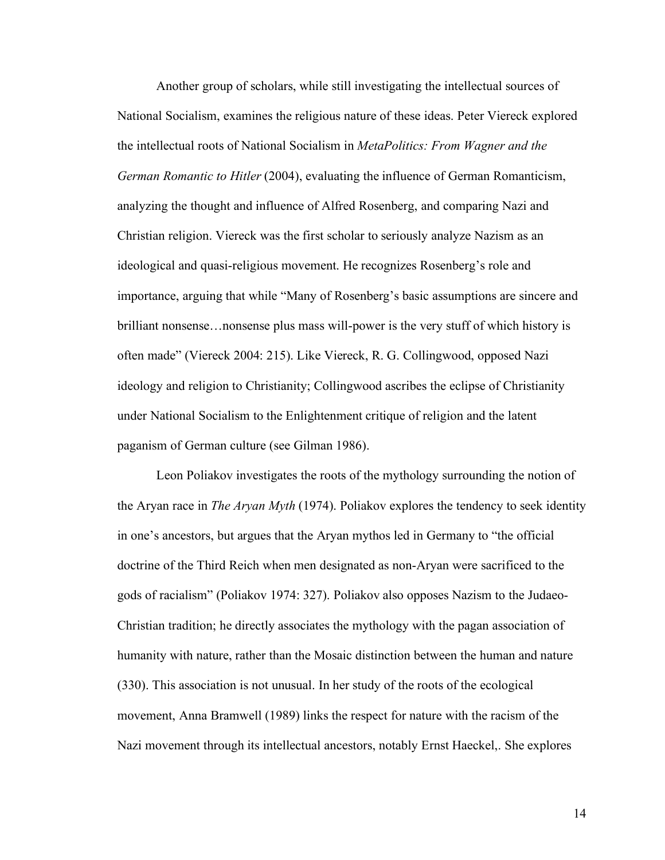Another group of scholars, while still investigating the intellectual sources of National Socialism, examines the religious nature of these ideas. Peter Viereck explored the intellectual roots of National Socialism in *MetaPolitics: From Wagner and the German Romantic to Hitler* (2004), evaluating the influence of German Romanticism, analyzing the thought and influence of Alfred Rosenberg, and comparing Nazi and Christian religion. Viereck was the first scholar to seriously analyze Nazism as an ideological and quasi-religious movement. He recognizes Rosenberg's role and importance, arguing that while "Many of Rosenberg's basic assumptions are sincere and brilliant nonsense…nonsense plus mass will-power is the very stuff of which history is often made" (Viereck 2004: 215). Like Viereck, R. G. Collingwood, opposed Nazi ideology and religion to Christianity; Collingwood ascribes the eclipse of Christianity under National Socialism to the Enlightenment critique of religion and the latent paganism of German culture (see Gilman 1986).

Leon Poliakov investigates the roots of the mythology surrounding the notion of the Aryan race in *The Aryan Myth* (1974). Poliakov explores the tendency to seek identity in one's ancestors, but argues that the Aryan mythos led in Germany to "the official doctrine of the Third Reich when men designated as non-Aryan were sacrificed to the gods of racialism" (Poliakov 1974: 327). Poliakov also opposes Nazism to the Judaeo-Christian tradition; he directly associates the mythology with the pagan association of humanity with nature, rather than the Mosaic distinction between the human and nature (330). This association is not unusual. In her study of the roots of the ecological movement, Anna Bramwell (1989) links the respect for nature with the racism of the Nazi movement through its intellectual ancestors, notably Ernst Haeckel,. She explores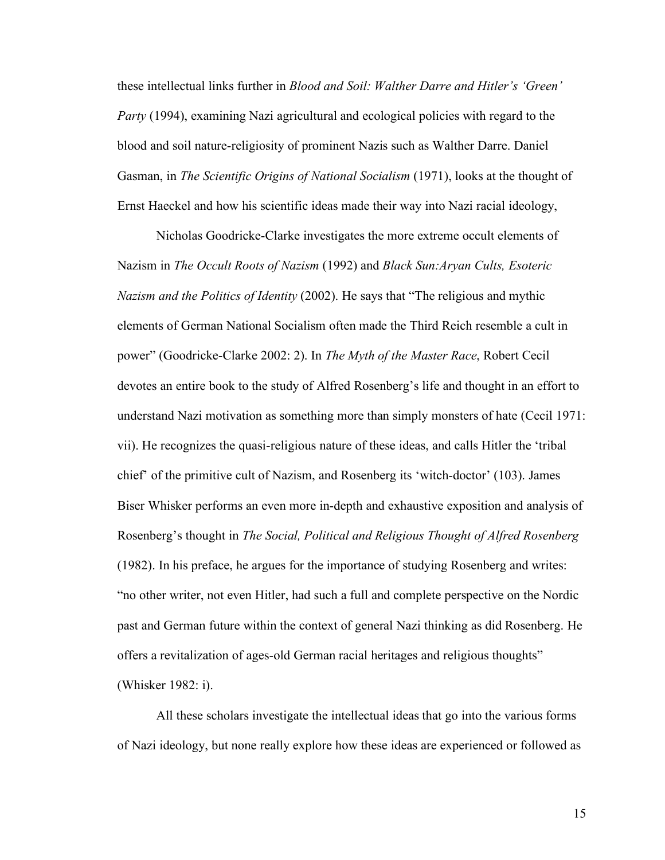these intellectual links further in *Blood and Soil: Walther Darre and Hitler's 'Green' Party* (1994), examining Nazi agricultural and ecological policies with regard to the blood and soil nature-religiosity of prominent Nazis such as Walther Darre. Daniel Gasman, in *The Scientific Origins of National Socialism* (1971), looks at the thought of Ernst Haeckel and how his scientific ideas made their way into Nazi racial ideology,

Nicholas Goodricke-Clarke investigates the more extreme occult elements of Nazism in *The Occult Roots of Nazism* (1992) and *Black Sun:Aryan Cults, Esoteric Nazism and the Politics of Identity* (2002). He says that "The religious and mythic elements of German National Socialism often made the Third Reich resemble a cult in power" (Goodricke-Clarke 2002: 2). In *The Myth of the Master Race*, Robert Cecil devotes an entire book to the study of Alfred Rosenberg's life and thought in an effort to understand Nazi motivation as something more than simply monsters of hate (Cecil 1971: vii). He recognizes the quasi-religious nature of these ideas, and calls Hitler the 'tribal chief' of the primitive cult of Nazism, and Rosenberg its 'witch-doctor' (103). James Biser Whisker performs an even more in-depth and exhaustive exposition and analysis of Rosenberg's thought in *The Social, Political and Religious Thought of Alfred Rosenberg*  (1982). In his preface, he argues for the importance of studying Rosenberg and writes: "no other writer, not even Hitler, had such a full and complete perspective on the Nordic past and German future within the context of general Nazi thinking as did Rosenberg. He offers a revitalization of ages-old German racial heritages and religious thoughts" (Whisker 1982: i).

All these scholars investigate the intellectual ideas that go into the various forms of Nazi ideology, but none really explore how these ideas are experienced or followed as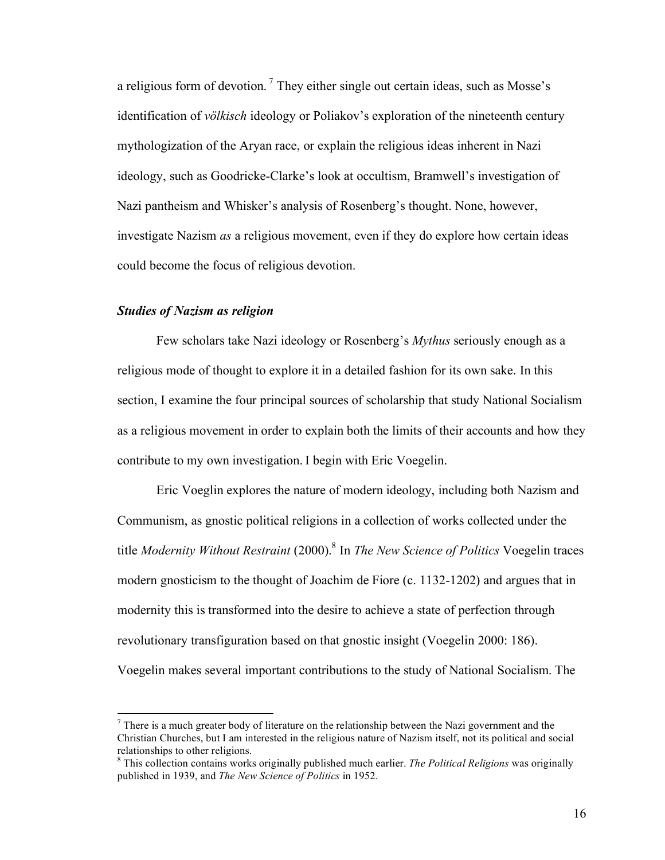a religious form of devotion.<sup>7</sup> They either single out certain ideas, such as Mosse's identification of *völkisch* ideology or Poliakov's exploration of the nineteenth century mythologization of the Aryan race, or explain the religious ideas inherent in Nazi ideology, such as Goodricke-Clarke's look at occultism, Bramwell's investigation of Nazi pantheism and Whisker's analysis of Rosenberg's thought. None, however, investigate Nazism *as* a religious movement, even if they do explore how certain ideas could become the focus of religious devotion.

# *Studies of Nazism as religion*

Few scholars take Nazi ideology or Rosenberg's *Mythus* seriously enough as a religious mode of thought to explore it in a detailed fashion for its own sake. In this section, I examine the four principal sources of scholarship that study National Socialism as a religious movement in order to explain both the limits of their accounts and how they contribute to my own investigation. I begin with Eric Voegelin.

Eric Voeglin explores the nature of modern ideology, including both Nazism and Communism, as gnostic political religions in a collection of works collected under the title *Modernity Without Restraint* (2000). <sup>8</sup> In *The New Science of Politics* Voegelin traces modern gnosticism to the thought of Joachim de Fiore (c. 1132-1202) and argues that in modernity this is transformed into the desire to achieve a state of perfection through revolutionary transfiguration based on that gnostic insight (Voegelin 2000: 186). Voegelin makes several important contributions to the study of National Socialism. The

 $<sup>7</sup>$  There is a much greater body of literature on the relationship between the Nazi government and the</sup> Christian Churches, but I am interested in the religious nature of Nazism itself, not its political and social

<sup>&</sup>lt;sup>8</sup> This collection contains works originally published much earlier. *The Political Religions* was originally published in 1939, and *The New Science of Politics* in 1952.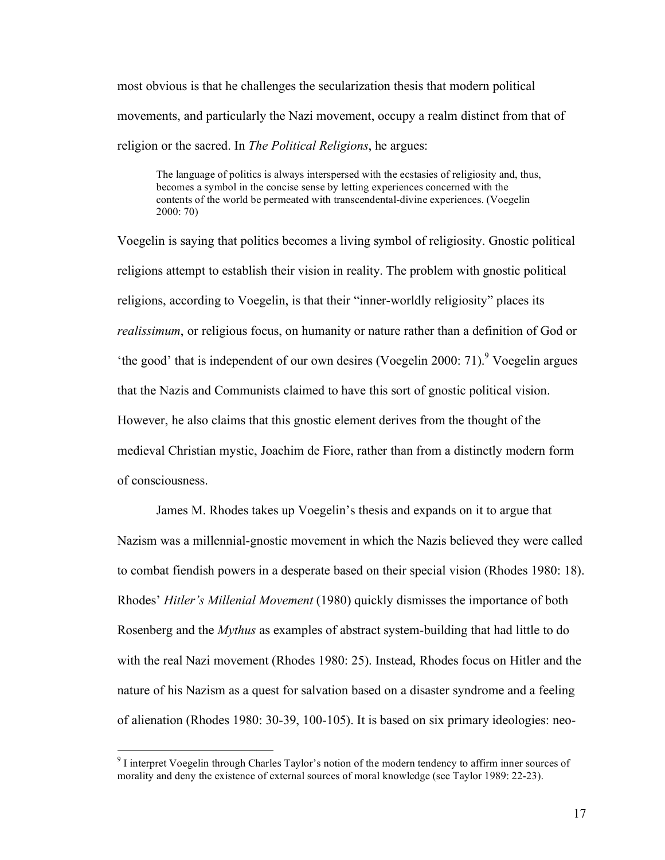most obvious is that he challenges the secularization thesis that modern political movements, and particularly the Nazi movement, occupy a realm distinct from that of religion or the sacred. In *The Political Religions*, he argues:

The language of politics is always interspersed with the ecstasies of religiosity and, thus, becomes a symbol in the concise sense by letting experiences concerned with the contents of the world be permeated with transcendental-divine experiences. (Voegelin 2000: 70)

Voegelin is saying that politics becomes a living symbol of religiosity. Gnostic political religions attempt to establish their vision in reality. The problem with gnostic political religions, according to Voegelin, is that their "inner-worldly religiosity" places its *realissimum*, or religious focus, on humanity or nature rather than a definition of God or 'the good' that is independent of our own desires (Voegelin 2000: 71).<sup>9</sup> Voegelin argues that the Nazis and Communists claimed to have this sort of gnostic political vision. However, he also claims that this gnostic element derives from the thought of the medieval Christian mystic, Joachim de Fiore, rather than from a distinctly modern form of consciousness.

James M. Rhodes takes up Voegelin's thesis and expands on it to argue that Nazism was a millennial-gnostic movement in which the Nazis believed they were called to combat fiendish powers in a desperate based on their special vision (Rhodes 1980: 18). Rhodes' *Hitler's Millenial Movement* (1980) quickly dismisses the importance of both Rosenberg and the *Mythus* as examples of abstract system-building that had little to do with the real Nazi movement (Rhodes 1980: 25). Instead, Rhodes focus on Hitler and the nature of his Nazism as a quest for salvation based on a disaster syndrome and a feeling of alienation (Rhodes 1980: 30-39, 100-105). It is based on six primary ideologies: neo-

 <sup>9</sup> <sup>I</sup> interpret Voegelin through Charles Taylor's notion of the modern tendency to affirm inner sources of morality and deny the existence of external sources of moral knowledge (see Taylor 1989: 22-23).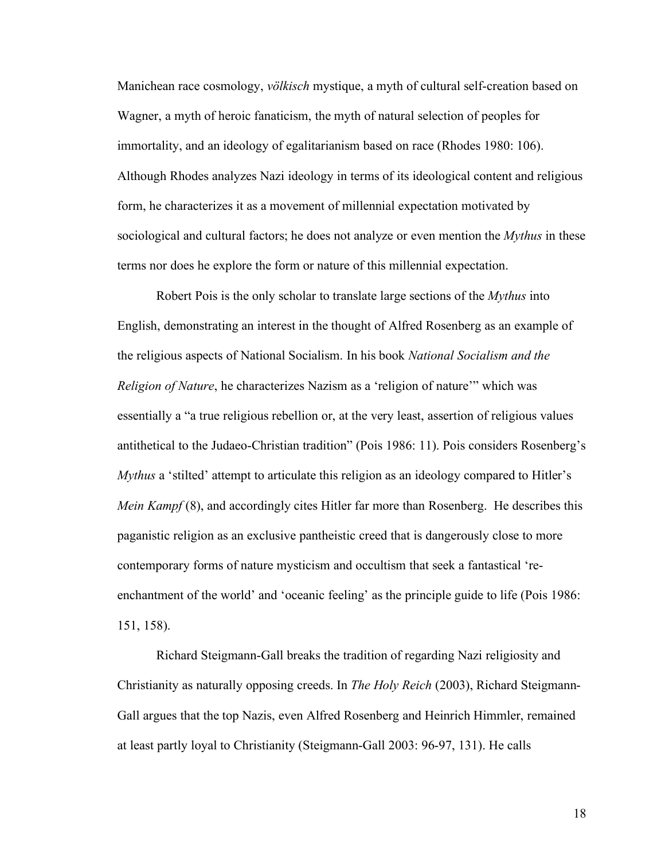Manichean race cosmology, *völkisch* mystique, a myth of cultural self-creation based on Wagner, a myth of heroic fanaticism, the myth of natural selection of peoples for immortality, and an ideology of egalitarianism based on race (Rhodes 1980: 106). Although Rhodes analyzes Nazi ideology in terms of its ideological content and religious form, he characterizes it as a movement of millennial expectation motivated by sociological and cultural factors; he does not analyze or even mention the *Mythus* in these terms nor does he explore the form or nature of this millennial expectation.

Robert Pois is the only scholar to translate large sections of the *Mythus* into English, demonstrating an interest in the thought of Alfred Rosenberg as an example of the religious aspects of National Socialism. In his book *National Socialism and the Religion of Nature*, he characterizes Nazism as a 'religion of nature'" which was essentially a "a true religious rebellion or, at the very least, assertion of religious values antithetical to the Judaeo-Christian tradition" (Pois 1986: 11). Pois considers Rosenberg's *Mythus* a 'stilted' attempt to articulate this religion as an ideology compared to Hitler's *Mein Kampf* (8), and accordingly cites Hitler far more than Rosenberg. He describes this paganistic religion as an exclusive pantheistic creed that is dangerously close to more contemporary forms of nature mysticism and occultism that seek a fantastical 'reenchantment of the world' and 'oceanic feeling' as the principle guide to life (Pois 1986: 151, 158).

Richard Steigmann-Gall breaks the tradition of regarding Nazi religiosity and Christianity as naturally opposing creeds. In *The Holy Reich* (2003), Richard Steigmann-Gall argues that the top Nazis, even Alfred Rosenberg and Heinrich Himmler, remained at least partly loyal to Christianity (Steigmann-Gall 2003: 96-97, 131). He calls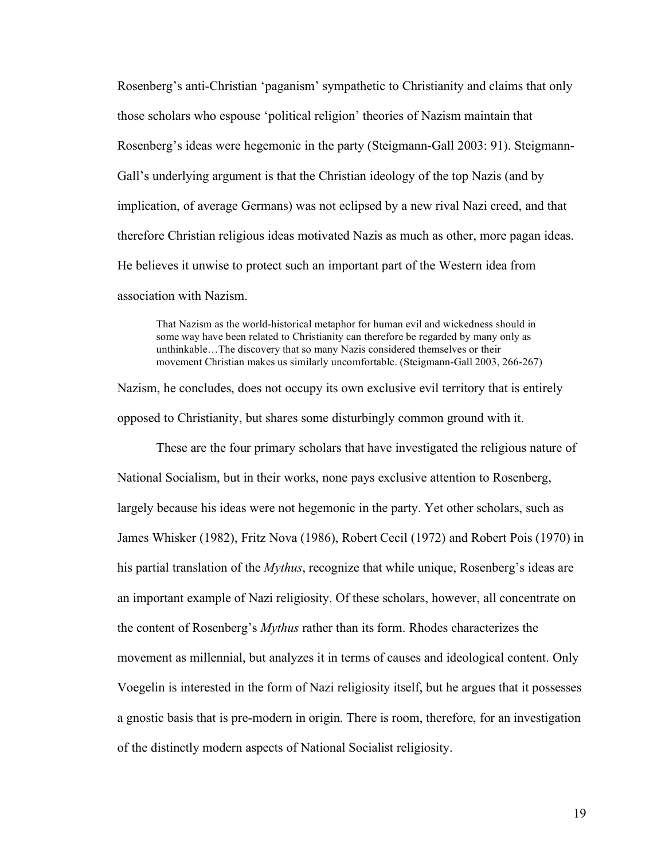Rosenberg's anti-Christian 'paganism' sympathetic to Christianity and claims that only those scholars who espouse 'political religion' theories of Nazism maintain that Rosenberg's ideas were hegemonic in the party (Steigmann-Gall 2003: 91). Steigmann-Gall's underlying argument is that the Christian ideology of the top Nazis (and by implication, of average Germans) was not eclipsed by a new rival Nazi creed, and that therefore Christian religious ideas motivated Nazis as much as other, more pagan ideas. He believes it unwise to protect such an important part of the Western idea from association with Nazism.

That Nazism as the world-historical metaphor for human evil and wickedness should in some way have been related to Christianity can therefore be regarded by many only as unthinkable…The discovery that so many Nazis considered themselves or their movement Christian makes us similarly uncomfortable. (Steigmann-Gall 2003, 266-267)

Nazism, he concludes, does not occupy its own exclusive evil territory that is entirely opposed to Christianity, but shares some disturbingly common ground with it.

These are the four primary scholars that have investigated the religious nature of National Socialism, but in their works, none pays exclusive attention to Rosenberg, largely because his ideas were not hegemonic in the party. Yet other scholars, such as James Whisker (1982), Fritz Nova (1986), Robert Cecil (1972) and Robert Pois (1970) in his partial translation of the *Mythus*, recognize that while unique, Rosenberg's ideas are an important example of Nazi religiosity. Of these scholars, however, all concentrate on the content of Rosenberg's *Mythus* rather than its form. Rhodes characterizes the movement as millennial, but analyzes it in terms of causes and ideological content. Only Voegelin is interested in the form of Nazi religiosity itself, but he argues that it possesses a gnostic basis that is pre-modern in origin. There is room, therefore, for an investigation of the distinctly modern aspects of National Socialist religiosity.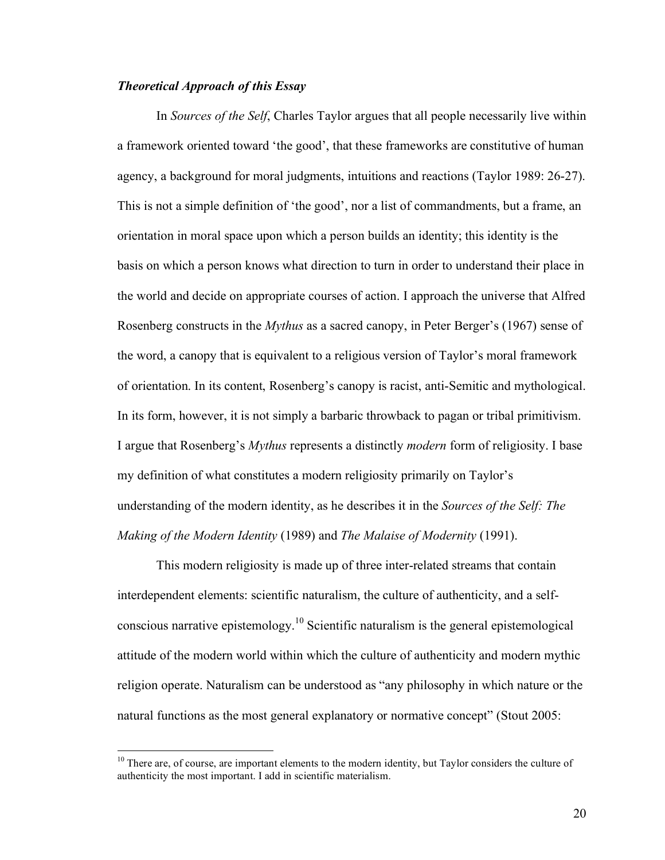#### *Theoretical Approach of this Essay*

In *Sources of the Self*, Charles Taylor argues that all people necessarily live within a framework oriented toward 'the good', that these frameworks are constitutive of human agency, a background for moral judgments, intuitions and reactions (Taylor 1989: 26-27). This is not a simple definition of 'the good', nor a list of commandments, but a frame, an orientation in moral space upon which a person builds an identity; this identity is the basis on which a person knows what direction to turn in order to understand their place in the world and decide on appropriate courses of action. I approach the universe that Alfred Rosenberg constructs in the *Mythus* as a sacred canopy, in Peter Berger's (1967) sense of the word, a canopy that is equivalent to a religious version of Taylor's moral framework of orientation. In its content, Rosenberg's canopy is racist, anti-Semitic and mythological. In its form, however, it is not simply a barbaric throwback to pagan or tribal primitivism. I argue that Rosenberg's *Mythus* represents a distinctly *modern* form of religiosity. I base my definition of what constitutes a modern religiosity primarily on Taylor's understanding of the modern identity, as he describes it in the *Sources of the Self: The Making of the Modern Identity* (1989) and *The Malaise of Modernity* (1991).

This modern religiosity is made up of three inter-related streams that contain interdependent elements: scientific naturalism, the culture of authenticity, and a selfconscious narrative epistemology.<sup>10</sup> Scientific naturalism is the general epistemological attitude of the modern world within which the culture of authenticity and modern mythic religion operate. Naturalism can be understood as "any philosophy in which nature or the natural functions as the most general explanatory or normative concept" (Stout 2005:

<sup>&</sup>lt;sup>10</sup> There are, of course, are important elements to the modern identity, but Taylor considers the culture of authenticity the most important. I add in scientific materialism.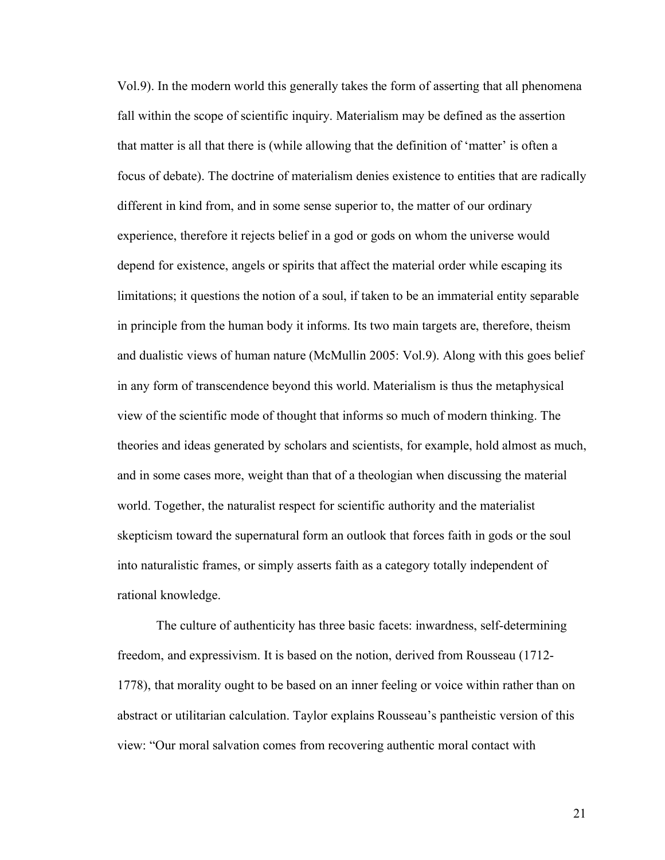Vol.9). In the modern world this generally takes the form of asserting that all phenomena fall within the scope of scientific inquiry. Materialism may be defined as the assertion that matter is all that there is (while allowing that the definition of 'matter' is often a focus of debate). The doctrine of materialism denies existence to entities that are radically different in kind from, and in some sense superior to, the matter of our ordinary experience, therefore it rejects belief in a god or gods on whom the universe would depend for existence, angels or spirits that affect the material order while escaping its limitations; it questions the notion of a soul, if taken to be an immaterial entity separable in principle from the human body it informs. Its two main targets are, therefore, theism and dualistic views of human nature (McMullin 2005: Vol.9). Along with this goes belief in any form of transcendence beyond this world. Materialism is thus the metaphysical view of the scientific mode of thought that informs so much of modern thinking. The theories and ideas generated by scholars and scientists, for example, hold almost as much, and in some cases more, weight than that of a theologian when discussing the material world. Together, the naturalist respect for scientific authority and the materialist skepticism toward the supernatural form an outlook that forces faith in gods or the soul into naturalistic frames, or simply asserts faith as a category totally independent of rational knowledge.

The culture of authenticity has three basic facets: inwardness, self-determining freedom, and expressivism. It is based on the notion, derived from Rousseau (1712- 1778), that morality ought to be based on an inner feeling or voice within rather than on abstract or utilitarian calculation. Taylor explains Rousseau's pantheistic version of this view: "Our moral salvation comes from recovering authentic moral contact with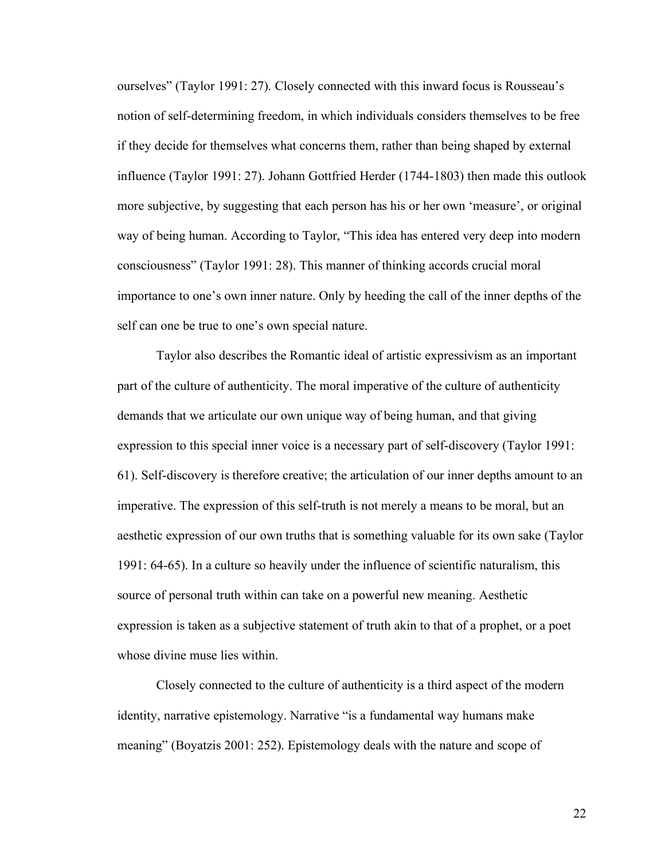ourselves" (Taylor 1991: 27). Closely connected with this inward focus is Rousseau's notion of self-determining freedom, in which individuals considers themselves to be free if they decide for themselves what concerns them, rather than being shaped by external influence (Taylor 1991: 27). Johann Gottfried Herder (1744-1803) then made this outlook more subjective, by suggesting that each person has his or her own 'measure', or original way of being human. According to Taylor, "This idea has entered very deep into modern consciousness" (Taylor 1991: 28). This manner of thinking accords crucial moral importance to one's own inner nature. Only by heeding the call of the inner depths of the self can one be true to one's own special nature.

Taylor also describes the Romantic ideal of artistic expressivism as an important part of the culture of authenticity. The moral imperative of the culture of authenticity demands that we articulate our own unique way of being human, and that giving expression to this special inner voice is a necessary part of self-discovery (Taylor 1991: 61). Self-discovery is therefore creative; the articulation of our inner depths amount to an imperative. The expression of this self-truth is not merely a means to be moral, but an aesthetic expression of our own truths that is something valuable for its own sake (Taylor 1991: 64-65). In a culture so heavily under the influence of scientific naturalism, this source of personal truth within can take on a powerful new meaning. Aesthetic expression is taken as a subjective statement of truth akin to that of a prophet, or a poet whose divine muse lies within.

Closely connected to the culture of authenticity is a third aspect of the modern identity, narrative epistemology. Narrative "is a fundamental way humans make meaning" (Boyatzis 2001: 252). Epistemology deals with the nature and scope of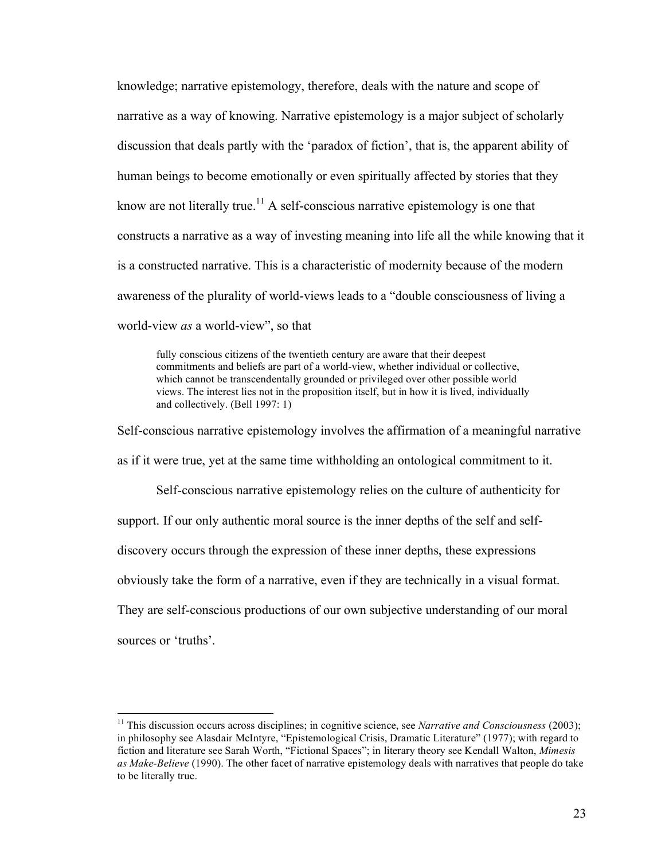knowledge; narrative epistemology, therefore, deals with the nature and scope of narrative as a way of knowing. Narrative epistemology is a major subject of scholarly discussion that deals partly with the 'paradox of fiction', that is, the apparent ability of human beings to become emotionally or even spiritually affected by stories that they know are not literally true.<sup>11</sup> A self-conscious narrative epistemology is one that constructs a narrative as a way of investing meaning into life all the while knowing that it is a constructed narrative. This is a characteristic of modernity because of the modern awareness of the plurality of world-views leads to a "double consciousness of living a world-view *as* a world-view", so that

fully conscious citizens of the twentieth century are aware that their deepest commitments and beliefs are part of a world-view, whether individual or collective, which cannot be transcendentally grounded or privileged over other possible world views. The interest lies not in the proposition itself, but in how it is lived, individually and collectively. (Bell 1997: 1)

Self-conscious narrative epistemology involves the affirmation of a meaningful narrative as if it were true, yet at the same time withholding an ontological commitment to it.

Self-conscious narrative epistemology relies on the culture of authenticity for support. If our only authentic moral source is the inner depths of the self and selfdiscovery occurs through the expression of these inner depths, these expressions obviously take the form of a narrative, even if they are technically in a visual format. They are self-conscious productions of our own subjective understanding of our moral sources or 'truths'.

 <sup>11</sup> This discussion occurs across disciplines; in cognitive science, see *Narrative and Consciousness* (2003); in philosophy see Alasdair McIntyre, "Epistemological Crisis, Dramatic Literature" (1977); with regard to fiction and literature see Sarah Worth, "Fictional Spaces"; in literary theory see Kendall Walton, *Mimesis as Make-Believe* (1990). The other facet of narrative epistemology deals with narratives that people do take to be literally true.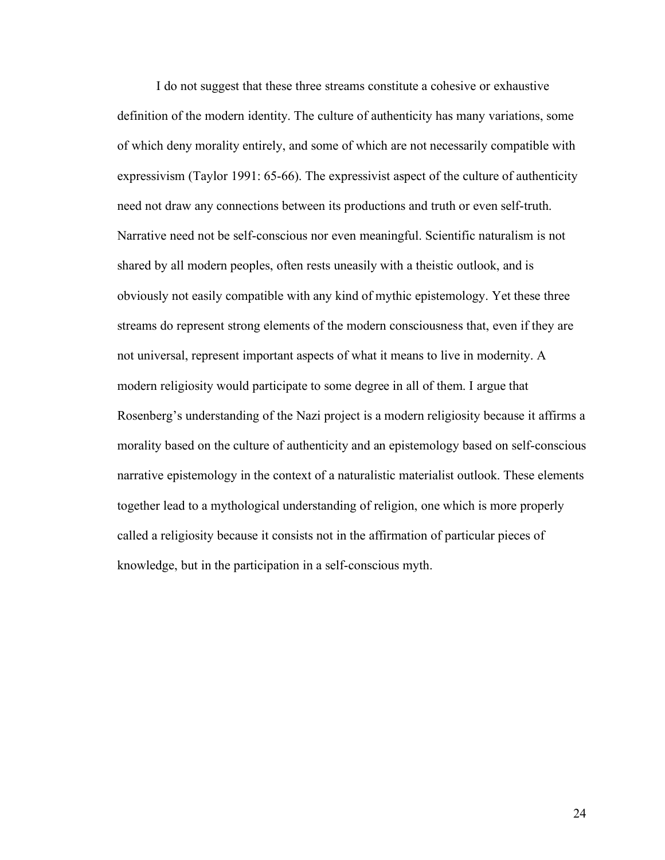I do not suggest that these three streams constitute a cohesive or exhaustive definition of the modern identity. The culture of authenticity has many variations, some of which deny morality entirely, and some of which are not necessarily compatible with expressivism (Taylor 1991: 65-66). The expressivist aspect of the culture of authenticity need not draw any connections between its productions and truth or even self-truth. Narrative need not be self-conscious nor even meaningful. Scientific naturalism is not shared by all modern peoples, often rests uneasily with a theistic outlook, and is obviously not easily compatible with any kind of mythic epistemology. Yet these three streams do represent strong elements of the modern consciousness that, even if they are not universal, represent important aspects of what it means to live in modernity. A modern religiosity would participate to some degree in all of them. I argue that Rosenberg's understanding of the Nazi project is a modern religiosity because it affirms a morality based on the culture of authenticity and an epistemology based on self-conscious narrative epistemology in the context of a naturalistic materialist outlook. These elements together lead to a mythological understanding of religion, one which is more properly called a religiosity because it consists not in the affirmation of particular pieces of knowledge, but in the participation in a self-conscious myth.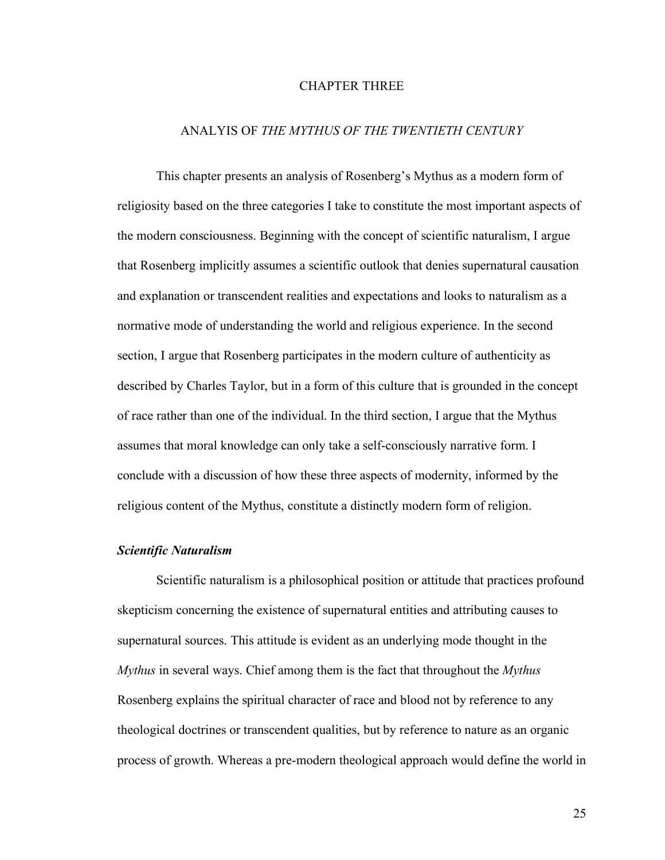#### CHAPTER THREE

### ANALYIS OF *THE MYTHUS OF THE TWENTIETH CENTURY*

This chapter presents an analysis of Rosenberg's Mythus as a modern form of religiosity based on the three categories I take to constitute the most important aspects of the modern consciousness. Beginning with the concept of scientific naturalism, I argue that Rosenberg implicitly assumes a scientific outlook that denies supernatural causation and explanation or transcendent realities and expectations and looks to naturalism as a normative mode of understanding the world and religious experience. In the second section, I argue that Rosenberg participates in the modern culture of authenticity as described by Charles Taylor, but in a form of this culture that is grounded in the concept of race rather than one of the individual. In the third section, I argue that the Mythus assumes that moral knowledge can only take a self-consciously narrative form. I conclude with a discussion of how these three aspects of modernity, informed by the religious content of the Mythus, constitute a distinctly modern form of religion.

#### *Scientific Naturalism*

Scientific naturalism is a philosophical position or attitude that practices profound skepticism concerning the existence of supernatural entities and attributing causes to supernatural sources. This attitude is evident as an underlying mode thought in the *Mythus* in several ways. Chief among them is the fact that throughout the *Mythus* Rosenberg explains the spiritual character of race and blood not by reference to any theological doctrines or transcendent qualities, but by reference to nature as an organic process of growth. Whereas a pre-modern theological approach would define the world in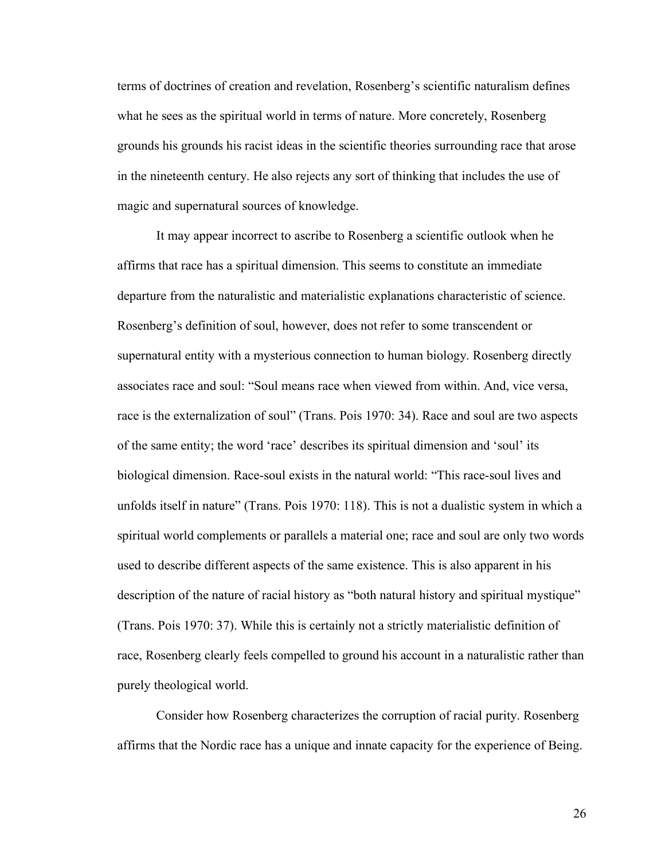terms of doctrines of creation and revelation, Rosenberg's scientific naturalism defines what he sees as the spiritual world in terms of nature. More concretely, Rosenberg grounds his grounds his racist ideas in the scientific theories surrounding race that arose in the nineteenth century. He also rejects any sort of thinking that includes the use of magic and supernatural sources of knowledge.

It may appear incorrect to ascribe to Rosenberg a scientific outlook when he affirms that race has a spiritual dimension. This seems to constitute an immediate departure from the naturalistic and materialistic explanations characteristic of science. Rosenberg's definition of soul, however, does not refer to some transcendent or supernatural entity with a mysterious connection to human biology. Rosenberg directly associates race and soul: "Soul means race when viewed from within. And, vice versa, race is the externalization of soul" (Trans. Pois 1970: 34). Race and soul are two aspects of the same entity; the word 'race' describes its spiritual dimension and 'soul' its biological dimension. Race-soul exists in the natural world: "This race-soul lives and unfolds itself in nature" (Trans. Pois 1970: 118). This is not a dualistic system in which a spiritual world complements or parallels a material one; race and soul are only two words used to describe different aspects of the same existence. This is also apparent in his description of the nature of racial history as "both natural history and spiritual mystique" (Trans. Pois 1970: 37). While this is certainly not a strictly materialistic definition of race, Rosenberg clearly feels compelled to ground his account in a naturalistic rather than purely theological world.

Consider how Rosenberg characterizes the corruption of racial purity. Rosenberg affirms that the Nordic race has a unique and innate capacity for the experience of Being.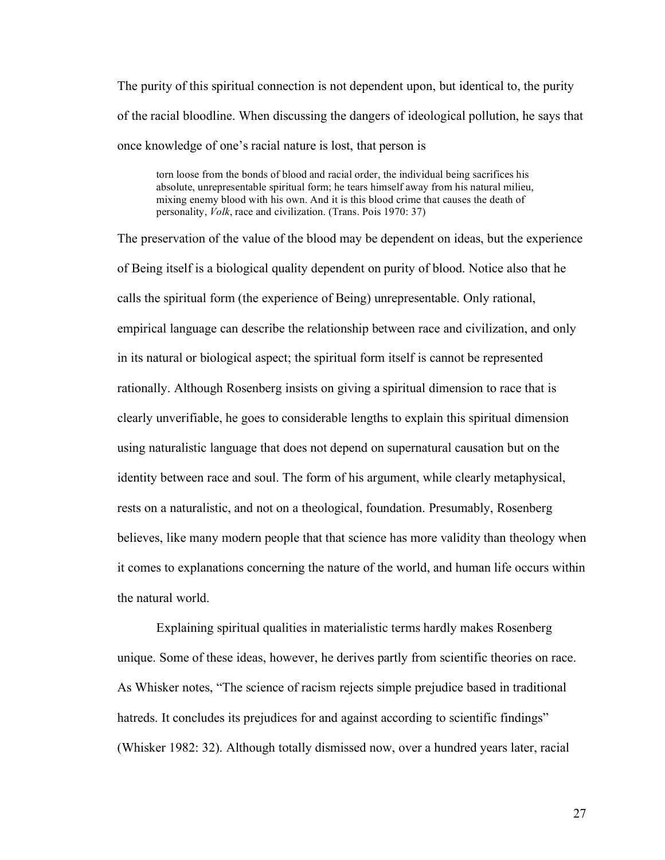The purity of this spiritual connection is not dependent upon, but identical to, the purity of the racial bloodline. When discussing the dangers of ideological pollution, he says that once knowledge of one's racial nature is lost, that person is

torn loose from the bonds of blood and racial order, the individual being sacrifices his absolute, unrepresentable spiritual form; he tears himself away from his natural milieu, mixing enemy blood with his own. And it is this blood crime that causes the death of personality, *Volk*, race and civilization. (Trans. Pois 1970: 37)

The preservation of the value of the blood may be dependent on ideas, but the experience of Being itself is a biological quality dependent on purity of blood. Notice also that he calls the spiritual form (the experience of Being) unrepresentable. Only rational, empirical language can describe the relationship between race and civilization, and only in its natural or biological aspect; the spiritual form itself is cannot be represented rationally. Although Rosenberg insists on giving a spiritual dimension to race that is clearly unverifiable, he goes to considerable lengths to explain this spiritual dimension using naturalistic language that does not depend on supernatural causation but on the identity between race and soul. The form of his argument, while clearly metaphysical, rests on a naturalistic, and not on a theological, foundation. Presumably, Rosenberg believes, like many modern people that that science has more validity than theology when it comes to explanations concerning the nature of the world, and human life occurs within the natural world.

Explaining spiritual qualities in materialistic terms hardly makes Rosenberg unique. Some of these ideas, however, he derives partly from scientific theories on race. As Whisker notes, "The science of racism rejects simple prejudice based in traditional hatreds. It concludes its prejudices for and against according to scientific findings" (Whisker 1982: 32). Although totally dismissed now, over a hundred years later, racial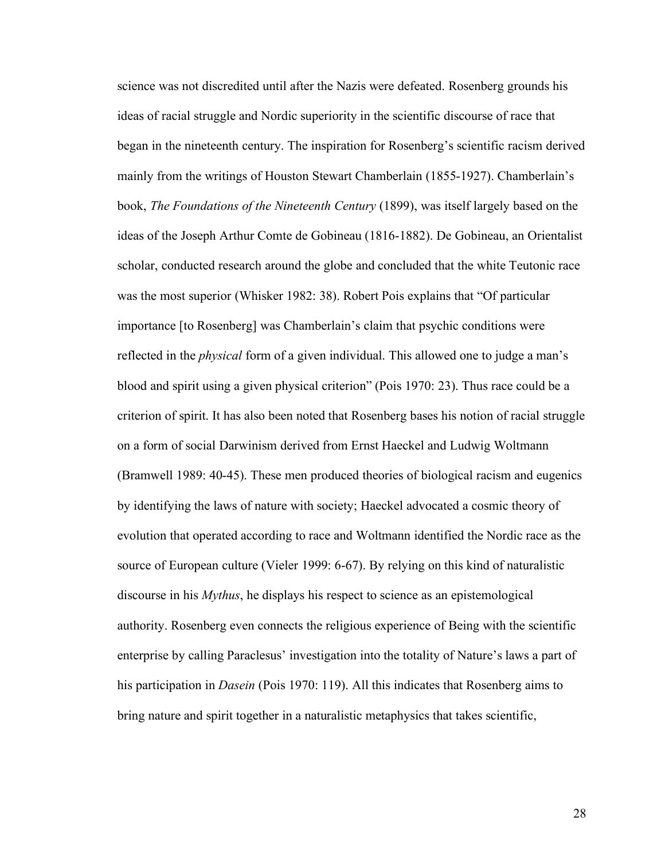science was not discredited until after the Nazis were defeated. Rosenberg grounds his ideas of racial struggle and Nordic superiority in the scientific discourse of race that began in the nineteenth century. The inspiration for Rosenberg's scientific racism derived mainly from the writings of Houston Stewart Chamberlain (1855-1927). Chamberlain's book, *The Foundations of the Nineteenth Century* (1899), was itself largely based on the ideas of the Joseph Arthur Comte de Gobineau (1816-1882). De Gobineau, an Orientalist scholar, conducted research around the globe and concluded that the white Teutonic race was the most superior (Whisker 1982: 38). Robert Pois explains that "Of particular importance [to Rosenberg] was Chamberlain's claim that psychic conditions were reflected in the *physical* form of a given individual. This allowed one to judge a man's blood and spirit using a given physical criterion" (Pois 1970: 23). Thus race could be a criterion of spirit. It has also been noted that Rosenberg bases his notion of racial struggle on a form of social Darwinism derived from Ernst Haeckel and Ludwig Woltmann (Bramwell 1989: 40-45). These men produced theories of biological racism and eugenics by identifying the laws of nature with society; Haeckel advocated a cosmic theory of evolution that operated according to race and Woltmann identified the Nordic race as the source of European culture (Vieler 1999: 6-67). By relying on this kind of naturalistic discourse in his *Mythus*, he displays his respect to science as an epistemological authority. Rosenberg even connects the religious experience of Being with the scientific enterprise by calling Paraclesus' investigation into the totality of Nature's laws a part of his participation in *Dasein* (Pois 1970: 119). All this indicates that Rosenberg aims to bring nature and spirit together in a naturalistic metaphysics that takes scientific,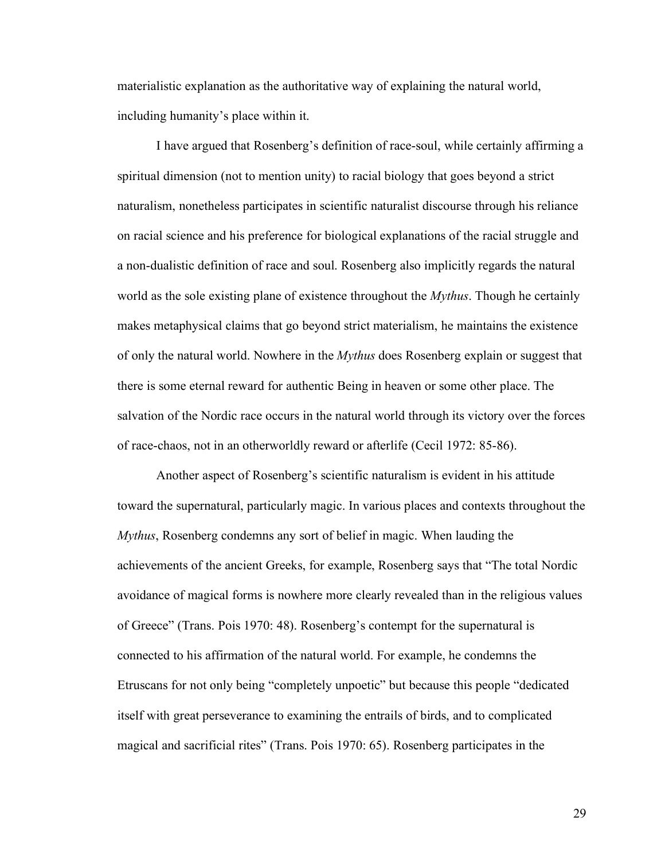materialistic explanation as the authoritative way of explaining the natural world, including humanity's place within it.

I have argued that Rosenberg's definition of race-soul, while certainly affirming a spiritual dimension (not to mention unity) to racial biology that goes beyond a strict naturalism, nonetheless participates in scientific naturalist discourse through his reliance on racial science and his preference for biological explanations of the racial struggle and a non-dualistic definition of race and soul. Rosenberg also implicitly regards the natural world as the sole existing plane of existence throughout the *Mythus*. Though he certainly makes metaphysical claims that go beyond strict materialism, he maintains the existence of only the natural world. Nowhere in the *Mythus* does Rosenberg explain or suggest that there is some eternal reward for authentic Being in heaven or some other place. The salvation of the Nordic race occurs in the natural world through its victory over the forces of race-chaos, not in an otherworldly reward or afterlife (Cecil 1972: 85-86).

Another aspect of Rosenberg's scientific naturalism is evident in his attitude toward the supernatural, particularly magic. In various places and contexts throughout the *Mythus*, Rosenberg condemns any sort of belief in magic. When lauding the achievements of the ancient Greeks, for example, Rosenberg says that "The total Nordic avoidance of magical forms is nowhere more clearly revealed than in the religious values of Greece" (Trans. Pois 1970: 48). Rosenberg's contempt for the supernatural is connected to his affirmation of the natural world. For example, he condemns the Etruscans for not only being "completely unpoetic" but because this people "dedicated itself with great perseverance to examining the entrails of birds, and to complicated magical and sacrificial rites" (Trans. Pois 1970: 65). Rosenberg participates in the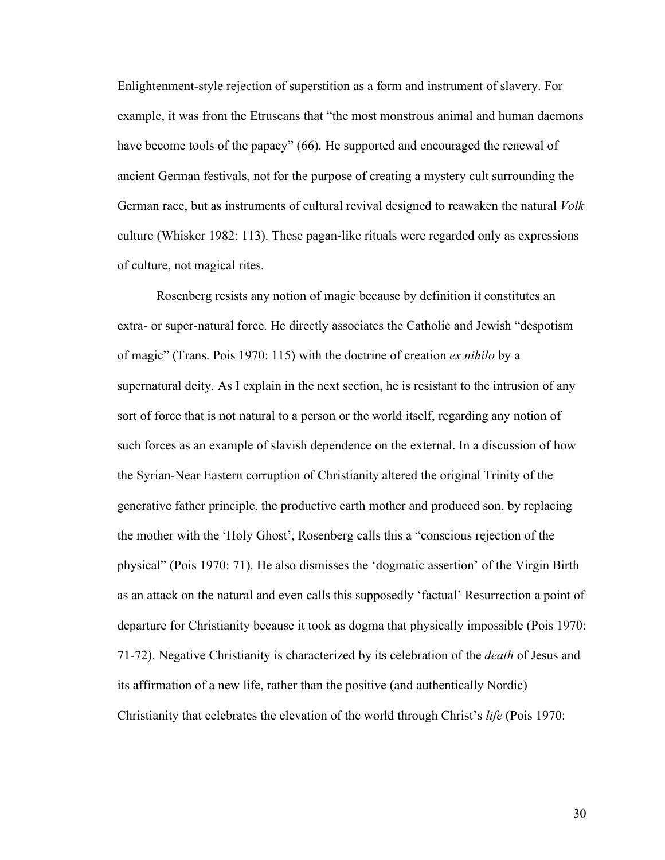Enlightenment-style rejection of superstition as a form and instrument of slavery. For example, it was from the Etruscans that "the most monstrous animal and human daemons have become tools of the papacy" (66). He supported and encouraged the renewal of ancient German festivals, not for the purpose of creating a mystery cult surrounding the German race, but as instruments of cultural revival designed to reawaken the natural *Volk* culture (Whisker 1982: 113). These pagan-like rituals were regarded only as expressions of culture, not magical rites.

Rosenberg resists any notion of magic because by definition it constitutes an extra- or super-natural force. He directly associates the Catholic and Jewish "despotism of magic" (Trans. Pois 1970: 115) with the doctrine of creation *ex nihilo* by a supernatural deity. As I explain in the next section, he is resistant to the intrusion of any sort of force that is not natural to a person or the world itself, regarding any notion of such forces as an example of slavish dependence on the external. In a discussion of how the Syrian-Near Eastern corruption of Christianity altered the original Trinity of the generative father principle, the productive earth mother and produced son, by replacing the mother with the 'Holy Ghost', Rosenberg calls this a "conscious rejection of the physical" (Pois 1970: 71). He also dismisses the 'dogmatic assertion' of the Virgin Birth as an attack on the natural and even calls this supposedly 'factual' Resurrection a point of departure for Christianity because it took as dogma that physically impossible (Pois 1970: 71-72). Negative Christianity is characterized by its celebration of the *death* of Jesus and its affirmation of a new life, rather than the positive (and authentically Nordic) Christianity that celebrates the elevation of the world through Christ's *life* (Pois 1970: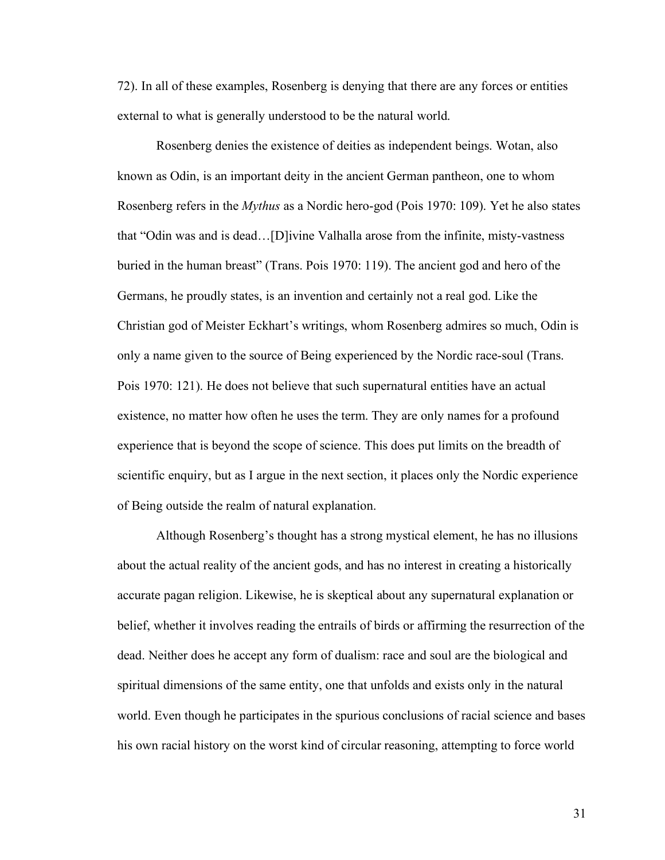72). In all of these examples, Rosenberg is denying that there are any forces or entities external to what is generally understood to be the natural world.

Rosenberg denies the existence of deities as independent beings. Wotan, also known as Odin, is an important deity in the ancient German pantheon, one to whom Rosenberg refers in the *Mythus* as a Nordic hero-god (Pois 1970: 109). Yet he also states that "Odin was and is dead…[D]ivine Valhalla arose from the infinite, misty-vastness buried in the human breast" (Trans. Pois 1970: 119). The ancient god and hero of the Germans, he proudly states, is an invention and certainly not a real god. Like the Christian god of Meister Eckhart's writings, whom Rosenberg admires so much, Odin is only a name given to the source of Being experienced by the Nordic race-soul (Trans. Pois 1970: 121). He does not believe that such supernatural entities have an actual existence, no matter how often he uses the term. They are only names for a profound experience that is beyond the scope of science. This does put limits on the breadth of scientific enquiry, but as I argue in the next section, it places only the Nordic experience of Being outside the realm of natural explanation.

Although Rosenberg's thought has a strong mystical element, he has no illusions about the actual reality of the ancient gods, and has no interest in creating a historically accurate pagan religion. Likewise, he is skeptical about any supernatural explanation or belief, whether it involves reading the entrails of birds or affirming the resurrection of the dead. Neither does he accept any form of dualism: race and soul are the biological and spiritual dimensions of the same entity, one that unfolds and exists only in the natural world. Even though he participates in the spurious conclusions of racial science and bases his own racial history on the worst kind of circular reasoning, attempting to force world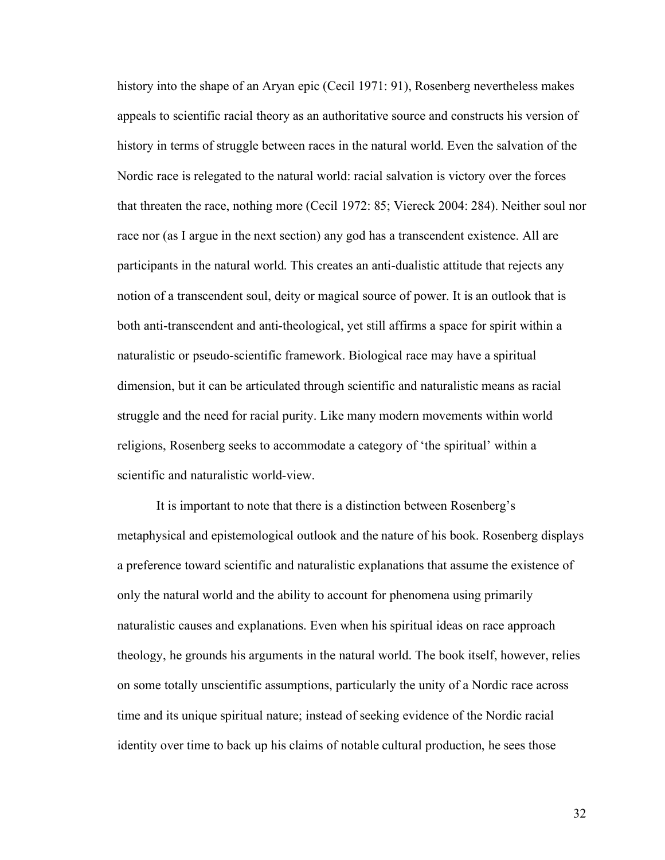history into the shape of an Aryan epic (Cecil 1971: 91), Rosenberg nevertheless makes appeals to scientific racial theory as an authoritative source and constructs his version of history in terms of struggle between races in the natural world. Even the salvation of the Nordic race is relegated to the natural world: racial salvation is victory over the forces that threaten the race, nothing more (Cecil 1972: 85; Viereck 2004: 284). Neither soul nor race nor (as I argue in the next section) any god has a transcendent existence. All are participants in the natural world. This creates an anti-dualistic attitude that rejects any notion of a transcendent soul, deity or magical source of power. It is an outlook that is both anti-transcendent and anti-theological, yet still affirms a space for spirit within a naturalistic or pseudo-scientific framework. Biological race may have a spiritual dimension, but it can be articulated through scientific and naturalistic means as racial struggle and the need for racial purity. Like many modern movements within world religions, Rosenberg seeks to accommodate a category of 'the spiritual' within a scientific and naturalistic world-view.

It is important to note that there is a distinction between Rosenberg's metaphysical and epistemological outlook and the nature of his book. Rosenberg displays a preference toward scientific and naturalistic explanations that assume the existence of only the natural world and the ability to account for phenomena using primarily naturalistic causes and explanations. Even when his spiritual ideas on race approach theology, he grounds his arguments in the natural world. The book itself, however, relies on some totally unscientific assumptions, particularly the unity of a Nordic race across time and its unique spiritual nature; instead of seeking evidence of the Nordic racial identity over time to back up his claims of notable cultural production, he sees those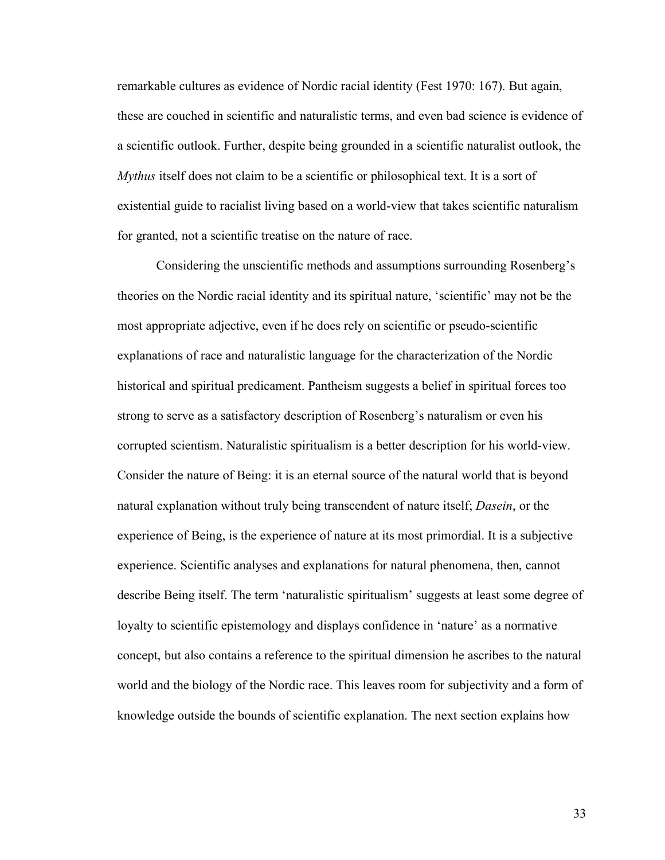remarkable cultures as evidence of Nordic racial identity (Fest 1970: 167). But again, these are couched in scientific and naturalistic terms, and even bad science is evidence of a scientific outlook. Further, despite being grounded in a scientific naturalist outlook, the *Mythus* itself does not claim to be a scientific or philosophical text. It is a sort of existential guide to racialist living based on a world-view that takes scientific naturalism for granted, not a scientific treatise on the nature of race.

Considering the unscientific methods and assumptions surrounding Rosenberg's theories on the Nordic racial identity and its spiritual nature, 'scientific' may not be the most appropriate adjective, even if he does rely on scientific or pseudo-scientific explanations of race and naturalistic language for the characterization of the Nordic historical and spiritual predicament. Pantheism suggests a belief in spiritual forces too strong to serve as a satisfactory description of Rosenberg's naturalism or even his corrupted scientism. Naturalistic spiritualism is a better description for his world-view. Consider the nature of Being: it is an eternal source of the natural world that is beyond natural explanation without truly being transcendent of nature itself; *Dasein*, or the experience of Being, is the experience of nature at its most primordial. It is a subjective experience. Scientific analyses and explanations for natural phenomena, then, cannot describe Being itself. The term 'naturalistic spiritualism' suggests at least some degree of loyalty to scientific epistemology and displays confidence in 'nature' as a normative concept, but also contains a reference to the spiritual dimension he ascribes to the natural world and the biology of the Nordic race. This leaves room for subjectivity and a form of knowledge outside the bounds of scientific explanation. The next section explains how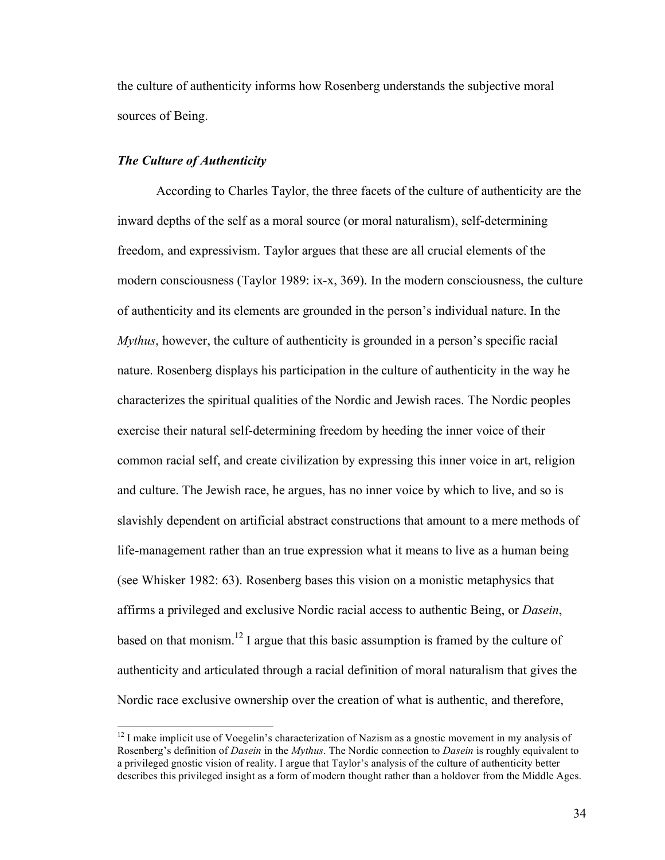the culture of authenticity informs how Rosenberg understands the subjective moral sources of Being.

## *The Culture of Authenticity*

According to Charles Taylor, the three facets of the culture of authenticity are the inward depths of the self as a moral source (or moral naturalism), self-determining freedom, and expressivism. Taylor argues that these are all crucial elements of the modern consciousness (Taylor 1989: ix-x, 369). In the modern consciousness, the culture of authenticity and its elements are grounded in the person's individual nature. In the *Mythus*, however, the culture of authenticity is grounded in a person's specific racial nature. Rosenberg displays his participation in the culture of authenticity in the way he characterizes the spiritual qualities of the Nordic and Jewish races. The Nordic peoples exercise their natural self-determining freedom by heeding the inner voice of their common racial self, and create civilization by expressing this inner voice in art, religion and culture. The Jewish race, he argues, has no inner voice by which to live, and so is slavishly dependent on artificial abstract constructions that amount to a mere methods of life-management rather than an true expression what it means to live as a human being (see Whisker 1982: 63). Rosenberg bases this vision on a monistic metaphysics that affirms a privileged and exclusive Nordic racial access to authentic Being, or *Dasein*, based on that monism.<sup>12</sup> I argue that this basic assumption is framed by the culture of authenticity and articulated through a racial definition of moral naturalism that gives the Nordic race exclusive ownership over the creation of what is authentic, and therefore,

 $12$  I make implicit use of Voegelin's characterization of Nazism as a gnostic movement in my analysis of Rosenberg's definition of *Dasein* in the *Mythus*. The Nordic connection to *Dasein* is roughly equivalent to a privileged gnostic vision of reality. I argue that Taylor's analysis of the culture of authenticity better describes this privileged insight as a form of modern thought rather than a holdover from the Middle Ages.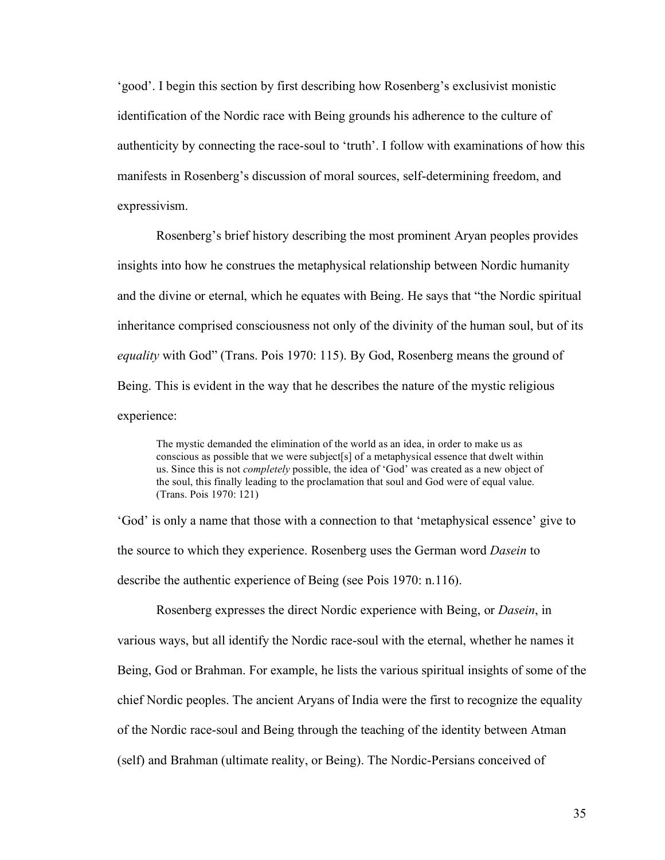'good'. I begin this section by first describing how Rosenberg's exclusivist monistic identification of the Nordic race with Being grounds his adherence to the culture of authenticity by connecting the race-soul to 'truth'. I follow with examinations of how this manifests in Rosenberg's discussion of moral sources, self-determining freedom, and expressivism.

Rosenberg's brief history describing the most prominent Aryan peoples provides insights into how he construes the metaphysical relationship between Nordic humanity and the divine or eternal, which he equates with Being. He says that "the Nordic spiritual inheritance comprised consciousness not only of the divinity of the human soul, but of its *equality* with God" (Trans. Pois 1970: 115). By God, Rosenberg means the ground of Being. This is evident in the way that he describes the nature of the mystic religious experience:

The mystic demanded the elimination of the world as an idea, in order to make us as conscious as possible that we were subject[s] of a metaphysical essence that dwelt within us. Since this is not *completely* possible, the idea of 'God' was created as a new object of the soul, this finally leading to the proclamation that soul and God were of equal value. (Trans. Pois 1970: 121)

'God' is only a name that those with a connection to that 'metaphysical essence' give to the source to which they experience. Rosenberg uses the German word *Dasein* to describe the authentic experience of Being (see Pois 1970: n.116).

Rosenberg expresses the direct Nordic experience with Being, or *Dasein*, in various ways, but all identify the Nordic race-soul with the eternal, whether he names it Being, God or Brahman. For example, he lists the various spiritual insights of some of the chief Nordic peoples. The ancient Aryans of India were the first to recognize the equality of the Nordic race-soul and Being through the teaching of the identity between Atman (self) and Brahman (ultimate reality, or Being). The Nordic-Persians conceived of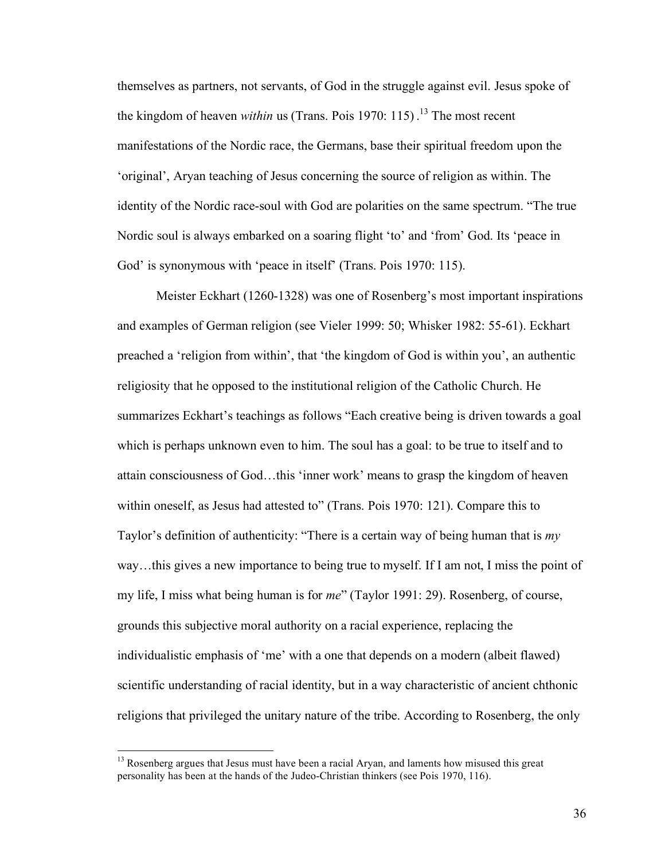themselves as partners, not servants, of God in the struggle against evil. Jesus spoke of the kingdom of heaven *within* us (Trans. Pois 1970: 115) . <sup>13</sup> The most recent manifestations of the Nordic race, the Germans, base their spiritual freedom upon the 'original', Aryan teaching of Jesus concerning the source of religion as within. The identity of the Nordic race-soul with God are polarities on the same spectrum. "The true Nordic soul is always embarked on a soaring flight 'to' and 'from' God. Its 'peace in God' is synonymous with 'peace in itself' (Trans. Pois 1970: 115).

Meister Eckhart (1260-1328) was one of Rosenberg's most important inspirations and examples of German religion (see Vieler 1999: 50; Whisker 1982: 55-61). Eckhart preached a 'religion from within', that 'the kingdom of God is within you', an authentic religiosity that he opposed to the institutional religion of the Catholic Church. He summarizes Eckhart's teachings as follows "Each creative being is driven towards a goal which is perhaps unknown even to him. The soul has a goal: to be true to itself and to attain consciousness of God…this 'inner work' means to grasp the kingdom of heaven within oneself, as Jesus had attested to" (Trans. Pois 1970: 121). Compare this to Taylor's definition of authenticity: "There is a certain way of being human that is *my* way…this gives a new importance to being true to myself. If I am not, I miss the point of my life, I miss what being human is for *me*" (Taylor 1991: 29). Rosenberg, of course, grounds this subjective moral authority on a racial experience, replacing the individualistic emphasis of 'me' with a one that depends on a modern (albeit flawed) scientific understanding of racial identity, but in a way characteristic of ancient chthonic religions that privileged the unitary nature of the tribe. According to Rosenberg, the only

 $13$  Rosenberg argues that Jesus must have been a racial Aryan, and laments how misused this great personality has been at the hands of the Judeo-Christian thinkers (see Pois 1970, 116).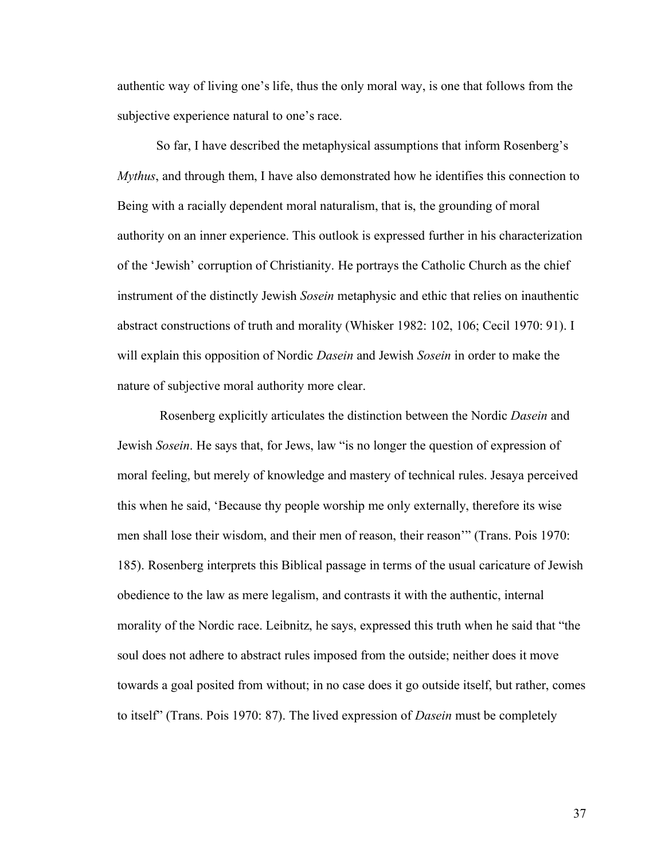authentic way of living one's life, thus the only moral way, is one that follows from the subjective experience natural to one's race.

So far, I have described the metaphysical assumptions that inform Rosenberg's *Mythus*, and through them, I have also demonstrated how he identifies this connection to Being with a racially dependent moral naturalism, that is, the grounding of moral authority on an inner experience. This outlook is expressed further in his characterization of the 'Jewish' corruption of Christianity. He portrays the Catholic Church as the chief instrument of the distinctly Jewish *Sosein* metaphysic and ethic that relies on inauthentic abstract constructions of truth and morality (Whisker 1982: 102, 106; Cecil 1970: 91). I will explain this opposition of Nordic *Dasein* and Jewish *Sosein* in order to make the nature of subjective moral authority more clear.

Rosenberg explicitly articulates the distinction between the Nordic *Dasein* and Jewish *Sosein*. He says that, for Jews, law "is no longer the question of expression of moral feeling, but merely of knowledge and mastery of technical rules. Jesaya perceived this when he said, 'Because thy people worship me only externally, therefore its wise men shall lose their wisdom, and their men of reason, their reason'" (Trans. Pois 1970: 185). Rosenberg interprets this Biblical passage in terms of the usual caricature of Jewish obedience to the law as mere legalism, and contrasts it with the authentic, internal morality of the Nordic race. Leibnitz, he says, expressed this truth when he said that "the soul does not adhere to abstract rules imposed from the outside; neither does it move towards a goal posited from without; in no case does it go outside itself, but rather, comes to itself" (Trans. Pois 1970: 87). The lived expression of *Dasein* must be completely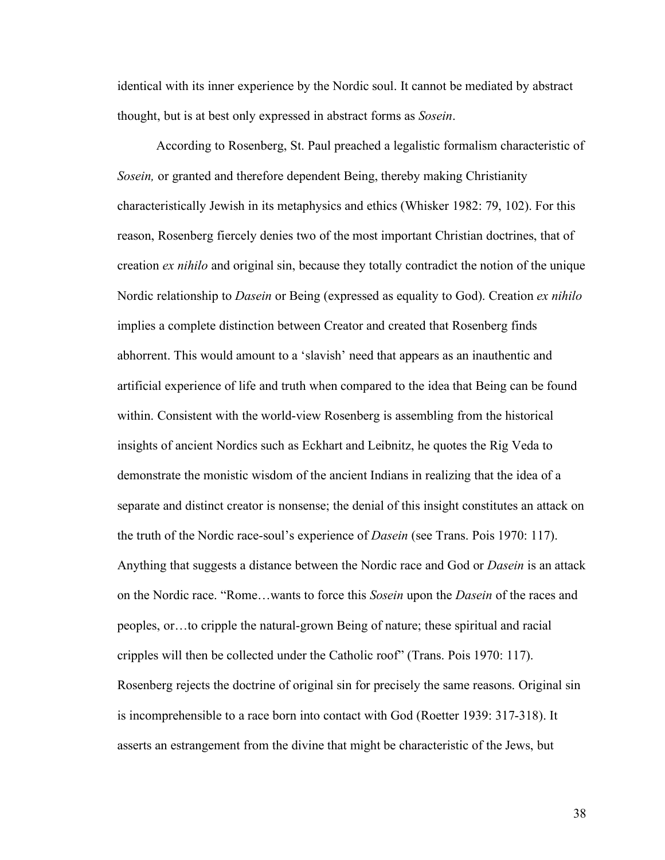identical with its inner experience by the Nordic soul. It cannot be mediated by abstract thought, but is at best only expressed in abstract forms as *Sosein*.

According to Rosenberg, St. Paul preached a legalistic formalism characteristic of *Sosein,* or granted and therefore dependent Being, thereby making Christianity characteristically Jewish in its metaphysics and ethics (Whisker 1982: 79, 102). For this reason, Rosenberg fiercely denies two of the most important Christian doctrines, that of creation *ex nihilo* and original sin, because they totally contradict the notion of the unique Nordic relationship to *Dasein* or Being (expressed as equality to God). Creation *ex nihilo* implies a complete distinction between Creator and created that Rosenberg finds abhorrent. This would amount to a 'slavish' need that appears as an inauthentic and artificial experience of life and truth when compared to the idea that Being can be found within. Consistent with the world-view Rosenberg is assembling from the historical insights of ancient Nordics such as Eckhart and Leibnitz, he quotes the Rig Veda to demonstrate the monistic wisdom of the ancient Indians in realizing that the idea of a separate and distinct creator is nonsense; the denial of this insight constitutes an attack on the truth of the Nordic race-soul's experience of *Dasein* (see Trans. Pois 1970: 117). Anything that suggests a distance between the Nordic race and God or *Dasein* is an attack on the Nordic race. "Rome…wants to force this *Sosein* upon the *Dasein* of the races and peoples, or…to cripple the natural-grown Being of nature; these spiritual and racial cripples will then be collected under the Catholic roof" (Trans. Pois 1970: 117). Rosenberg rejects the doctrine of original sin for precisely the same reasons. Original sin is incomprehensible to a race born into contact with God (Roetter 1939: 317-318). It asserts an estrangement from the divine that might be characteristic of the Jews, but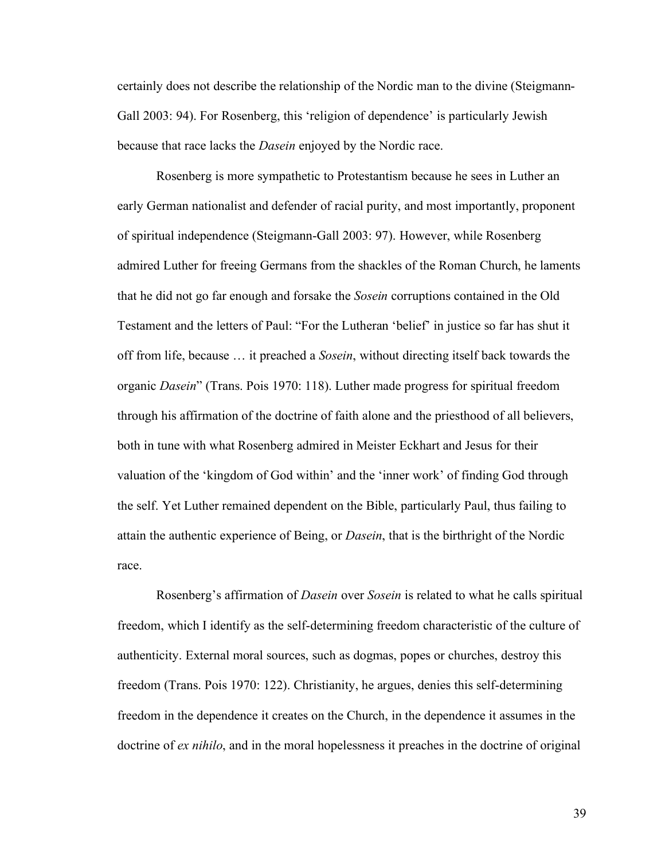certainly does not describe the relationship of the Nordic man to the divine (Steigmann-Gall 2003: 94). For Rosenberg, this 'religion of dependence' is particularly Jewish because that race lacks the *Dasein* enjoyed by the Nordic race.

Rosenberg is more sympathetic to Protestantism because he sees in Luther an early German nationalist and defender of racial purity, and most importantly, proponent of spiritual independence (Steigmann-Gall 2003: 97). However, while Rosenberg admired Luther for freeing Germans from the shackles of the Roman Church, he laments that he did not go far enough and forsake the *Sosein* corruptions contained in the Old Testament and the letters of Paul: "For the Lutheran 'belief' in justice so far has shut it off from life, because … it preached a *Sosein*, without directing itself back towards the organic *Dasein*" (Trans. Pois 1970: 118). Luther made progress for spiritual freedom through his affirmation of the doctrine of faith alone and the priesthood of all believers, both in tune with what Rosenberg admired in Meister Eckhart and Jesus for their valuation of the 'kingdom of God within' and the 'inner work' of finding God through the self. Yet Luther remained dependent on the Bible, particularly Paul, thus failing to attain the authentic experience of Being, or *Dasein*, that is the birthright of the Nordic race.

Rosenberg's affirmation of *Dasein* over *Sosein* is related to what he calls spiritual freedom, which I identify as the self-determining freedom characteristic of the culture of authenticity. External moral sources, such as dogmas, popes or churches, destroy this freedom (Trans. Pois 1970: 122). Christianity, he argues, denies this self-determining freedom in the dependence it creates on the Church, in the dependence it assumes in the doctrine of *ex nihilo*, and in the moral hopelessness it preaches in the doctrine of original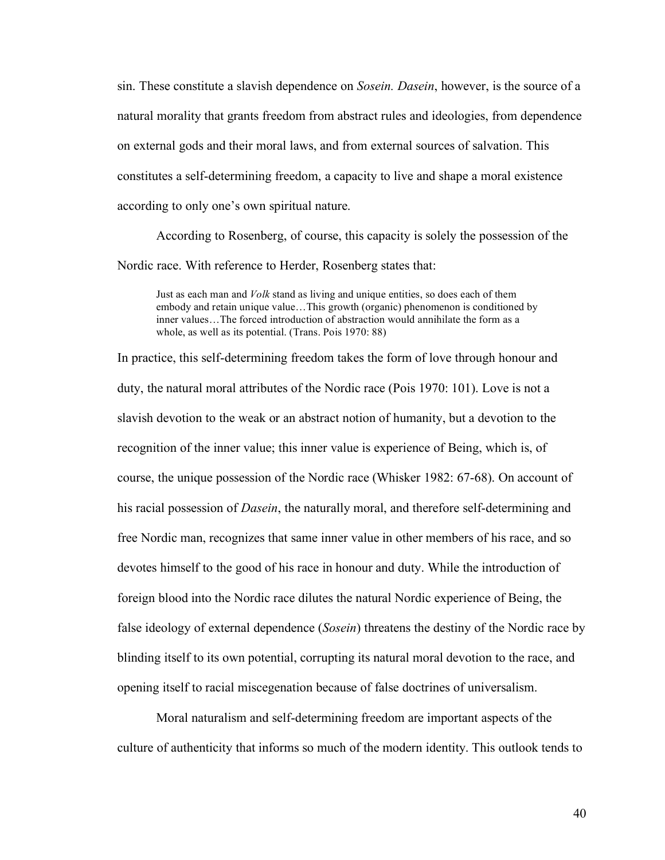sin. These constitute a slavish dependence on *Sosein. Dasein*, however, is the source of a natural morality that grants freedom from abstract rules and ideologies, from dependence on external gods and their moral laws, and from external sources of salvation. This constitutes a self-determining freedom, a capacity to live and shape a moral existence according to only one's own spiritual nature.

According to Rosenberg, of course, this capacity is solely the possession of the Nordic race. With reference to Herder, Rosenberg states that:

Just as each man and *Volk* stand as living and unique entities, so does each of them embody and retain unique value…This growth (organic) phenomenon is conditioned by inner values…The forced introduction of abstraction would annihilate the form as a whole, as well as its potential. (Trans. Pois 1970: 88)

In practice, this self-determining freedom takes the form of love through honour and duty, the natural moral attributes of the Nordic race (Pois 1970: 101). Love is not a slavish devotion to the weak or an abstract notion of humanity, but a devotion to the recognition of the inner value; this inner value is experience of Being, which is, of course, the unique possession of the Nordic race (Whisker 1982: 67-68). On account of his racial possession of *Dasein*, the naturally moral, and therefore self-determining and free Nordic man, recognizes that same inner value in other members of his race, and so devotes himself to the good of his race in honour and duty. While the introduction of foreign blood into the Nordic race dilutes the natural Nordic experience of Being, the false ideology of external dependence (*Sosein*) threatens the destiny of the Nordic race by blinding itself to its own potential, corrupting its natural moral devotion to the race, and opening itself to racial miscegenation because of false doctrines of universalism.

Moral naturalism and self-determining freedom are important aspects of the culture of authenticity that informs so much of the modern identity. This outlook tends to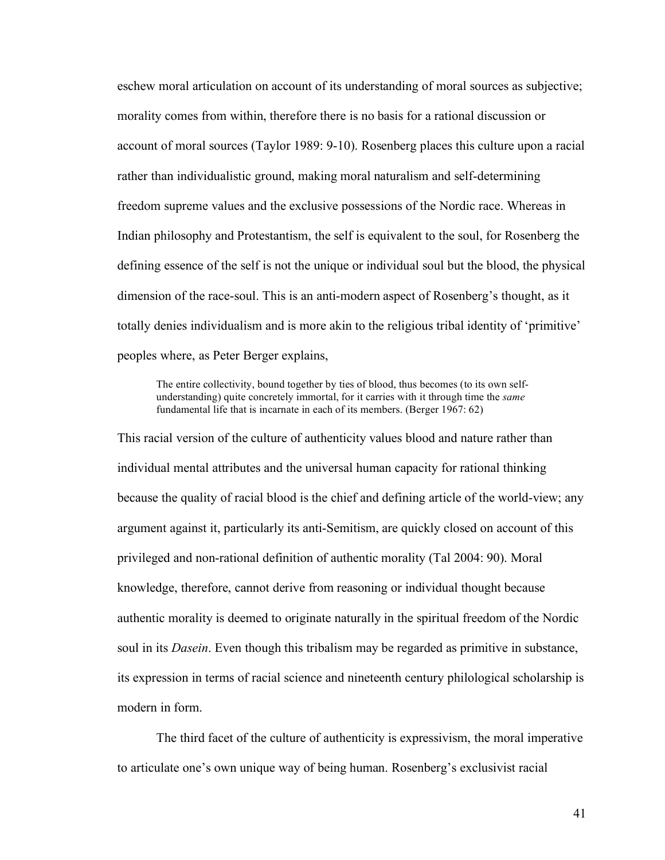eschew moral articulation on account of its understanding of moral sources as subjective; morality comes from within, therefore there is no basis for a rational discussion or account of moral sources (Taylor 1989: 9-10). Rosenberg places this culture upon a racial rather than individualistic ground, making moral naturalism and self-determining freedom supreme values and the exclusive possessions of the Nordic race. Whereas in Indian philosophy and Protestantism, the self is equivalent to the soul, for Rosenberg the defining essence of the self is not the unique or individual soul but the blood, the physical dimension of the race-soul. This is an anti-modern aspect of Rosenberg's thought, as it totally denies individualism and is more akin to the religious tribal identity of 'primitive' peoples where, as Peter Berger explains,

The entire collectivity, bound together by ties of blood, thus becomes (to its own selfunderstanding) quite concretely immortal, for it carries with it through time the *same* fundamental life that is incarnate in each of its members. (Berger 1967: 62)

This racial version of the culture of authenticity values blood and nature rather than individual mental attributes and the universal human capacity for rational thinking because the quality of racial blood is the chief and defining article of the world-view; any argument against it, particularly its anti-Semitism, are quickly closed on account of this privileged and non-rational definition of authentic morality (Tal 2004: 90). Moral knowledge, therefore, cannot derive from reasoning or individual thought because authentic morality is deemed to originate naturally in the spiritual freedom of the Nordic soul in its *Dasein*. Even though this tribalism may be regarded as primitive in substance, its expression in terms of racial science and nineteenth century philological scholarship is modern in form.

The third facet of the culture of authenticity is expressivism, the moral imperative to articulate one's own unique way of being human. Rosenberg's exclusivist racial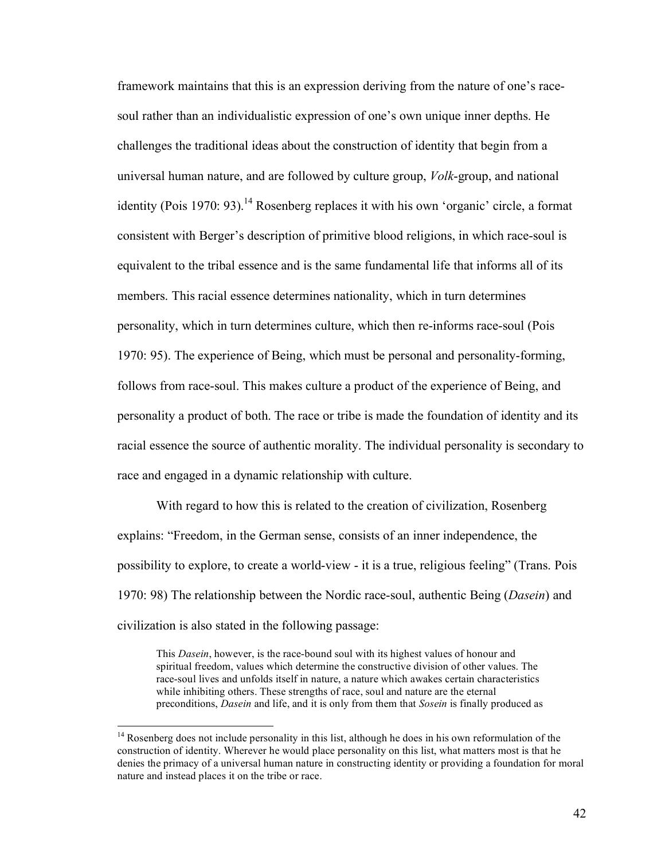framework maintains that this is an expression deriving from the nature of one's racesoul rather than an individualistic expression of one's own unique inner depths. He challenges the traditional ideas about the construction of identity that begin from a universal human nature, and are followed by culture group, *Volk*-group, and national identity (Pois 1970: 93).<sup>14</sup> Rosenberg replaces it with his own 'organic' circle, a format consistent with Berger's description of primitive blood religions, in which race-soul is equivalent to the tribal essence and is the same fundamental life that informs all of its members. This racial essence determines nationality, which in turn determines personality, which in turn determines culture, which then re-informs race-soul (Pois 1970: 95). The experience of Being, which must be personal and personality-forming, follows from race-soul. This makes culture a product of the experience of Being, and personality a product of both. The race or tribe is made the foundation of identity and its racial essence the source of authentic morality. The individual personality is secondary to race and engaged in a dynamic relationship with culture.

With regard to how this is related to the creation of civilization, Rosenberg explains: "Freedom, in the German sense, consists of an inner independence, the possibility to explore, to create a world-view - it is a true, religious feeling" (Trans. Pois 1970: 98) The relationship between the Nordic race-soul, authentic Being (*Dasein*) and civilization is also stated in the following passage:

This *Dasein*, however, is the race-bound soul with its highest values of honour and spiritual freedom, values which determine the constructive division of other values. The race-soul lives and unfolds itself in nature, a nature which awakes certain characteristics while inhibiting others. These strengths of race, soul and nature are the eternal preconditions, *Dasein* and life, and it is only from them that *Sosein* is finally produced as

 $14$  Rosenberg does not include personality in this list, although he does in his own reformulation of the construction of identity. Wherever he would place personality on this list, what matters most is that he denies the primacy of a universal human nature in constructing identity or providing a foundation for moral nature and instead places it on the tribe or race.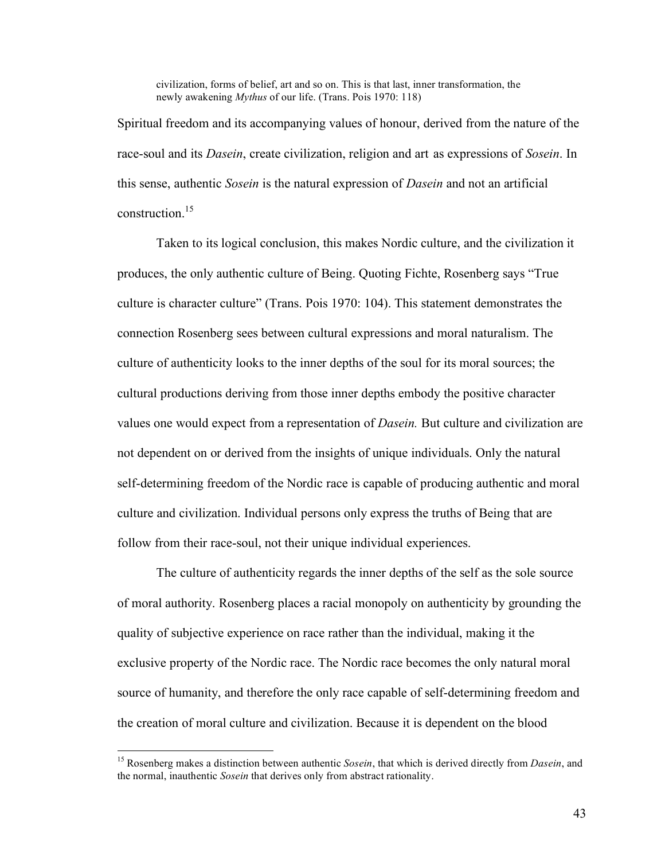civilization, forms of belief, art and so on. This is that last, inner transformation, the newly awakening *Mythus* of our life. (Trans. Pois 1970: 118)

Spiritual freedom and its accompanying values of honour, derived from the nature of the race-soul and its *Dasein*, create civilization, religion and art as expressions of *Sosein*. In this sense, authentic *Sosein* is the natural expression of *Dasein* and not an artificial construction. 15

Taken to its logical conclusion, this makes Nordic culture, and the civilization it produces, the only authentic culture of Being. Quoting Fichte, Rosenberg says "True culture is character culture" (Trans. Pois 1970: 104). This statement demonstrates the connection Rosenberg sees between cultural expressions and moral naturalism. The culture of authenticity looks to the inner depths of the soul for its moral sources; the cultural productions deriving from those inner depths embody the positive character values one would expect from a representation of *Dasein.* But culture and civilization are not dependent on or derived from the insights of unique individuals. Only the natural self-determining freedom of the Nordic race is capable of producing authentic and moral culture and civilization. Individual persons only express the truths of Being that are follow from their race-soul, not their unique individual experiences.

The culture of authenticity regards the inner depths of the self as the sole source of moral authority. Rosenberg places a racial monopoly on authenticity by grounding the quality of subjective experience on race rather than the individual, making it the exclusive property of the Nordic race. The Nordic race becomes the only natural moral source of humanity, and therefore the only race capable of self-determining freedom and the creation of moral culture and civilization. Because it is dependent on the blood

 <sup>15</sup> Rosenberg makes <sup>a</sup> distinction between authentic *Sosein*, that which is derived directly from *Dasein*, and the normal, inauthentic *Sosein* that derives only from abstract rationality.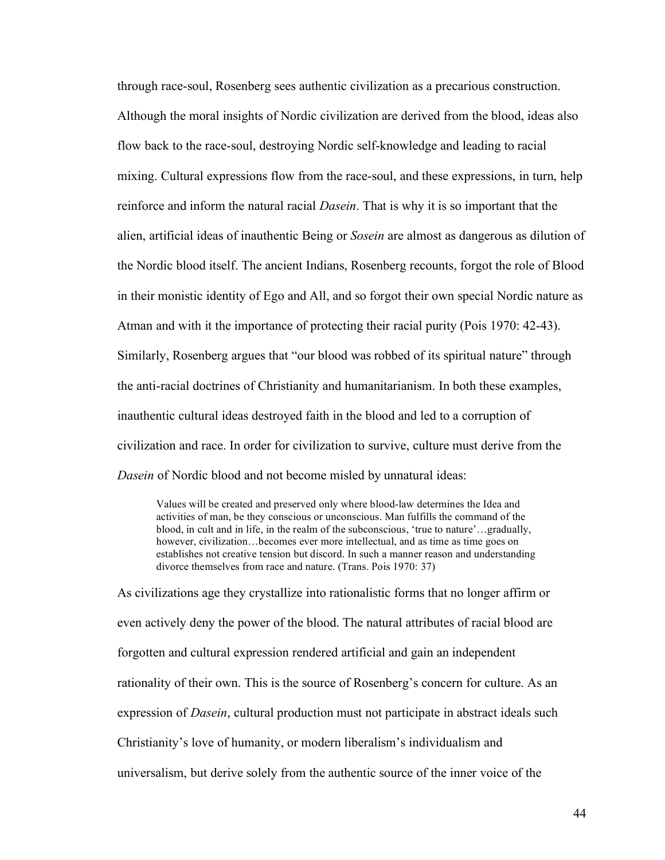through race-soul, Rosenberg sees authentic civilization as a precarious construction. Although the moral insights of Nordic civilization are derived from the blood, ideas also flow back to the race-soul, destroying Nordic self-knowledge and leading to racial mixing. Cultural expressions flow from the race-soul, and these expressions, in turn, help reinforce and inform the natural racial *Dasein*. That is why it is so important that the alien, artificial ideas of inauthentic Being or *Sosein* are almost as dangerous as dilution of the Nordic blood itself. The ancient Indians, Rosenberg recounts, forgot the role of Blood in their monistic identity of Ego and All, and so forgot their own special Nordic nature as Atman and with it the importance of protecting their racial purity (Pois 1970: 42-43). Similarly, Rosenberg argues that "our blood was robbed of its spiritual nature" through the anti-racial doctrines of Christianity and humanitarianism. In both these examples, inauthentic cultural ideas destroyed faith in the blood and led to a corruption of civilization and race. In order for civilization to survive, culture must derive from the *Dasein* of Nordic blood and not become misled by unnatural ideas:

Values will be created and preserved only where blood-law determines the Idea and activities of man, be they conscious or unconscious. Man fulfills the command of the blood, in cult and in life, in the realm of the subconscious, 'true to nature'…gradually, however, civilization…becomes ever more intellectual, and as time as time goes on establishes not creative tension but discord. In such a manner reason and understanding divorce themselves from race and nature. (Trans. Pois 1970: 37)

As civilizations age they crystallize into rationalistic forms that no longer affirm or even actively deny the power of the blood. The natural attributes of racial blood are forgotten and cultural expression rendered artificial and gain an independent rationality of their own. This is the source of Rosenberg's concern for culture. As an expression of *Dasein*, cultural production must not participate in abstract ideals such Christianity's love of humanity, or modern liberalism's individualism and universalism, but derive solely from the authentic source of the inner voice of the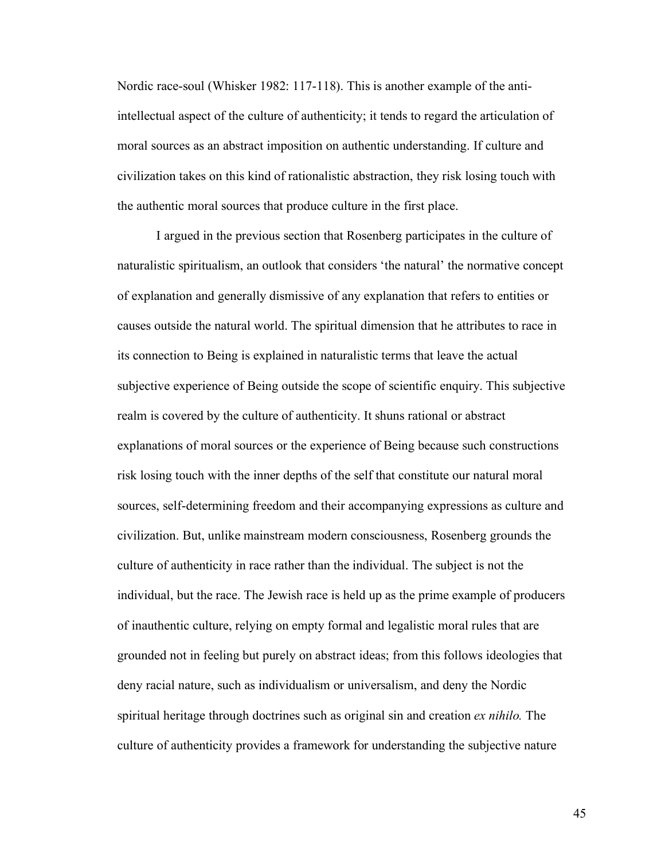Nordic race-soul (Whisker 1982: 117-118). This is another example of the antiintellectual aspect of the culture of authenticity; it tends to regard the articulation of moral sources as an abstract imposition on authentic understanding. If culture and civilization takes on this kind of rationalistic abstraction, they risk losing touch with the authentic moral sources that produce culture in the first place.

I argued in the previous section that Rosenberg participates in the culture of naturalistic spiritualism, an outlook that considers 'the natural' the normative concept of explanation and generally dismissive of any explanation that refers to entities or causes outside the natural world. The spiritual dimension that he attributes to race in its connection to Being is explained in naturalistic terms that leave the actual subjective experience of Being outside the scope of scientific enquiry. This subjective realm is covered by the culture of authenticity. It shuns rational or abstract explanations of moral sources or the experience of Being because such constructions risk losing touch with the inner depths of the self that constitute our natural moral sources, self-determining freedom and their accompanying expressions as culture and civilization. But, unlike mainstream modern consciousness, Rosenberg grounds the culture of authenticity in race rather than the individual. The subject is not the individual, but the race. The Jewish race is held up as the prime example of producers of inauthentic culture, relying on empty formal and legalistic moral rules that are grounded not in feeling but purely on abstract ideas; from this follows ideologies that deny racial nature, such as individualism or universalism, and deny the Nordic spiritual heritage through doctrines such as original sin and creation *ex nihilo.* The culture of authenticity provides a framework for understanding the subjective nature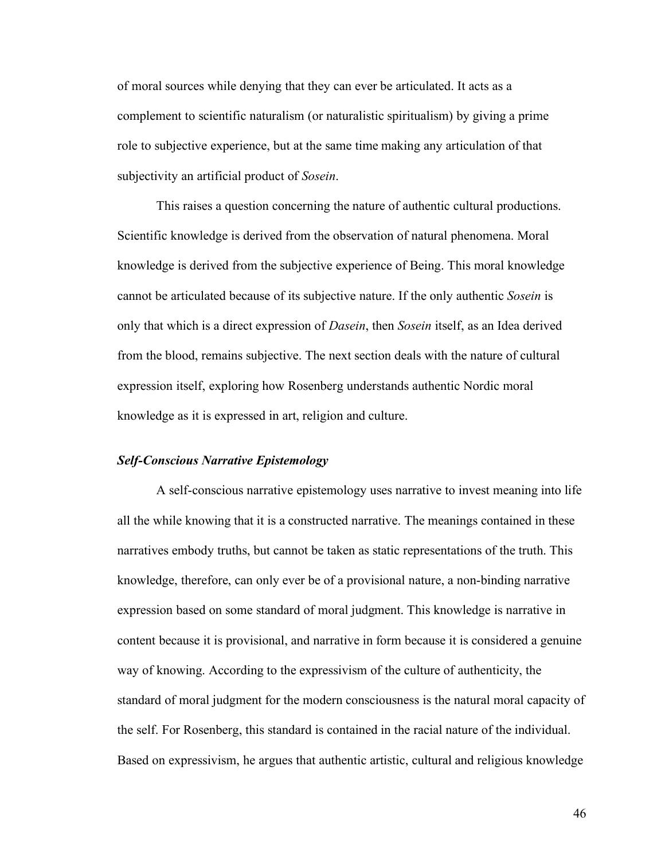of moral sources while denying that they can ever be articulated. It acts as a complement to scientific naturalism (or naturalistic spiritualism) by giving a prime role to subjective experience, but at the same time making any articulation of that subjectivity an artificial product of *Sosein*.

This raises a question concerning the nature of authentic cultural productions. Scientific knowledge is derived from the observation of natural phenomena. Moral knowledge is derived from the subjective experience of Being. This moral knowledge cannot be articulated because of its subjective nature. If the only authentic *Sosein* is only that which is a direct expression of *Dasein*, then *Sosein* itself, as an Idea derived from the blood, remains subjective. The next section deals with the nature of cultural expression itself, exploring how Rosenberg understands authentic Nordic moral knowledge as it is expressed in art, religion and culture.

## *Self-Conscious Narrative Epistemology*

A self-conscious narrative epistemology uses narrative to invest meaning into life all the while knowing that it is a constructed narrative. The meanings contained in these narratives embody truths, but cannot be taken as static representations of the truth. This knowledge, therefore, can only ever be of a provisional nature, a non-binding narrative expression based on some standard of moral judgment. This knowledge is narrative in content because it is provisional, and narrative in form because it is considered a genuine way of knowing. According to the expressivism of the culture of authenticity, the standard of moral judgment for the modern consciousness is the natural moral capacity of the self. For Rosenberg, this standard is contained in the racial nature of the individual. Based on expressivism, he argues that authentic artistic, cultural and religious knowledge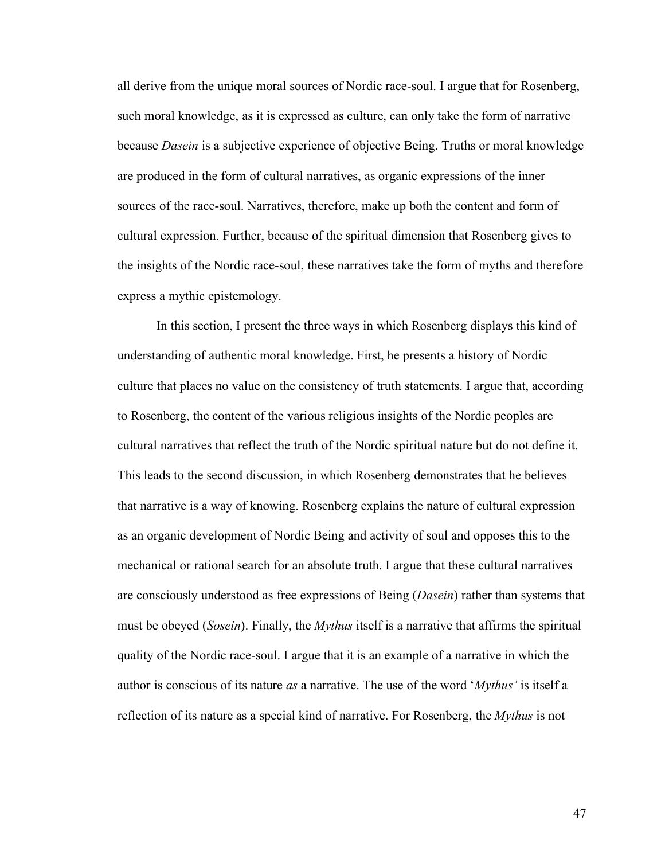all derive from the unique moral sources of Nordic race-soul. I argue that for Rosenberg, such moral knowledge, as it is expressed as culture, can only take the form of narrative because *Dasein* is a subjective experience of objective Being. Truths or moral knowledge are produced in the form of cultural narratives, as organic expressions of the inner sources of the race-soul. Narratives, therefore, make up both the content and form of cultural expression. Further, because of the spiritual dimension that Rosenberg gives to the insights of the Nordic race-soul, these narratives take the form of myths and therefore express a mythic epistemology.

In this section, I present the three ways in which Rosenberg displays this kind of understanding of authentic moral knowledge. First, he presents a history of Nordic culture that places no value on the consistency of truth statements. I argue that, according to Rosenberg, the content of the various religious insights of the Nordic peoples are cultural narratives that reflect the truth of the Nordic spiritual nature but do not define it. This leads to the second discussion, in which Rosenberg demonstrates that he believes that narrative is a way of knowing. Rosenberg explains the nature of cultural expression as an organic development of Nordic Being and activity of soul and opposes this to the mechanical or rational search for an absolute truth. I argue that these cultural narratives are consciously understood as free expressions of Being (*Dasein*) rather than systems that must be obeyed (*Sosein*). Finally, the *Mythus* itself is a narrative that affirms the spiritual quality of the Nordic race-soul. I argue that it is an example of a narrative in which the author is conscious of its nature *as* a narrative. The use of the word '*Mythus'* is itself a reflection of its nature as a special kind of narrative. For Rosenberg, the *Mythus* is not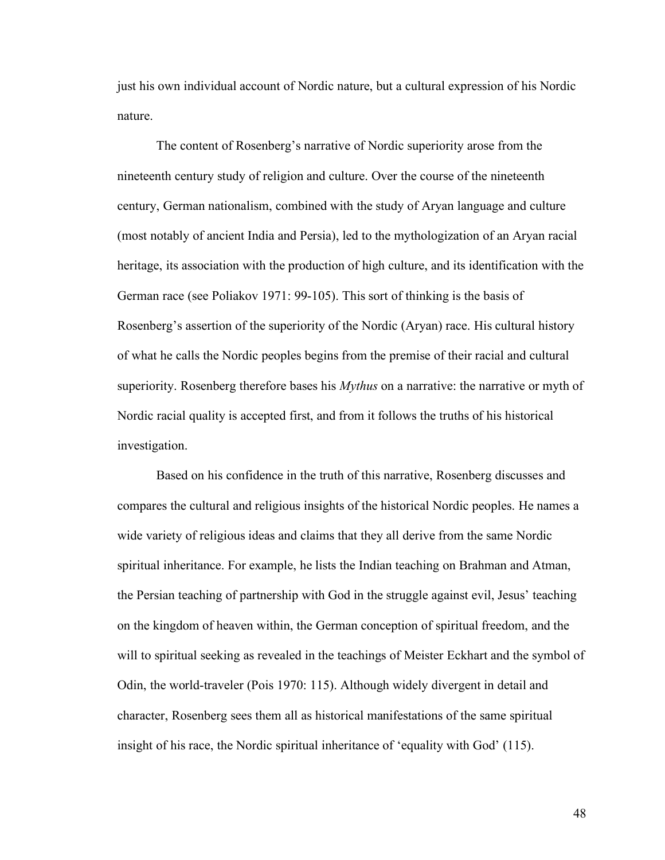just his own individual account of Nordic nature, but a cultural expression of his Nordic nature.

The content of Rosenberg's narrative of Nordic superiority arose from the nineteenth century study of religion and culture. Over the course of the nineteenth century, German nationalism, combined with the study of Aryan language and culture (most notably of ancient India and Persia), led to the mythologization of an Aryan racial heritage, its association with the production of high culture, and its identification with the German race (see Poliakov 1971: 99-105). This sort of thinking is the basis of Rosenberg's assertion of the superiority of the Nordic (Aryan) race. His cultural history of what he calls the Nordic peoples begins from the premise of their racial and cultural superiority. Rosenberg therefore bases his *Mythus* on a narrative: the narrative or myth of Nordic racial quality is accepted first, and from it follows the truths of his historical investigation.

Based on his confidence in the truth of this narrative, Rosenberg discusses and compares the cultural and religious insights of the historical Nordic peoples. He names a wide variety of religious ideas and claims that they all derive from the same Nordic spiritual inheritance. For example, he lists the Indian teaching on Brahman and Atman, the Persian teaching of partnership with God in the struggle against evil, Jesus' teaching on the kingdom of heaven within, the German conception of spiritual freedom, and the will to spiritual seeking as revealed in the teachings of Meister Eckhart and the symbol of Odin, the world-traveler (Pois 1970: 115). Although widely divergent in detail and character, Rosenberg sees them all as historical manifestations of the same spiritual insight of his race, the Nordic spiritual inheritance of 'equality with God' (115).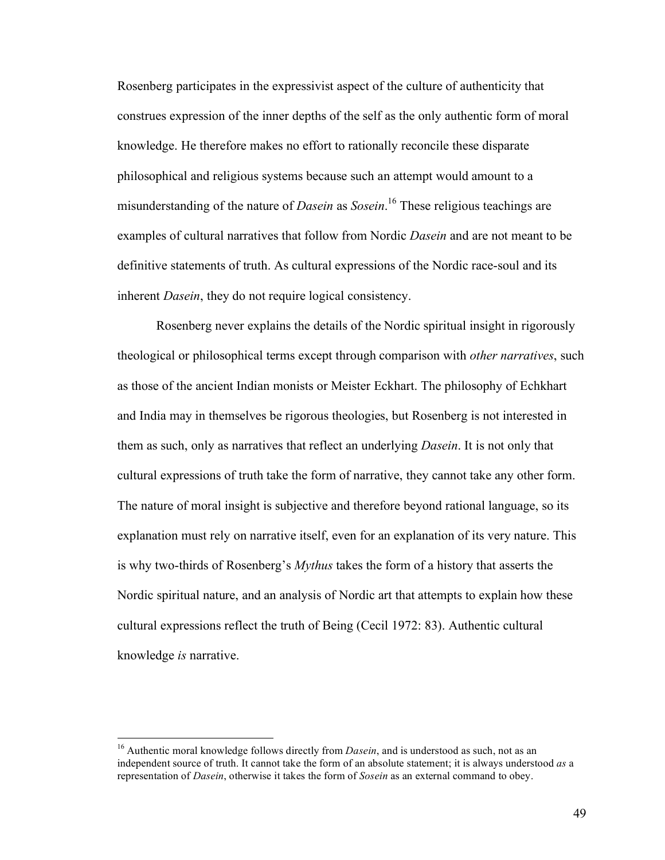Rosenberg participates in the expressivist aspect of the culture of authenticity that construes expression of the inner depths of the self as the only authentic form of moral knowledge. He therefore makes no effort to rationally reconcile these disparate philosophical and religious systems because such an attempt would amount to a misunderstanding of the nature of *Dasein* as *Sosein*. <sup>16</sup> These religious teachings are examples of cultural narratives that follow from Nordic *Dasein* and are not meant to be definitive statements of truth. As cultural expressions of the Nordic race-soul and its inherent *Dasein*, they do not require logical consistency.

Rosenberg never explains the details of the Nordic spiritual insight in rigorously theological or philosophical terms except through comparison with *other narratives*, such as those of the ancient Indian monists or Meister Eckhart. The philosophy of Echkhart and India may in themselves be rigorous theologies, but Rosenberg is not interested in them as such, only as narratives that reflect an underlying *Dasein*. It is not only that cultural expressions of truth take the form of narrative, they cannot take any other form. The nature of moral insight is subjective and therefore beyond rational language, so its explanation must rely on narrative itself, even for an explanation of its very nature. This is why two-thirds of Rosenberg's *Mythus* takes the form of a history that asserts the Nordic spiritual nature, and an analysis of Nordic art that attempts to explain how these cultural expressions reflect the truth of Being (Cecil 1972: 83). Authentic cultural knowledge *is* narrative.

<sup>&</sup>lt;sup>16</sup> Authentic moral knowledge follows directly from *Dasein*, and is understood as such, not as an independent source of truth. It cannot take the form of an absolute statement; it is always understood *as* a representation of *Dasein*, otherwise it takes the form of *Sosein* as an external command to obey.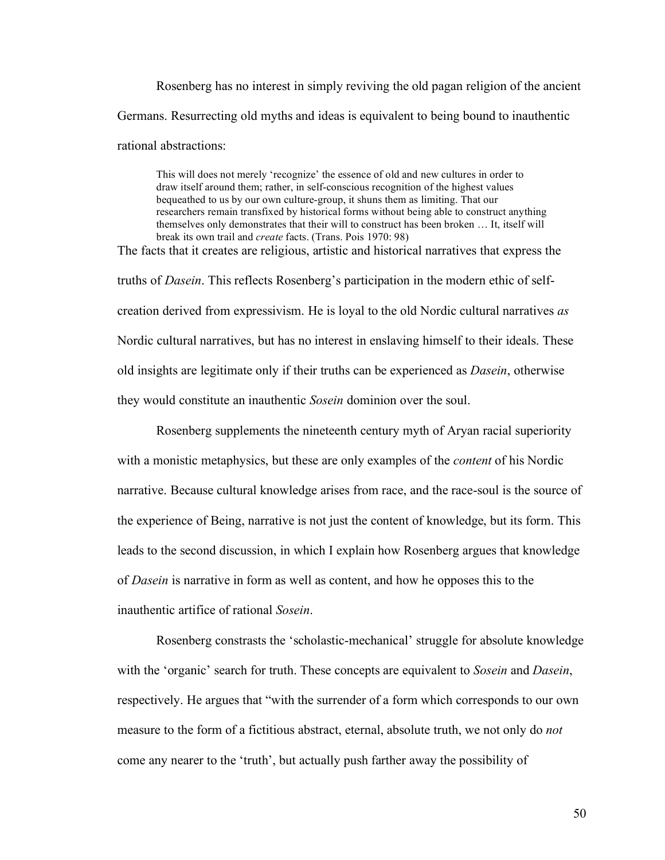Rosenberg has no interest in simply reviving the old pagan religion of the ancient Germans. Resurrecting old myths and ideas is equivalent to being bound to inauthentic rational abstractions:

This will does not merely 'recognize' the essence of old and new cultures in order to draw itself around them; rather, in self-conscious recognition of the highest values bequeathed to us by our own culture-group, it shuns them as limiting. That our researchers remain transfixed by historical forms without being able to construct anything themselves only demonstrates that their will to construct has been broken … It, itself will break its own trail and *create* facts. (Trans. Pois 1970: 98)

The facts that it creates are religious, artistic and historical narratives that express the truths of *Dasein*. This reflects Rosenberg's participation in the modern ethic of selfcreation derived from expressivism. He is loyal to the old Nordic cultural narratives *as* Nordic cultural narratives, but has no interest in enslaving himself to their ideals. These old insights are legitimate only if their truths can be experienced as *Dasein*, otherwise they would constitute an inauthentic *Sosein* dominion over the soul.

Rosenberg supplements the nineteenth century myth of Aryan racial superiority with a monistic metaphysics, but these are only examples of the *content* of his Nordic narrative. Because cultural knowledge arises from race, and the race-soul is the source of the experience of Being, narrative is not just the content of knowledge, but its form. This leads to the second discussion, in which I explain how Rosenberg argues that knowledge of *Dasein* is narrative in form as well as content, and how he opposes this to the inauthentic artifice of rational *Sosein*.

Rosenberg constrasts the 'scholastic-mechanical' struggle for absolute knowledge with the 'organic' search for truth. These concepts are equivalent to *Sosein* and *Dasein*, respectively. He argues that "with the surrender of a form which corresponds to our own measure to the form of a fictitious abstract, eternal, absolute truth, we not only do *not* come any nearer to the 'truth', but actually push farther away the possibility of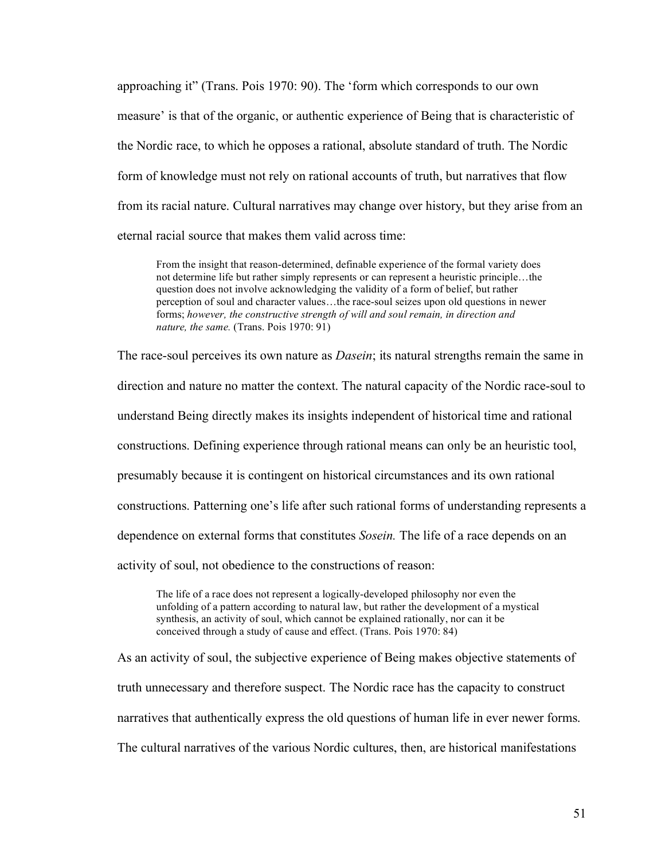approaching it" (Trans. Pois 1970: 90). The 'form which corresponds to our own measure' is that of the organic, or authentic experience of Being that is characteristic of the Nordic race, to which he opposes a rational, absolute standard of truth. The Nordic form of knowledge must not rely on rational accounts of truth, but narratives that flow from its racial nature. Cultural narratives may change over history, but they arise from an eternal racial source that makes them valid across time:

From the insight that reason-determined, definable experience of the formal variety does not determine life but rather simply represents or can represent a heuristic principle…the question does not involve acknowledging the validity of a form of belief, but rather perception of soul and character values…the race-soul seizes upon old questions in newer forms; *however, the constructive strength of will and soul remain, in direction and nature, the same.* (Trans. Pois 1970: 91)

The race-soul perceives its own nature as *Dasein*; its natural strengths remain the same in direction and nature no matter the context. The natural capacity of the Nordic race-soul to understand Being directly makes its insights independent of historical time and rational constructions. Defining experience through rational means can only be an heuristic tool, presumably because it is contingent on historical circumstances and its own rational constructions. Patterning one's life after such rational forms of understanding represents a dependence on external forms that constitutes *Sosein.* The life of a race depends on an activity of soul, not obedience to the constructions of reason:

The life of a race does not represent a logically-developed philosophy nor even the unfolding of a pattern according to natural law, but rather the development of a mystical synthesis, an activity of soul, which cannot be explained rationally, nor can it be conceived through a study of cause and effect. (Trans. Pois 1970: 84)

As an activity of soul, the subjective experience of Being makes objective statements of truth unnecessary and therefore suspect. The Nordic race has the capacity to construct narratives that authentically express the old questions of human life in ever newer forms. The cultural narratives of the various Nordic cultures, then, are historical manifestations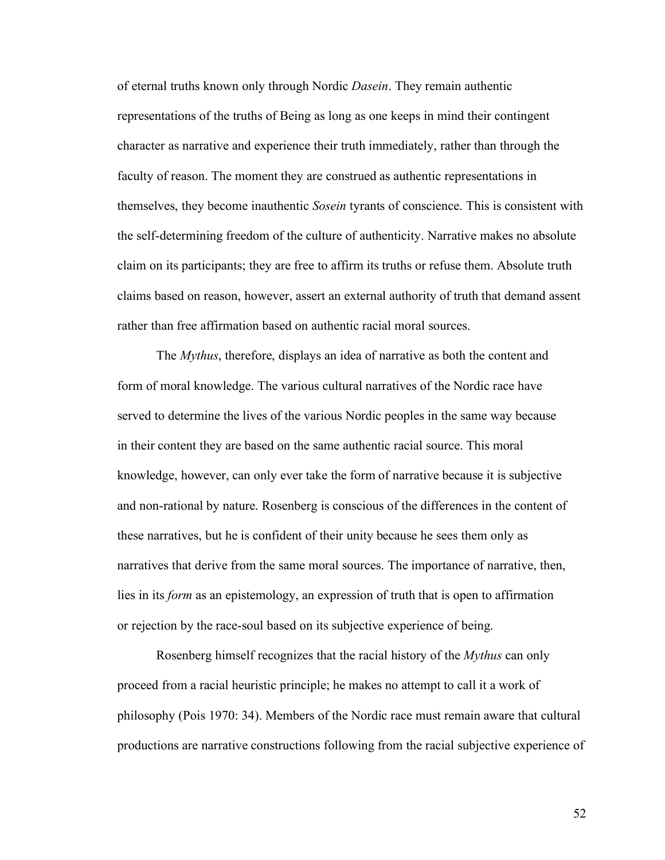of eternal truths known only through Nordic *Dasein*. They remain authentic representations of the truths of Being as long as one keeps in mind their contingent character as narrative and experience their truth immediately, rather than through the faculty of reason. The moment they are construed as authentic representations in themselves, they become inauthentic *Sosein* tyrants of conscience. This is consistent with the self-determining freedom of the culture of authenticity. Narrative makes no absolute claim on its participants; they are free to affirm its truths or refuse them. Absolute truth claims based on reason, however, assert an external authority of truth that demand assent rather than free affirmation based on authentic racial moral sources.

The *Mythus*, therefore, displays an idea of narrative as both the content and form of moral knowledge. The various cultural narratives of the Nordic race have served to determine the lives of the various Nordic peoples in the same way because in their content they are based on the same authentic racial source. This moral knowledge, however, can only ever take the form of narrative because it is subjective and non-rational by nature. Rosenberg is conscious of the differences in the content of these narratives, but he is confident of their unity because he sees them only as narratives that derive from the same moral sources. The importance of narrative, then, lies in its *form* as an epistemology, an expression of truth that is open to affirmation or rejection by the race-soul based on its subjective experience of being.

Rosenberg himself recognizes that the racial history of the *Mythus* can only proceed from a racial heuristic principle; he makes no attempt to call it a work of philosophy (Pois 1970: 34). Members of the Nordic race must remain aware that cultural productions are narrative constructions following from the racial subjective experience of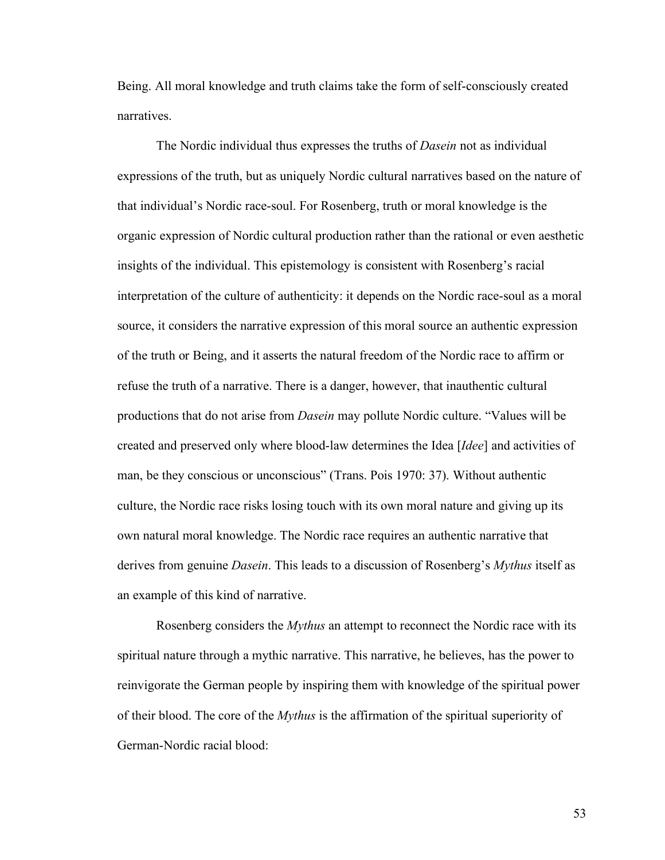Being. All moral knowledge and truth claims take the form of self-consciously created narratives.

The Nordic individual thus expresses the truths of *Dasein* not as individual expressions of the truth, but as uniquely Nordic cultural narratives based on the nature of that individual's Nordic race-soul. For Rosenberg, truth or moral knowledge is the organic expression of Nordic cultural production rather than the rational or even aesthetic insights of the individual. This epistemology is consistent with Rosenberg's racial interpretation of the culture of authenticity: it depends on the Nordic race-soul as a moral source, it considers the narrative expression of this moral source an authentic expression of the truth or Being, and it asserts the natural freedom of the Nordic race to affirm or refuse the truth of a narrative. There is a danger, however, that inauthentic cultural productions that do not arise from *Dasein* may pollute Nordic culture. "Values will be created and preserved only where blood-law determines the Idea [*Idee*] and activities of man, be they conscious or unconscious" (Trans. Pois 1970: 37). Without authentic culture, the Nordic race risks losing touch with its own moral nature and giving up its own natural moral knowledge. The Nordic race requires an authentic narrative that derives from genuine *Dasein*. This leads to a discussion of Rosenberg's *Mythus* itself as an example of this kind of narrative.

Rosenberg considers the *Mythus* an attempt to reconnect the Nordic race with its spiritual nature through a mythic narrative. This narrative, he believes, has the power to reinvigorate the German people by inspiring them with knowledge of the spiritual power of their blood. The core of the *Mythus* is the affirmation of the spiritual superiority of German-Nordic racial blood: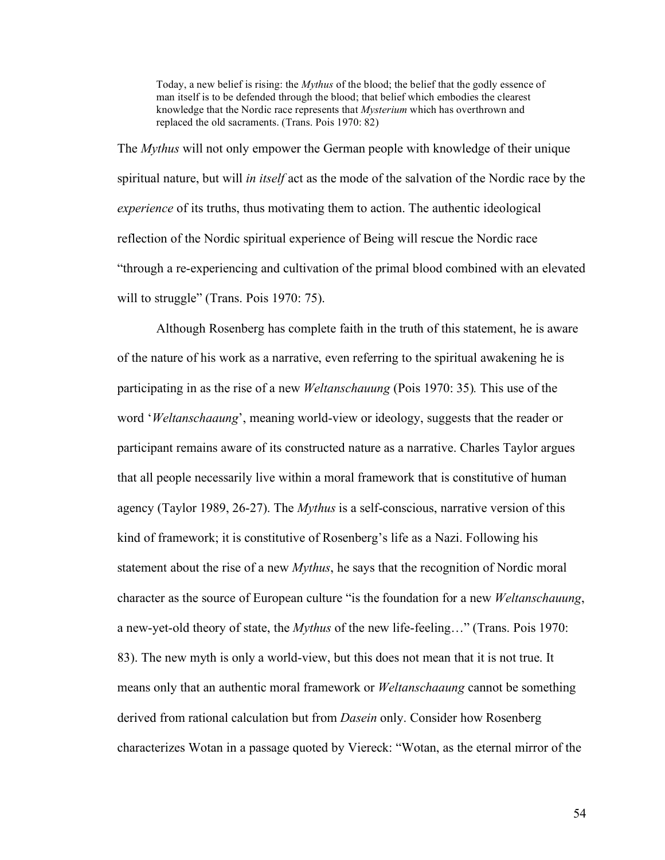Today, a new belief is rising: the *Mythus* of the blood; the belief that the godly essence of man itself is to be defended through the blood; that belief which embodies the clearest knowledge that the Nordic race represents that *Mysterium* which has overthrown and replaced the old sacraments. (Trans. Pois 1970: 82)

The *Mythus* will not only empower the German people with knowledge of their unique spiritual nature, but will *in itself* act as the mode of the salvation of the Nordic race by the *experience* of its truths, thus motivating them to action. The authentic ideological reflection of the Nordic spiritual experience of Being will rescue the Nordic race "through a re-experiencing and cultivation of the primal blood combined with an elevated will to struggle" (Trans. Pois 1970: 75).

Although Rosenberg has complete faith in the truth of this statement, he is aware of the nature of his work as a narrative, even referring to the spiritual awakening he is participating in as the rise of a new *Weltanschauung* (Pois 1970: 35)*.* This use of the word '*Weltanschaaung*', meaning world-view or ideology, suggests that the reader or participant remains aware of its constructed nature as a narrative. Charles Taylor argues that all people necessarily live within a moral framework that is constitutive of human agency (Taylor 1989, 26-27). The *Mythus* is a self-conscious, narrative version of this kind of framework; it is constitutive of Rosenberg's life as a Nazi. Following his statement about the rise of a new *Mythus*, he says that the recognition of Nordic moral character as the source of European culture "is the foundation for a new *Weltanschauung*, a new-yet-old theory of state, the *Mythus* of the new life-feeling…" (Trans. Pois 1970: 83). The new myth is only a world-view, but this does not mean that it is not true. It means only that an authentic moral framework or *Weltanschaaung* cannot be something derived from rational calculation but from *Dasein* only. Consider how Rosenberg characterizes Wotan in a passage quoted by Viereck: "Wotan, as the eternal mirror of the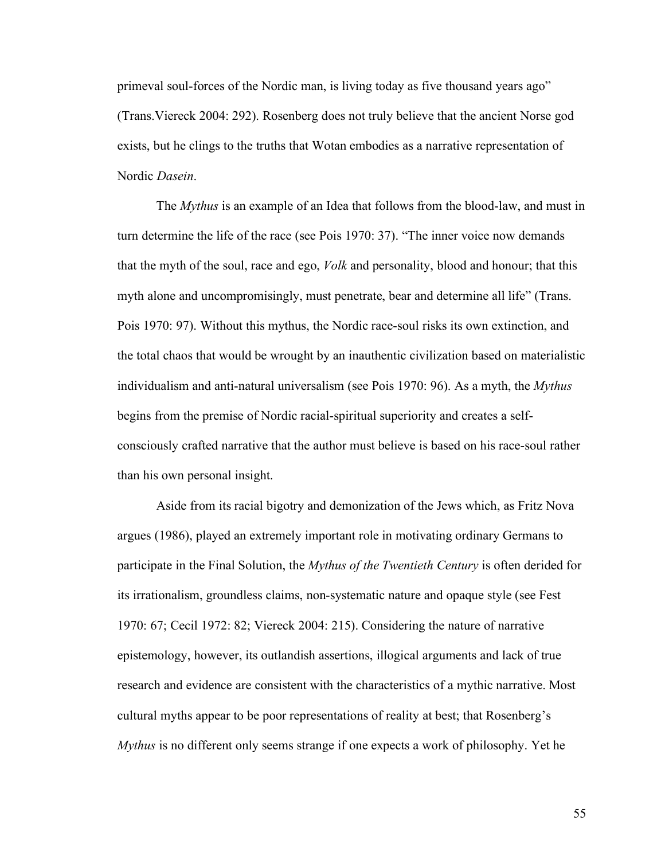primeval soul-forces of the Nordic man, is living today as five thousand years ago" (Trans.Viereck 2004: 292). Rosenberg does not truly believe that the ancient Norse god exists, but he clings to the truths that Wotan embodies as a narrative representation of Nordic *Dasein*.

The *Mythus* is an example of an Idea that follows from the blood-law, and must in turn determine the life of the race (see Pois 1970: 37). "The inner voice now demands that the myth of the soul, race and ego, *Volk* and personality, blood and honour; that this myth alone and uncompromisingly, must penetrate, bear and determine all life" (Trans. Pois 1970: 97). Without this mythus, the Nordic race-soul risks its own extinction, and the total chaos that would be wrought by an inauthentic civilization based on materialistic individualism and anti-natural universalism (see Pois 1970: 96). As a myth, the *Mythus* begins from the premise of Nordic racial-spiritual superiority and creates a selfconsciously crafted narrative that the author must believe is based on his race-soul rather than his own personal insight.

Aside from its racial bigotry and demonization of the Jews which, as Fritz Nova argues (1986), played an extremely important role in motivating ordinary Germans to participate in the Final Solution, the *Mythus of the Twentieth Century* is often derided for its irrationalism, groundless claims, non-systematic nature and opaque style (see Fest 1970: 67; Cecil 1972: 82; Viereck 2004: 215). Considering the nature of narrative epistemology, however, its outlandish assertions, illogical arguments and lack of true research and evidence are consistent with the characteristics of a mythic narrative. Most cultural myths appear to be poor representations of reality at best; that Rosenberg's *Mythus* is no different only seems strange if one expects a work of philosophy. Yet he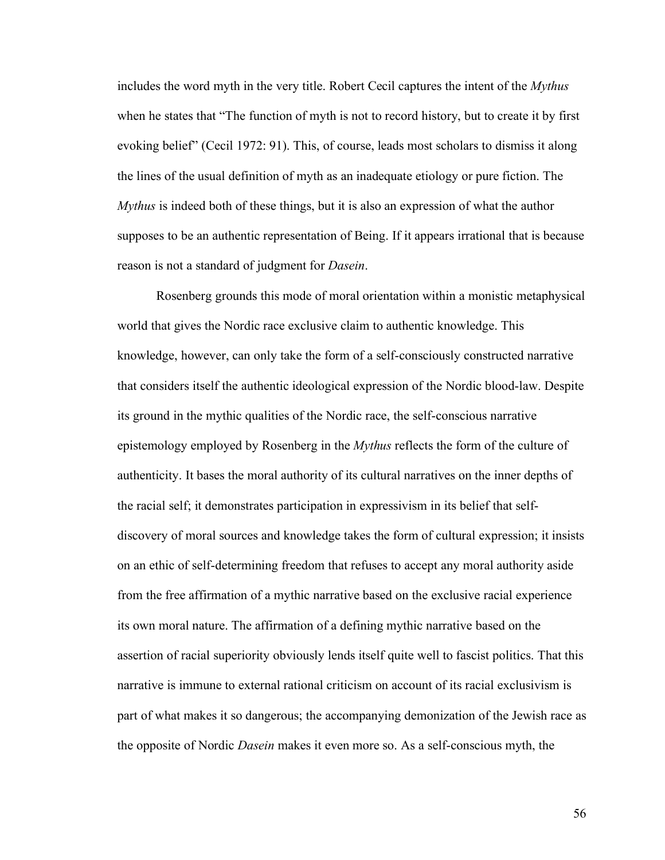includes the word myth in the very title. Robert Cecil captures the intent of the *Mythus* when he states that "The function of myth is not to record history, but to create it by first evoking belief" (Cecil 1972: 91). This, of course, leads most scholars to dismiss it along the lines of the usual definition of myth as an inadequate etiology or pure fiction. The *Mythus* is indeed both of these things, but it is also an expression of what the author supposes to be an authentic representation of Being. If it appears irrational that is because reason is not a standard of judgment for *Dasein*.

Rosenberg grounds this mode of moral orientation within a monistic metaphysical world that gives the Nordic race exclusive claim to authentic knowledge. This knowledge, however, can only take the form of a self-consciously constructed narrative that considers itself the authentic ideological expression of the Nordic blood-law. Despite its ground in the mythic qualities of the Nordic race, the self-conscious narrative epistemology employed by Rosenberg in the *Mythus* reflects the form of the culture of authenticity. It bases the moral authority of its cultural narratives on the inner depths of the racial self; it demonstrates participation in expressivism in its belief that selfdiscovery of moral sources and knowledge takes the form of cultural expression; it insists on an ethic of self-determining freedom that refuses to accept any moral authority aside from the free affirmation of a mythic narrative based on the exclusive racial experience its own moral nature. The affirmation of a defining mythic narrative based on the assertion of racial superiority obviously lends itself quite well to fascist politics. That this narrative is immune to external rational criticism on account of its racial exclusivism is part of what makes it so dangerous; the accompanying demonization of the Jewish race as the opposite of Nordic *Dasein* makes it even more so. As a self-conscious myth, the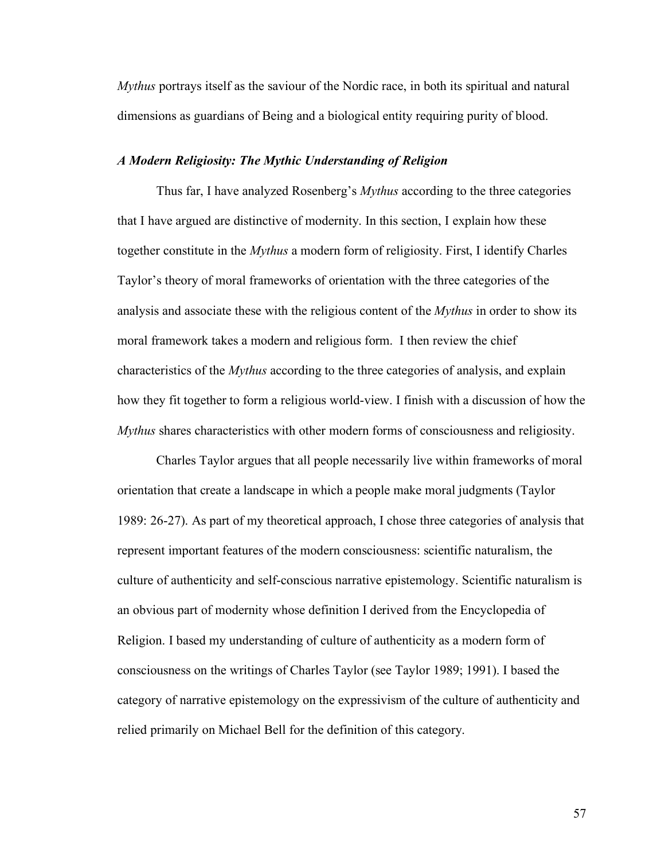*Mythus* portrays itself as the saviour of the Nordic race, in both its spiritual and natural dimensions as guardians of Being and a biological entity requiring purity of blood.

# *A Modern Religiosity: The Mythic Understanding of Religion*

Thus far, I have analyzed Rosenberg's *Mythus* according to the three categories that I have argued are distinctive of modernity. In this section, I explain how these together constitute in the *Mythus* a modern form of religiosity. First, I identify Charles Taylor's theory of moral frameworks of orientation with the three categories of the analysis and associate these with the religious content of the *Mythus* in order to show its moral framework takes a modern and religious form. I then review the chief characteristics of the *Mythus* according to the three categories of analysis, and explain how they fit together to form a religious world-view. I finish with a discussion of how the *Mythus* shares characteristics with other modern forms of consciousness and religiosity.

Charles Taylor argues that all people necessarily live within frameworks of moral orientation that create a landscape in which a people make moral judgments (Taylor 1989: 26-27). As part of my theoretical approach, I chose three categories of analysis that represent important features of the modern consciousness: scientific naturalism, the culture of authenticity and self-conscious narrative epistemology. Scientific naturalism is an obvious part of modernity whose definition I derived from the Encyclopedia of Religion. I based my understanding of culture of authenticity as a modern form of consciousness on the writings of Charles Taylor (see Taylor 1989; 1991). I based the category of narrative epistemology on the expressivism of the culture of authenticity and relied primarily on Michael Bell for the definition of this category.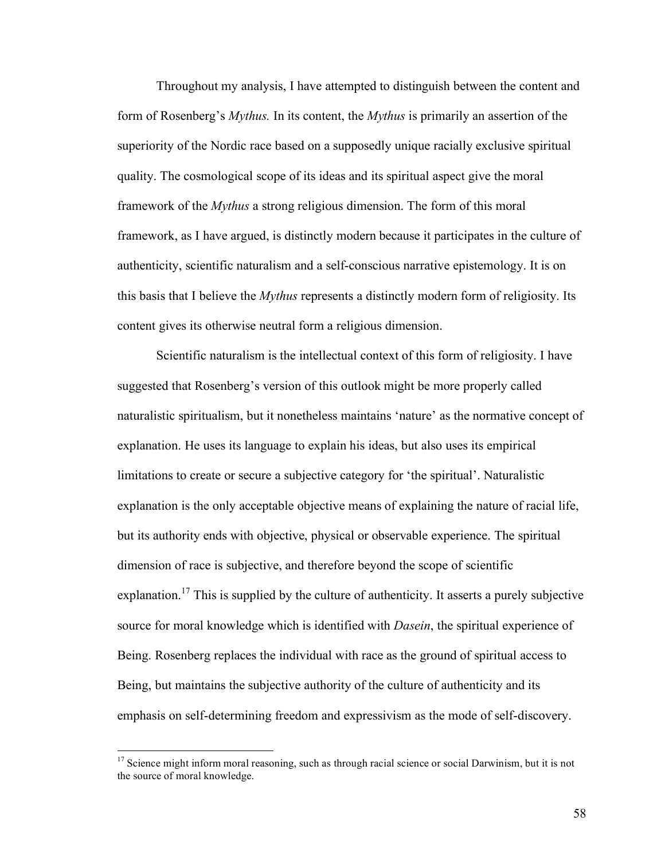Throughout my analysis, I have attempted to distinguish between the content and form of Rosenberg's *Mythus.* In its content, the *Mythus* is primarily an assertion of the superiority of the Nordic race based on a supposedly unique racially exclusive spiritual quality. The cosmological scope of its ideas and its spiritual aspect give the moral framework of the *Mythus* a strong religious dimension. The form of this moral framework, as I have argued, is distinctly modern because it participates in the culture of authenticity, scientific naturalism and a self-conscious narrative epistemology. It is on this basis that I believe the *Mythus* represents a distinctly modern form of religiosity. Its content gives its otherwise neutral form a religious dimension.

Scientific naturalism is the intellectual context of this form of religiosity. I have suggested that Rosenberg's version of this outlook might be more properly called naturalistic spiritualism, but it nonetheless maintains 'nature' as the normative concept of explanation. He uses its language to explain his ideas, but also uses its empirical limitations to create or secure a subjective category for 'the spiritual'. Naturalistic explanation is the only acceptable objective means of explaining the nature of racial life, but its authority ends with objective, physical or observable experience. The spiritual dimension of race is subjective, and therefore beyond the scope of scientific explanation.<sup>17</sup> This is supplied by the culture of authenticity. It asserts a purely subjective source for moral knowledge which is identified with *Dasein*, the spiritual experience of Being. Rosenberg replaces the individual with race as the ground of spiritual access to Being, but maintains the subjective authority of the culture of authenticity and its emphasis on self-determining freedom and expressivism as the mode of self-discovery.

 $17$  Science might inform moral reasoning, such as through racial science or social Darwinism, but it is not the source of moral knowledge.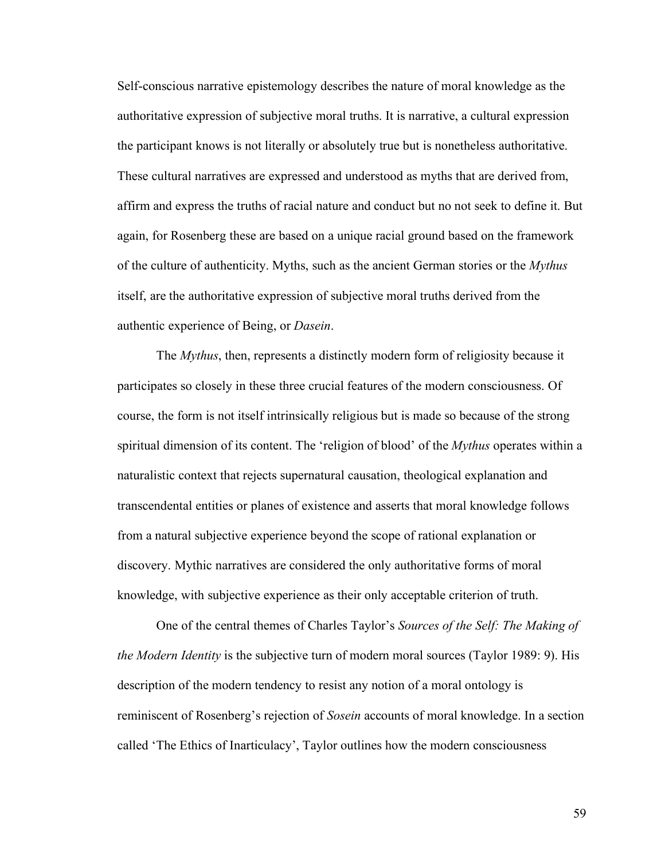Self-conscious narrative epistemology describes the nature of moral knowledge as the authoritative expression of subjective moral truths. It is narrative, a cultural expression the participant knows is not literally or absolutely true but is nonetheless authoritative. These cultural narratives are expressed and understood as myths that are derived from, affirm and express the truths of racial nature and conduct but no not seek to define it. But again, for Rosenberg these are based on a unique racial ground based on the framework of the culture of authenticity. Myths, such as the ancient German stories or the *Mythus* itself, are the authoritative expression of subjective moral truths derived from the authentic experience of Being, or *Dasein*.

The *Mythus*, then, represents a distinctly modern form of religiosity because it participates so closely in these three crucial features of the modern consciousness. Of course, the form is not itself intrinsically religious but is made so because of the strong spiritual dimension of its content. The 'religion of blood' of the *Mythus* operates within a naturalistic context that rejects supernatural causation, theological explanation and transcendental entities or planes of existence and asserts that moral knowledge follows from a natural subjective experience beyond the scope of rational explanation or discovery. Mythic narratives are considered the only authoritative forms of moral knowledge, with subjective experience as their only acceptable criterion of truth.

One of the central themes of Charles Taylor's *Sources of the Self: The Making of the Modern Identity* is the subjective turn of modern moral sources (Taylor 1989: 9). His description of the modern tendency to resist any notion of a moral ontology is reminiscent of Rosenberg's rejection of *Sosein* accounts of moral knowledge. In a section called 'The Ethics of Inarticulacy', Taylor outlines how the modern consciousness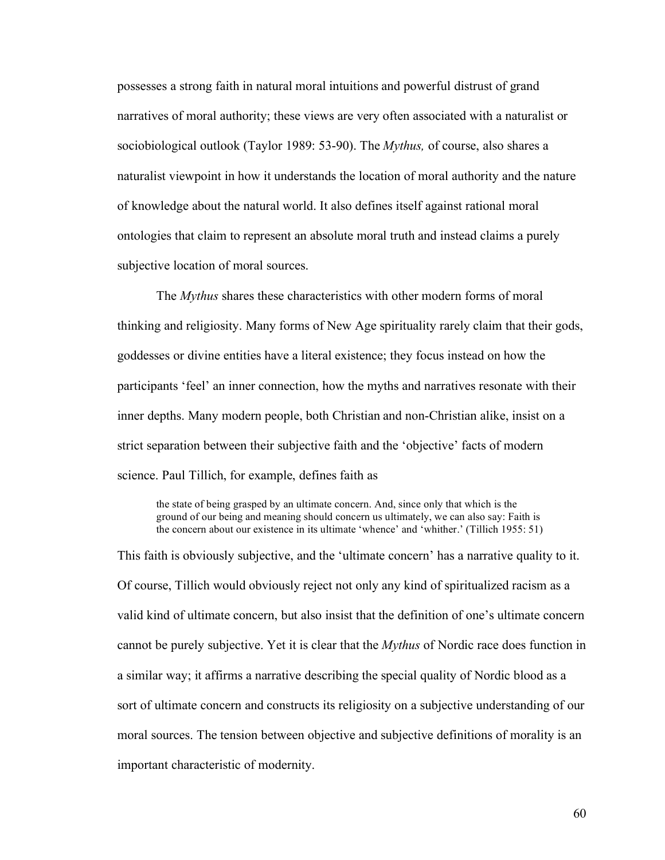possesses a strong faith in natural moral intuitions and powerful distrust of grand narratives of moral authority; these views are very often associated with a naturalist or sociobiological outlook (Taylor 1989: 53-90). The *Mythus,* of course, also shares a naturalist viewpoint in how it understands the location of moral authority and the nature of knowledge about the natural world. It also defines itself against rational moral ontologies that claim to represent an absolute moral truth and instead claims a purely subjective location of moral sources.

The *Mythus* shares these characteristics with other modern forms of moral thinking and religiosity. Many forms of New Age spirituality rarely claim that their gods, goddesses or divine entities have a literal existence; they focus instead on how the participants 'feel' an inner connection, how the myths and narratives resonate with their inner depths. Many modern people, both Christian and non-Christian alike, insist on a strict separation between their subjective faith and the 'objective' facts of modern science. Paul Tillich, for example, defines faith as

the state of being grasped by an ultimate concern. And, since only that which is the ground of our being and meaning should concern us ultimately, we can also say: Faith is the concern about our existence in its ultimate 'whence' and 'whither.' (Tillich 1955: 51)

This faith is obviously subjective, and the 'ultimate concern' has a narrative quality to it. Of course, Tillich would obviously reject not only any kind of spiritualized racism as a valid kind of ultimate concern, but also insist that the definition of one's ultimate concern cannot be purely subjective. Yet it is clear that the *Mythus* of Nordic race does function in a similar way; it affirms a narrative describing the special quality of Nordic blood as a sort of ultimate concern and constructs its religiosity on a subjective understanding of our moral sources. The tension between objective and subjective definitions of morality is an important characteristic of modernity.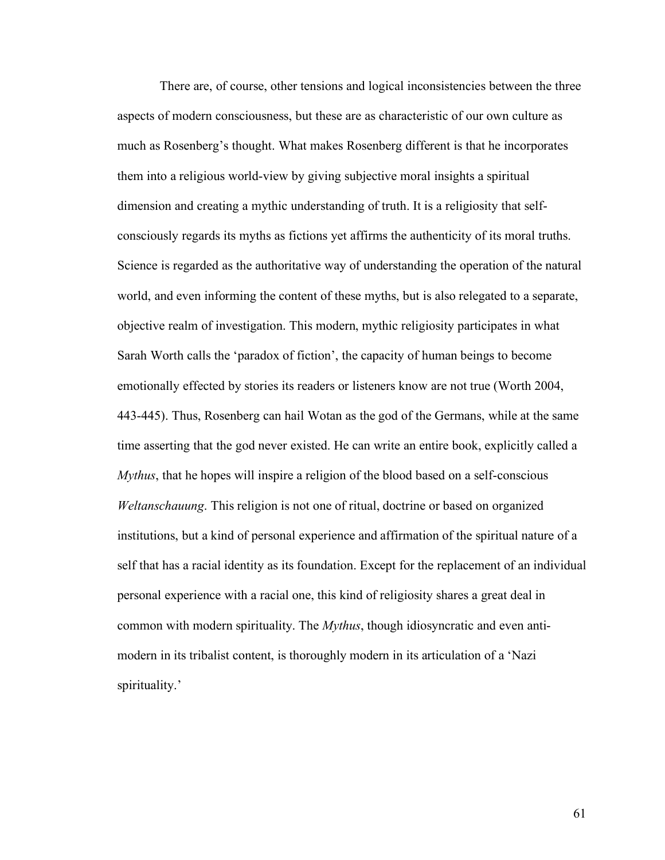There are, of course, other tensions and logical inconsistencies between the three aspects of modern consciousness, but these are as characteristic of our own culture as much as Rosenberg's thought. What makes Rosenberg different is that he incorporates them into a religious world-view by giving subjective moral insights a spiritual dimension and creating a mythic understanding of truth. It is a religiosity that selfconsciously regards its myths as fictions yet affirms the authenticity of its moral truths. Science is regarded as the authoritative way of understanding the operation of the natural world, and even informing the content of these myths, but is also relegated to a separate, objective realm of investigation. This modern, mythic religiosity participates in what Sarah Worth calls the 'paradox of fiction', the capacity of human beings to become emotionally effected by stories its readers or listeners know are not true (Worth 2004, 443-445). Thus, Rosenberg can hail Wotan as the god of the Germans, while at the same time asserting that the god never existed. He can write an entire book, explicitly called a *Mythus*, that he hopes will inspire a religion of the blood based on a self-conscious *Weltanschauung*. This religion is not one of ritual, doctrine or based on organized institutions, but a kind of personal experience and affirmation of the spiritual nature of a self that has a racial identity as its foundation. Except for the replacement of an individual personal experience with a racial one, this kind of religiosity shares a great deal in common with modern spirituality. The *Mythus*, though idiosyncratic and even antimodern in its tribalist content, is thoroughly modern in its articulation of a 'Nazi spirituality.'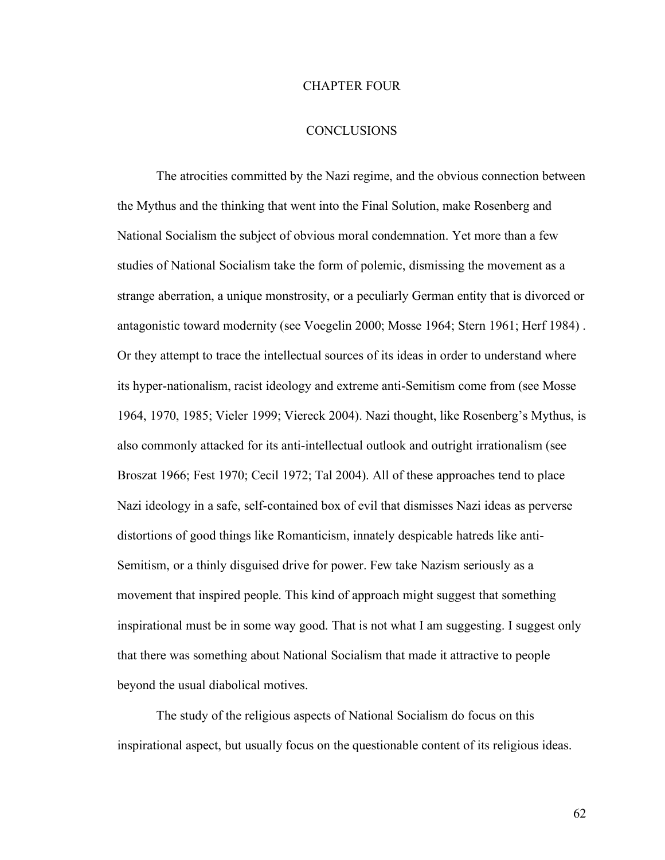### CHAPTER FOUR

# **CONCLUSIONS**

The atrocities committed by the Nazi regime, and the obvious connection between the Mythus and the thinking that went into the Final Solution, make Rosenberg and National Socialism the subject of obvious moral condemnation. Yet more than a few studies of National Socialism take the form of polemic, dismissing the movement as a strange aberration, a unique monstrosity, or a peculiarly German entity that is divorced or antagonistic toward modernity (see Voegelin 2000; Mosse 1964; Stern 1961; Herf 1984) . Or they attempt to trace the intellectual sources of its ideas in order to understand where its hyper-nationalism, racist ideology and extreme anti-Semitism come from (see Mosse 1964, 1970, 1985; Vieler 1999; Viereck 2004). Nazi thought, like Rosenberg's Mythus, is also commonly attacked for its anti-intellectual outlook and outright irrationalism (see Broszat 1966; Fest 1970; Cecil 1972; Tal 2004). All of these approaches tend to place Nazi ideology in a safe, self-contained box of evil that dismisses Nazi ideas as perverse distortions of good things like Romanticism, innately despicable hatreds like anti-Semitism, or a thinly disguised drive for power. Few take Nazism seriously as a movement that inspired people. This kind of approach might suggest that something inspirational must be in some way good. That is not what I am suggesting. I suggest only that there was something about National Socialism that made it attractive to people beyond the usual diabolical motives.

The study of the religious aspects of National Socialism do focus on this inspirational aspect, but usually focus on the questionable content of its religious ideas.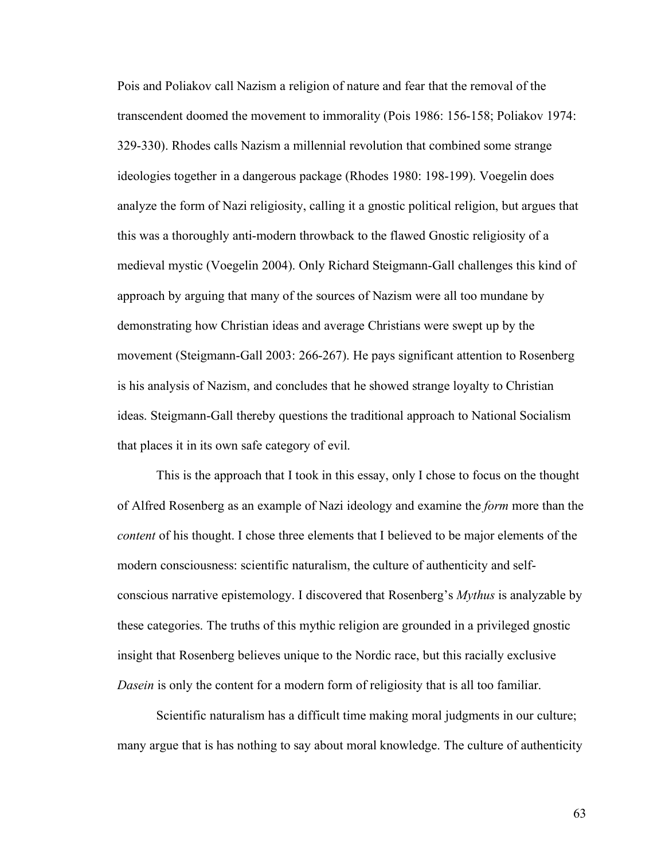Pois and Poliakov call Nazism a religion of nature and fear that the removal of the transcendent doomed the movement to immorality (Pois 1986: 156-158; Poliakov 1974: 329-330). Rhodes calls Nazism a millennial revolution that combined some strange ideologies together in a dangerous package (Rhodes 1980: 198-199). Voegelin does analyze the form of Nazi religiosity, calling it a gnostic political religion, but argues that this was a thoroughly anti-modern throwback to the flawed Gnostic religiosity of a medieval mystic (Voegelin 2004). Only Richard Steigmann-Gall challenges this kind of approach by arguing that many of the sources of Nazism were all too mundane by demonstrating how Christian ideas and average Christians were swept up by the movement (Steigmann-Gall 2003: 266-267). He pays significant attention to Rosenberg is his analysis of Nazism, and concludes that he showed strange loyalty to Christian ideas. Steigmann-Gall thereby questions the traditional approach to National Socialism that places it in its own safe category of evil.

This is the approach that I took in this essay, only I chose to focus on the thought of Alfred Rosenberg as an example of Nazi ideology and examine the *form* more than the *content* of his thought. I chose three elements that I believed to be major elements of the modern consciousness: scientific naturalism, the culture of authenticity and selfconscious narrative epistemology. I discovered that Rosenberg's *Mythus* is analyzable by these categories. The truths of this mythic religion are grounded in a privileged gnostic insight that Rosenberg believes unique to the Nordic race, but this racially exclusive *Dasein* is only the content for a modern form of religiosity that is all too familiar.

Scientific naturalism has a difficult time making moral judgments in our culture; many argue that is has nothing to say about moral knowledge. The culture of authenticity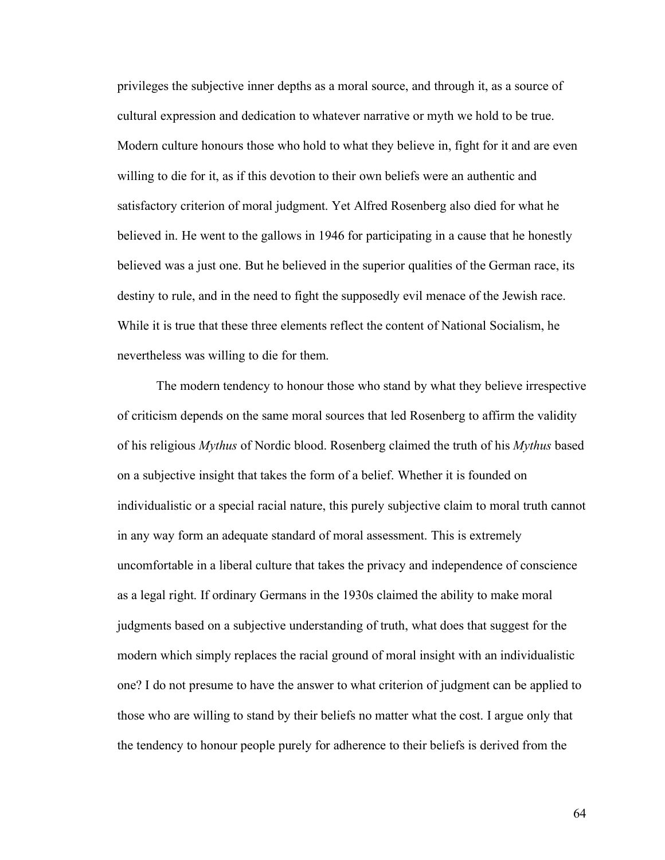privileges the subjective inner depths as a moral source, and through it, as a source of cultural expression and dedication to whatever narrative or myth we hold to be true. Modern culture honours those who hold to what they believe in, fight for it and are even willing to die for it, as if this devotion to their own beliefs were an authentic and satisfactory criterion of moral judgment. Yet Alfred Rosenberg also died for what he believed in. He went to the gallows in 1946 for participating in a cause that he honestly believed was a just one. But he believed in the superior qualities of the German race, its destiny to rule, and in the need to fight the supposedly evil menace of the Jewish race. While it is true that these three elements reflect the content of National Socialism, he nevertheless was willing to die for them.

The modern tendency to honour those who stand by what they believe irrespective of criticism depends on the same moral sources that led Rosenberg to affirm the validity of his religious *Mythus* of Nordic blood. Rosenberg claimed the truth of his *Mythus* based on a subjective insight that takes the form of a belief. Whether it is founded on individualistic or a special racial nature, this purely subjective claim to moral truth cannot in any way form an adequate standard of moral assessment. This is extremely uncomfortable in a liberal culture that takes the privacy and independence of conscience as a legal right. If ordinary Germans in the 1930s claimed the ability to make moral judgments based on a subjective understanding of truth, what does that suggest for the modern which simply replaces the racial ground of moral insight with an individualistic one? I do not presume to have the answer to what criterion of judgment can be applied to those who are willing to stand by their beliefs no matter what the cost. I argue only that the tendency to honour people purely for adherence to their beliefs is derived from the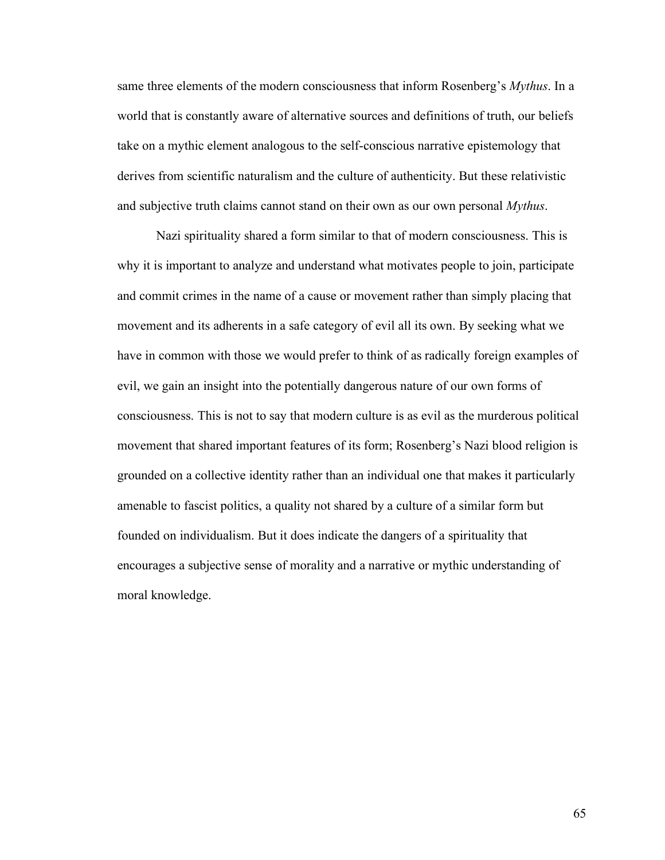same three elements of the modern consciousness that inform Rosenberg's *Mythus*. In a world that is constantly aware of alternative sources and definitions of truth, our beliefs take on a mythic element analogous to the self-conscious narrative epistemology that derives from scientific naturalism and the culture of authenticity. But these relativistic and subjective truth claims cannot stand on their own as our own personal *Mythus*.

Nazi spirituality shared a form similar to that of modern consciousness. This is why it is important to analyze and understand what motivates people to join, participate and commit crimes in the name of a cause or movement rather than simply placing that movement and its adherents in a safe category of evil all its own. By seeking what we have in common with those we would prefer to think of as radically foreign examples of evil, we gain an insight into the potentially dangerous nature of our own forms of consciousness. This is not to say that modern culture is as evil as the murderous political movement that shared important features of its form; Rosenberg's Nazi blood religion is grounded on a collective identity rather than an individual one that makes it particularly amenable to fascist politics, a quality not shared by a culture of a similar form but founded on individualism. But it does indicate the dangers of a spirituality that encourages a subjective sense of morality and a narrative or mythic understanding of moral knowledge.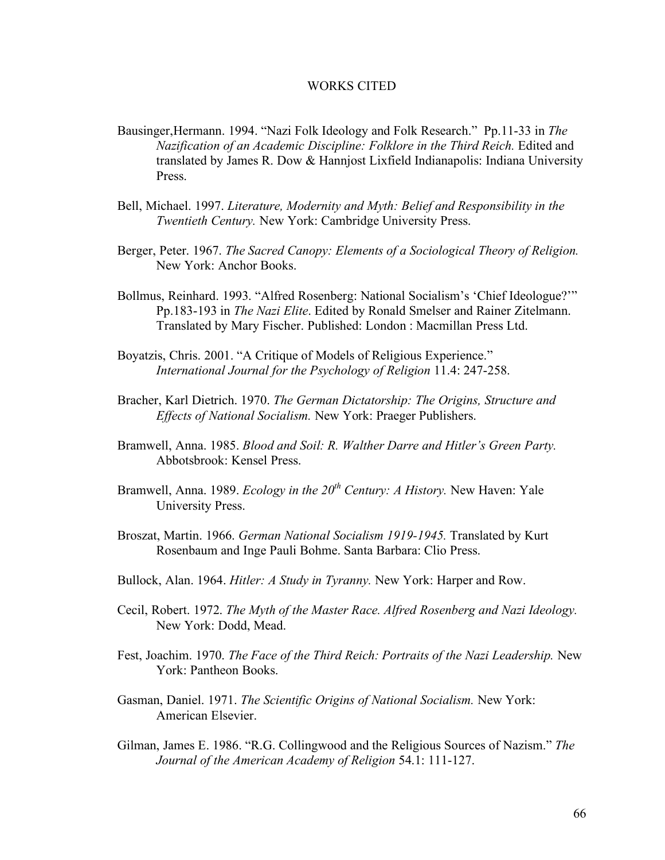### WORKS CITED

- Bausinger,Hermann. 1994. "Nazi Folk Ideology and Folk Research." Pp.11-33 in *The Nazification of an Academic Discipline: Folklore in the Third Reich.* Edited and translated by James R. Dow & Hannjost Lixfield Indianapolis: Indiana University Press.
- Bell, Michael. 1997. *Literature, Modernity and Myth: Belief and Responsibility in the Twentieth Century.* New York: Cambridge University Press.
- Berger, Peter. 1967. *The Sacred Canopy: Elements of a Sociological Theory of Religion.* New York: Anchor Books.
- Bollmus, Reinhard. 1993. "Alfred Rosenberg: National Socialism's 'Chief Ideologue?'" Pp.183-193 in *The Nazi Elite*. Edited by Ronald Smelser and Rainer Zitelmann. Translated by Mary Fischer. Published: London : Macmillan Press Ltd.
- Boyatzis, Chris. 2001. "A Critique of Models of Religious Experience." *International Journal for the Psychology of Religion* 11.4: 247-258.
- Bracher, Karl Dietrich. 1970. *The German Dictatorship: The Origins, Structure and Effects of National Socialism.* New York: Praeger Publishers.
- Bramwell, Anna. 1985. *Blood and Soil: R. Walther Darre and Hitler's Green Party.* Abbotsbrook: Kensel Press.
- Bramwell, Anna. 1989. *Ecology in the*  $20<sup>th</sup>$  *Century: A History.* New Haven: Yale University Press.
- Broszat, Martin. 1966. *German National Socialism 1919-1945.* Translated by Kurt Rosenbaum and Inge Pauli Bohme. Santa Barbara: Clio Press.
- Bullock, Alan. 1964. *Hitler: A Study in Tyranny.* New York: Harper and Row.
- Cecil, Robert. 1972. *The Myth of the Master Race. Alfred Rosenberg and Nazi Ideology.* New York: Dodd, Mead.
- Fest, Joachim. 1970. *The Face of the Third Reich: Portraits of the Nazi Leadership.* New York: Pantheon Books.
- Gasman, Daniel. 1971. *The Scientific Origins of National Socialism.* New York: American Elsevier.
- Gilman, James E. 1986. "R.G. Collingwood and the Religious Sources of Nazism." *The Journal of the American Academy of Religion* 54.1: 111-127.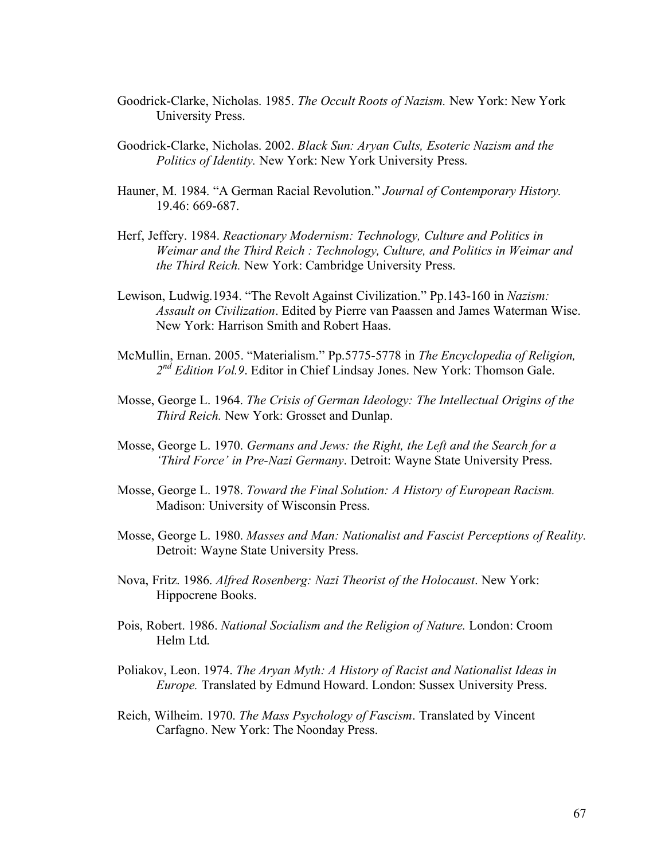- Goodrick-Clarke, Nicholas. 1985. *The Occult Roots of Nazism.* New York: New York University Press.
- Goodrick-Clarke, Nicholas. 2002. *Black Sun: Aryan Cults, Esoteric Nazism and the Politics of Identity.* New York: New York University Press.
- Hauner, M. 1984. "A German Racial Revolution." *Journal of Contemporary History.* 19.46: 669-687.
- Herf, Jeffery. 1984. *Reactionary Modernism: Technology, Culture and Politics in Weimar and the Third Reich : Technology, Culture, and Politics in Weimar and the Third Reich.* New York: Cambridge University Press.
- Lewison, Ludwig.1934. "The Revolt Against Civilization." Pp.143-160 in *Nazism: Assault on Civilization*. Edited by Pierre van Paassen and James Waterman Wise. New York: Harrison Smith and Robert Haas.
- McMullin, Ernan. 2005. "Materialism." Pp.5775-5778 in *The Encyclopedia of Religion, 2nd Edition Vol.9*. Editor in Chief Lindsay Jones. New York: Thomson Gale.
- Mosse, George L. 1964. *The Crisis of German Ideology: The Intellectual Origins of the Third Reich.* New York: Grosset and Dunlap.
- Mosse, George L. 1970. *Germans and Jews: the Right, the Left and the Search for a 'Third Force' in Pre-Nazi Germany*. Detroit: Wayne State University Press.
- Mosse, George L. 1978. *Toward the Final Solution: A History of European Racism.* Madison: University of Wisconsin Press.
- Mosse, George L. 1980. *Masses and Man: Nationalist and Fascist Perceptions of Reality.* Detroit: Wayne State University Press.
- Nova, Fritz. 1986. *Alfred Rosenberg: Nazi Theorist of the Holocaust*. New York: Hippocrene Books.
- Pois, Robert. 1986. *National Socialism and the Religion of Nature.* London: Croom Helm Ltd.
- Poliakov, Leon. 1974. *The Aryan Myth: A History of Racist and Nationalist Ideas in Europe.* Translated by Edmund Howard. London: Sussex University Press.
- Reich, Wilheim. 1970. *The Mass Psychology of Fascism*. Translated by Vincent Carfagno. New York: The Noonday Press.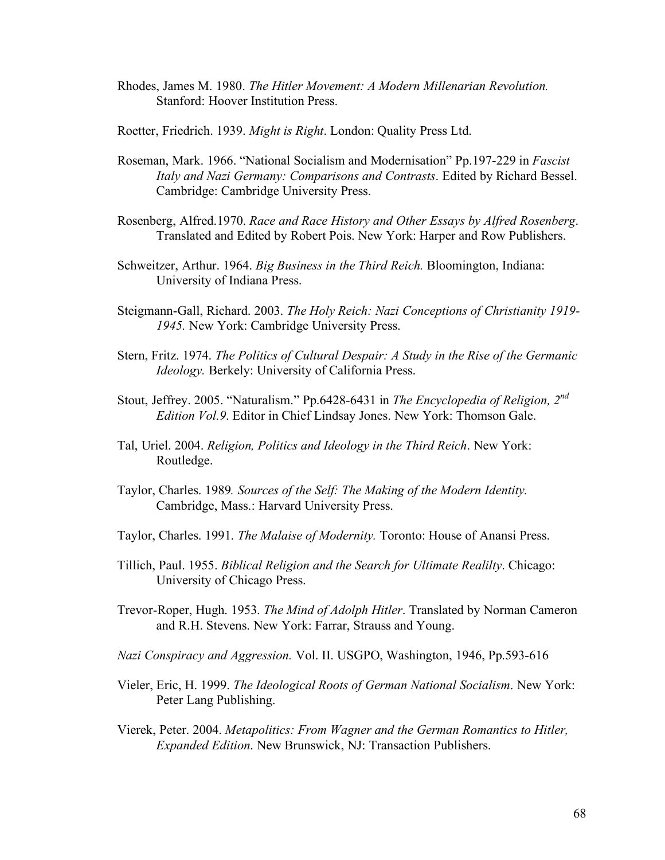- Rhodes, James M. 1980. *The Hitler Movement: A Modern Millenarian Revolution.* Stanford: Hoover Institution Press.
- Roetter, Friedrich. 1939. *Might is Right*. London: Quality Press Ltd.
- Roseman, Mark. 1966. "National Socialism and Modernisation" Pp.197-229 in *Fascist Italy and Nazi Germany: Comparisons and Contrasts*. Edited by Richard Bessel. Cambridge: Cambridge University Press.
- Rosenberg, Alfred.1970. *Race and Race History and Other Essays by Alfred Rosenberg*. Translated and Edited by Robert Pois. New York: Harper and Row Publishers.
- Schweitzer, Arthur. 1964. *Big Business in the Third Reich.* Bloomington, Indiana: University of Indiana Press.
- Steigmann-Gall, Richard. 2003. *The Holy Reich: Nazi Conceptions of Christianity 1919- 1945.* New York: Cambridge University Press.
- Stern, Fritz. 1974. *The Politics of Cultural Despair: A Study in the Rise of the Germanic Ideology.* Berkely: University of California Press.
- Stout, Jeffrey. 2005. "Naturalism." Pp.6428-6431 in *The Encyclopedia of Religion, 2nd Edition Vol.9*. Editor in Chief Lindsay Jones. New York: Thomson Gale.
- Tal, Uriel. 2004. *Religion, Politics and Ideology in the Third Reich*. New York: Routledge.
- Taylor, Charles. 1989*. Sources of the Self: The Making of the Modern Identity.* Cambridge, Mass.: Harvard University Press.
- Taylor, Charles. 1991. *The Malaise of Modernity.* Toronto: House of Anansi Press.
- Tillich, Paul. 1955. *Biblical Religion and the Search for Ultimate Realilty*. Chicago: University of Chicago Press.
- Trevor-Roper, Hugh. 1953. *The Mind of Adolph Hitler*. Translated by Norman Cameron and R.H. Stevens. New York: Farrar, Strauss and Young.
- *Nazi Conspiracy and Aggression.* Vol. II. USGPO, Washington, 1946, Pp.593-616
- Vieler, Eric, H. 1999. *The Ideological Roots of German National Socialism*. New York: Peter Lang Publishing.
- Vierek, Peter. 2004. *Metapolitics: From Wagner and the German Romantics to Hitler, Expanded Edition*. New Brunswick, NJ: Transaction Publishers.